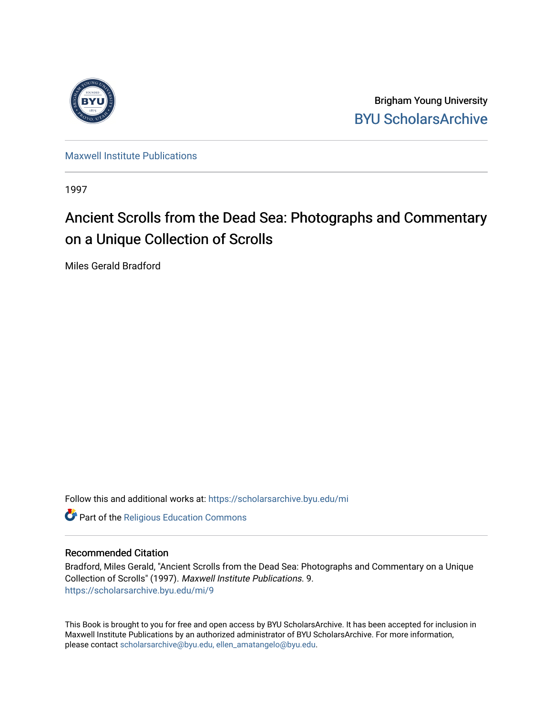

Brigham Young University [BYU ScholarsArchive](https://scholarsarchive.byu.edu/) 

[Maxwell Institute Publications](https://scholarsarchive.byu.edu/mi) 

1997

## Ancient Scrolls from the Dead Sea: Photographs and Commentary on a Unique Collection of Scrolls

Miles Gerald Bradford

Follow this and additional works at: [https://scholarsarchive.byu.edu/mi](https://scholarsarchive.byu.edu/mi?utm_source=scholarsarchive.byu.edu%2Fmi%2F9&utm_medium=PDF&utm_campaign=PDFCoverPages)

**Part of the [Religious Education Commons](http://network.bepress.com/hgg/discipline/1414?utm_source=scholarsarchive.byu.edu%2Fmi%2F9&utm_medium=PDF&utm_campaign=PDFCoverPages)** 

#### Recommended Citation

Bradford, Miles Gerald, "Ancient Scrolls from the Dead Sea: Photographs and Commentary on a Unique Collection of Scrolls" (1997). Maxwell Institute Publications. 9. [https://scholarsarchive.byu.edu/mi/9](https://scholarsarchive.byu.edu/mi/9?utm_source=scholarsarchive.byu.edu%2Fmi%2F9&utm_medium=PDF&utm_campaign=PDFCoverPages) 

This Book is brought to you for free and open access by BYU ScholarsArchive. It has been accepted for inclusion in Maxwell Institute Publications by an authorized administrator of BYU ScholarsArchive. For more information, please contact [scholarsarchive@byu.edu, ellen\\_amatangelo@byu.edu.](mailto:scholarsarchive@byu.edu,%20ellen_amatangelo@byu.edu)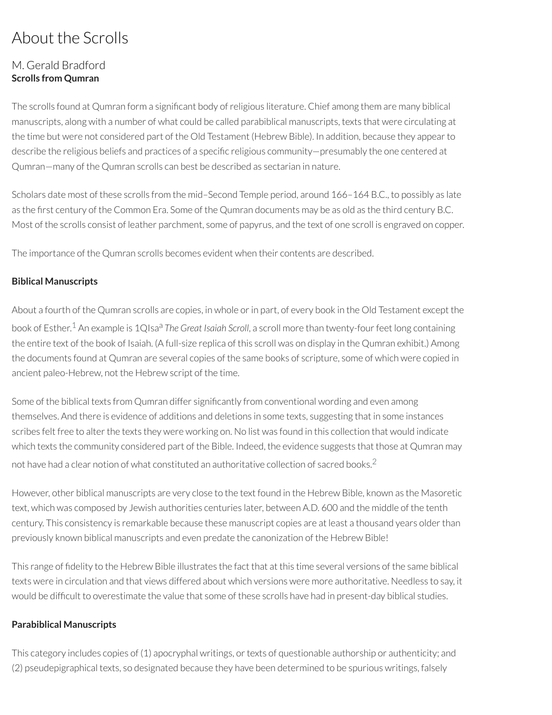## About the Scrolls

### M. Gerald Bradford **Scrolls from Qumran**

The scrolls found at Qumran form a significant body of religious literature. Chief among them are many biblical manuscripts, along with a number of what could be called parabiblical manuscripts, texts that were circulating at the time but were not considered part of the Old Testament (Hebrew Bible). In addition, because they appearto describe the religious beliefs and practices of a specific religious community—presumably the one centered at Qumran—many of the Qumran scrolls can best be described as sectarian in nature.

Scholars date most of these scrolls from the mid–Second Temple period, around 166–164 B.C., to possibly as late as the first century of the Common Era. Some of the Qumran documents may be as old as the third century B.C. Most of the scrolls consist of leather parchment, some of papyrus, and the text of one scroll is engraved on copper.

The importance of the Qumran scrolls becomes evident when their contents are described.

#### **Biblical Manuscripts**

<span id="page-1-0"></span>About a fourth of the Qumran scrolls are copies, in whole or in part, of every book in the Old Testament except the book of Esther.<sup>[1](#page-11-0)</sup> An example is 1QIsa<sup>a</sup> The Great Isaiah Scroll, a scroll more than twenty-four feet long containing the entire text of the book of Isaiah. (A full-size replica of this scroll was on display in the Qumran exhibit.) Among the documents found at Qumran are several copies of the same books of scripture, some of which were copied in ancient paleo-Hebrew, not the Hebrew script of the time.

Some of the biblical texts from Qumran differ significantly from conventional wording and even among themselves. And there is evidence of additions and deletions in some texts, suggesting that in some instances scribes felt free to alter the texts they were working on. No list was found in this collection that would indicate which texts the community considered part of the Bible. Indeed, the evidence suggests that those at Qumran may not have had a clear notion of what constituted an authoritative collection of sacred books. $^2$  $^2$ 

<span id="page-1-1"></span>However, other biblical manuscripts are very close to the text found in the Hebrew Bible, known as the Masoretic text, which was composed by Jewish authorities centuries later, between A.D. 600 and the middle of the tenth century. This consistency is remarkable because these manuscript copies are at least a thousand years olderthan previously known biblical manuscripts and even predate the canonization of the Hebrew Bible!

This range of delity to the Hebrew Bible illustrates the fact that at this time several versions of the same biblical texts were in circulation and that views differed about which versions were more authoritative. Needless to say, it would be difficult to overestimate the value that some of these scrolls have had in present-day biblical studies.

#### **Parabiblical Manuscripts**

This category includes copies of (1) apocryphal writings, or texts of questionable authorship or authenticity; and (2) pseudepigraphical texts, so designated because they have been determined to be spurious writings, falsely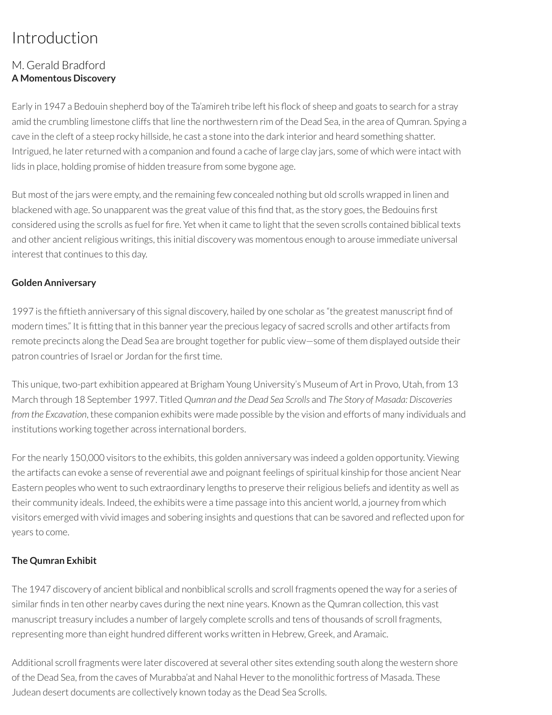## Introduction

### M. Gerald Bradford **A Momentous Discovery**

Early in 1947 a Bedouin shepherd boy of the Ta'amireh tribe left his flock of sheep and goats to search for a stray amid the crumbling limestone cliffs that line the northwestern rim of the Dead Sea, in the area of Qumran. Spying a cave in the cleft of a steep rocky hillside, he cast a stone into the dark interior and heard something shatter. Intrigued, he later returned with a companion and found a cache of large clay jars, some of which were intact with lids in place, holding promise of hidden treasure from some bygone age.

But most of the jars were empty, and the remaining few concealed nothing but old scrolls wrapped in linen and blackened with age. So unapparent was the great value of this find that, as the story goes, the Bedouins first considered using the scrolls as fuel for fire. Yet when it came to light that the seven scrolls contained biblical texts and other ancient religious writings, this initial discovery was momentous enough to arouse immediate universal interest that continues to this day.

#### **Golden Anniversary**

1997 is the fiftieth anniversary of this signal discovery, hailed by one scholar as "the greatest manuscript find of modern times." It is tting that in this banner yearthe precious legacy of sacred scrolls and other artifacts from remote precincts along the Dead Sea are brought together for public view—some of them displayed outside their patron countries of Israel or Jordan for the first time.

This unique, two-part exhibition appeared at Brigham Young University's Museum of Art in Provo, Utah, from 13 March through 18 September 1997. Titled *Qumran and the Dead Sea Scrolls* and *The Story of Masada: Discoveries from the Excavation*, these companion exhibits were made possible by the vision and efforts of many individuals and institutions working together across international borders.

For the nearly 150,000 visitors to the exhibits, this golden anniversary was indeed a golden opportunity. Viewing the artifacts can evoke a sense of reverential awe and poignant feelings of spiritual kinship for those ancient Near Eastern peoples who went to such extraordinary lengths to preserve their religious beliefs and identity as well as their community ideals. Indeed, the exhibits were a time passage into this ancient world, a journey from which visitors emerged with vivid images and sobering insights and questions that can be savored and reflected upon for years to come.

### **The Qumran Exhibit**

The 1947 discovery of ancient biblical and nonbiblical scrolls and scroll fragments opened the way for a series of similar finds in ten other nearby caves during the next nine years. Known as the Qumran collection, this vast manuscript treasury includes a number of largely complete scrolls and tens of thousands of scroll fragments, representing more than eight hundred different works written in Hebrew, Greek, and Aramaic.

Additional scroll fragments were later discovered at several other sites extending south along the western shore of the Dead Sea, from the caves of Murabba'at and Nahal Heverto the monolithic fortress of Masada. These Judean desert documents are collectively known today as the Dead Sea Scrolls.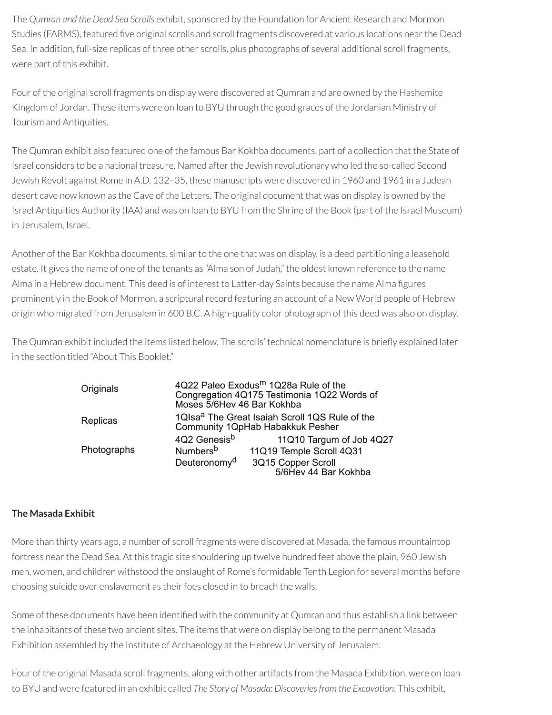The *Qumran and the Dead Sea Scrolls* exhibit, sponsored by the Foundation for Ancient Research and Mormon Studies (FARMS), featured five original scrolls and scroll fragments discovered at various locations near the Dead Sea. In addition, full-size replicas of three other scrolls, plus photographs of several additional scroll fragments, were part of this exhibit.

Four of the original scroll fragments on display were discovered at Qumran and are owned by the Hashemite Kingdom of Jordan. These items were on loan to BYU through the good graces of the Jordanian Ministry of Tourism and Antiquities.

The Qumran exhibit also featured one of the famous Bar Kokhba documents, part of a collection that the State of Israel considers to be a national treasure. Named afterthe Jewish revolutionary who led the so-called Second Jewish Revolt against Rome in A.D. 132–35, these manuscripts were discovered in 1960 and 1961 in a Judean desert cave now known as the Cave of the Letters. The original document that was on display is owned by the Israel Antiquities Authority (IAA) and was on loan to BYU from the Shrine of the Book (part of the Israel Museum) in Jerusalem, Israel.

Another of the Bar Kokhba documents, similar to the one that was on display, is a deed partitioning a leasehold estate. It gives the name of one of the tenants as "Alma son of Judah," the oldest known reference to the name Alma in a Hebrew document. This deed is of interest to Latter-day Saints because the name Alma figures prominently in the Book of Mormon, a scriptural record featuring an account of a New World people of Hebrew origin who migrated from Jerusalem in 600 B.C. A high-quality color photograph of this deed was also on display.

The Qumran exhibit included the items listed below. The scrolls' technical nomenclature is briefly explained later in the section titled "About This Booklet."

| Originals                           | 4Q22 Paleo Exodus <sup>m</sup> 1Q28a Rule of the<br>Congregation 4Q175 Testimonia 1Q22 Words of<br>Moses 5/6Hev 46 Bar Kokhba |  |  |  |
|-------------------------------------|-------------------------------------------------------------------------------------------------------------------------------|--|--|--|
| Replicas                            | 1QIsa <sup>a</sup> The Great Isaiah Scroll 1QS Rule of the<br>Community 1QpHab Habakkuk Pesher                                |  |  |  |
| 4Q2 Genesis <sup>b</sup>            | 11Q10 Targum of Job 4Q27                                                                                                      |  |  |  |
| Photographs<br>Numbers <sup>b</sup> | 11Q19 Temple Scroll 4Q31                                                                                                      |  |  |  |
| Deuteronomy <sup>d</sup>            | 3Q15 Copper Scroll<br>5/6Hev 44 Bar Kokhba                                                                                    |  |  |  |

#### **The Masada Exhibit**

More than thirty years ago, a number of scroll fragments were discovered at Masada, the famous mountaintop fortress near the Dead Sea. At this tragic site shouldering up twelve hundred feet above the plain, 960 Jewish men, women, and children withstood the onslaught of Rome's formidable Tenth Legion for several months before choosing suicide over enslavement as their foes closed in to breach the walls.

Some of these documents have been identified with the community at Qumran and thus establish a link between the inhabitants of these two ancient sites. The items that were on display belong to the permanent Masada Exhibition assembled by the Institute of Archaeology at the Hebrew University of Jerusalem.

Four of the original Masada scroll fragments, along with other artifacts from the Masada Exhibition, were on loan to BYU and were featured in an exhibit called *The Story of Masada: Discoveriesfrom the Excavation*. This exhibit,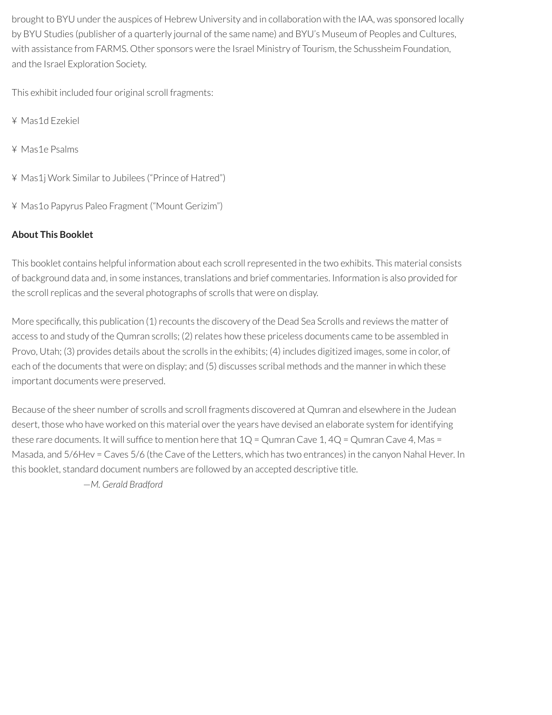brought to BYU under the auspices of Hebrew University and in collaboration with the IAA, was sponsored locally by BYU Studies (publisher of a quarterly journal of the same name) and BYU's Museum of Peoples and Cultures, with assistance from FARMS. Other sponsors were the Israel Ministry of Tourism, the Schussheim Foundation, and the Israel Exploration Society.

This exhibit included four original scroll fragments:

- ¥ Mas1d Ezekiel
- ¥ Mas1e Psalms

¥ Mas1j Work Similarto Jubilees ("Prince of Hatred")

¥ Mas1o Papyrus Paleo Fragment ("Mount Gerizim")

#### **About This Booklet**

This booklet contains helpful information about each scrollrepresented in the two exhibits. This material consists of background data and, in some instances, translations and brief commentaries. Information is also provided for the scroll replicas and the several photographs of scrolls that were on display.

More specifically, this publication (1) recounts the discovery of the Dead Sea Scrolls and reviews the matter of access to and study of the Qumran scrolls; (2) relates how these priceless documents came to be assembled in Provo, Utah; (3) provides details about the scrolls in the exhibits; (4) includes digitized images, some in color, of each of the documents that were on display; and (5) discusses scribal methods and the manner in which these important documents were preserved.

Because of the sheer number of scrolls and scroll fragments discovered at Qumran and elsewhere in the Judean desert, those who have worked on this material over the years have devised an elaborate system for identifying these rare documents. It will suffice to mention here that  $1Q =$  Qumran Cave 1, 4Q = Qumran Cave 4, Mas = Masada, and 5/6Hev = Caves 5/6 (the Cave of the Letters, which has two entrances) in the canyon Nahal Hever. In this booklet, standard document numbers are followed by an accepted descriptive title.

—*M. Gerald Bradford*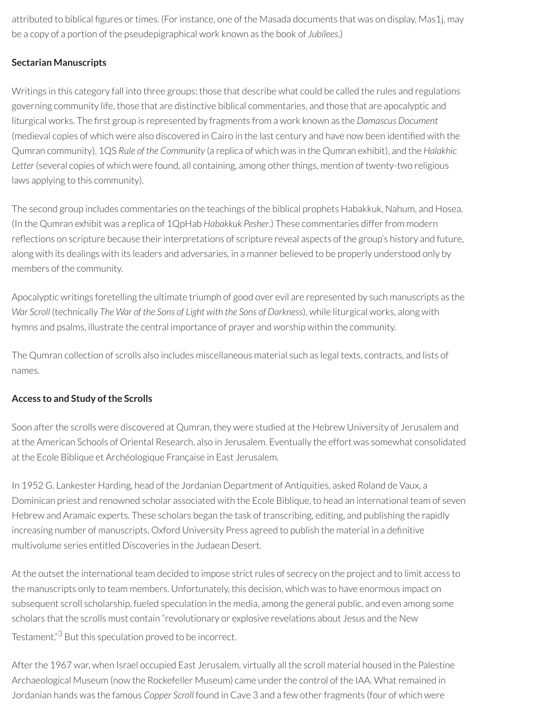attributed to biblical figures or times. (For instance, one of the Masada documents that was on display, Mas1j, may be a copy of a portion of the pseudepigraphical work known as the book of *Jubilees*.)

### **Sectarian Manuscripts**

Writings in this category fall into three groups: those that describe what could be called the rules and regulations governing community life, those that are distinctive biblical commentaries, and those that are apocalyptic and liturgical works. The first group is represented by fragments from a work known as the *Damascus Document* (medieval copies of which were also discovered in Cairo in the last century and have now been identified with the Qumran community), 1QS *Rule of the Community* (a replica of which was in the Qumran exhibit), and the *Halakhic* Letter (several copies of which were found, all containing, among other things, mention of twenty-two religious laws applying to this community).

The second group includes commentaries on the teachings of the biblical prophets Habakkuk, Nahum, and Hosea. (In the Qumran exhibit was a replica of 1QpHab *Habakkuk Pesher*.) These commentaries differfrom modern reflections on scripture because their interpretations of scripture reveal aspects of the group's history and future, along with its dealings with its leaders and adversaries, in a manner believed to be properly understood only by members of the community.

Apocalyptic writings foretelling the ultimate triumph of good over evil are represented by such manuscripts as the *War Scroll* (technically *The War of the Sons of Light with the Sons of Darkness*), while liturgical works, along with hymns and psalms, illustrate the central importance of prayer and worship within the community.

The Qumran collection of scrolls also includes miscellaneous material such as legal texts, contracts, and lists of names.

#### **Access to and Study of the Scrolls**

Soon after the scrolls were discovered at Qumran, they were studied at the Hebrew University of Jerusalem and at the American Schools of Oriental Research, also in Jerusalem. Eventually the effort was somewhat consolidated at the Ecole Biblique et Archéologique Française in East Jerusalem.

In 1952 G. Lankester Harding, head of the Jordanian Department of Antiquities, asked Roland de Vaux, a Dominican priest and renowned scholar associated with the Ecole Biblique, to head an international team of seven Hebrew and Aramaic experts. These scholars began the task of transcribing, editing, and publishing the rapidly increasing number of manuscripts. Oxford University Press agreed to publish the material in a definitive multivolume series entitled Discoveries in the Judaean Desert.

At the outset the international team decided to impose strict rules of secrecy on the project and to limit access to the manuscripts only to team members. Unfortunately, this decision, which was to have enormous impact on subsequent scroll scholarship, fueled speculation in the media, among the general public, and even among some scholars that the scrolls must contain "revolutionary or explosive revelations about Jesus and the New Testament." [3](#page-11-2) But this speculation proved to be incorrect.

<span id="page-5-0"></span>After the 1967 war, when Israel occupied East Jerusalem, virtually all the scroll material housed in the Palestine Archaeological Museum (now the Rockefeller Museum) came under the control of the IAA. What remained in Jordanian hands was the famous *Copper Scroll* found in Cave 3 and a few other fragments (four of which were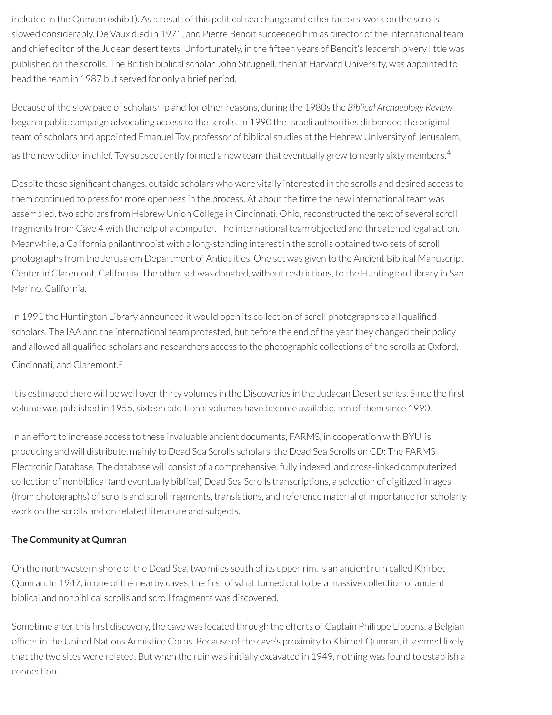included in the Qumran exhibit). As a result of this political sea change and other factors, work on the scrolls slowed considerably. De Vaux died in 1971, and Pierre Benoit succeeded him as director of the international team and chief editor of the Judean desert texts. Unfortunately, in the fifteen years of Benoit's leadership very little was published on the scrolls. The British biblical scholar John Strugnell, then at Harvard University, was appointed to head the team in 1987 but served for only a brief period.

Because of the slow pace of scholarship and for otherreasons, during the 1980s the *Biblical Archaeology Review* began a public campaign advocating access to the scrolls. In 1990 the Israeli authorities disbanded the original team of scholars and appointed Emanuel Tov, professor of biblical studies at the Hebrew University of Jerusalem, as the new editor in chief. Tov subsequently formed a new team that eventually grew to nearly sixty members. $^4\,$  $^4\,$  $^4\,$ 

<span id="page-6-0"></span>Despite these signicant changes, outside scholars who were vitally interested in the scrolls and desired access to them continued to press for more openness in the process. At about the time the new international team was assembled, two scholars from Hebrew Union College in Cincinnati, Ohio,reconstructed the text of several scroll fragments from Cave 4 with the help of a computer. The international team objected and threatened legal action. Meanwhile, a California philanthropist with a long-standing interest in the scrolls obtained two sets of scroll photographs from the Jerusalem Department of Antiquities. One set was given to the Ancient Biblical Manuscript Center in Claremont, California. The other set was donated, without restrictions, to the Huntington Library in San Marino, California.

In 1991 the Huntington Library announced it would open its collection of scroll photographs to all qualified scholars. The IAA and the international team protested, but before the end of the yearthey changed their policy and allowed all qualified scholars and researchers access to the photographic collections of the scrolls at Oxford, Cincinnati, and Claremont. [5](#page-11-4)

<span id="page-6-1"></span>It is estimated there will be well over thirty volumes in the Discoveries in the Judaean Desert series. Since the first volume was published in 1955, sixteen additional volumes have become available, ten of them since 1990.

In an effort to increase access to these invaluable ancient documents, FARMS, in cooperation with BYU, is producing and will distribute, mainly to Dead Sea Scrolls scholars, the Dead Sea Scrolls on CD: The FARMS Electronic Database. The database will consist of a comprehensive, fully indexed, and cross-linked computerized collection of nonbiblical (and eventually biblical) Dead Sea Scrolls transcriptions, a selection of digitized images (from photographs) of scrolls and scroll fragments, translations, and reference material of importance for scholarly work on the scrolls and on related literature and subjects.

#### **The Community at Qumran**

On the northwestern shore of the Dead Sea, two miles south of its upper rim, is an ancient ruin called Khirbet Qumran. In 1947, in one of the nearby caves, the first of what turned out to be a massive collection of ancient biblical and nonbiblical scrolls and scroll fragments was discovered.

Sometime after this first discovery, the cave was located through the efforts of Captain Philippe Lippens, a Belgian officer in the United Nations Armistice Corps. Because of the cave's proximity to Khirbet Qumran, it seemed likely that the two sites were related. But when the ruin was initially excavated in 1949, nothing was found to establish a connection.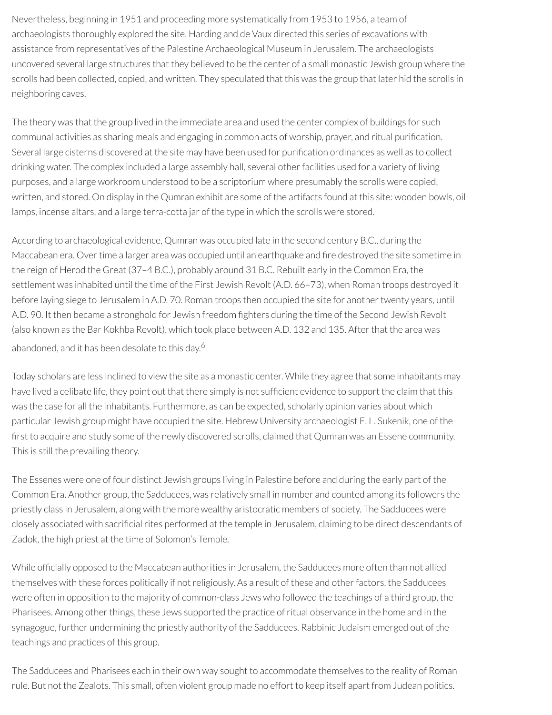Nevertheless, beginning in 1951 and proceeding more systematically from 1953 to 1956, a team of archaeologists thoroughly explored the site. Harding and de Vaux directed this series of excavations with assistance from representatives of the Palestine Archaeological Museum in Jerusalem. The archaeologists uncovered several large structures that they believed to be the center of a small monastic Jewish group where the scrolls had been collected, copied, and written. They speculated that this was the group that later hid the scrolls in neighboring caves.

The theory was that the group lived in the immediate area and used the center complex of buildings for such communal activities as sharing meals and engaging in common acts of worship, prayer, and ritual purification. Several large cisterns discovered at the site may have been used for purification ordinances as well as to collect drinking water. The complex included a large assembly hall, several other facilities used for a variety of living purposes, and a large workroom understood to be a scriptorium where presumably the scrolls were copied, written, and stored. On display in the Qumran exhibit are some of the artifacts found at this site: wooden bowls, oil lamps, incense altars, and a large terra-cotta jar of the type in which the scrolls were stored.

According to archaeological evidence, Qumran was occupied late in the second century B.C., during the Maccabean era. Over time a larger area was occupied until an earthquake and fire destroved the site sometime in the reign of Herod the Great (37–4 B.C.), probably around 31 B.C. Rebuilt early in the Common Era, the settlement was inhabited until the time of the First Jewish Revolt (A.D. 66–73), when Roman troops destroyed it before laying siege to Jerusalem in A.D. 70. Roman troops then occupied the site for another twenty years, until A.D. 90. It then became a stronghold for Jewish freedom fighters during the time of the Second Jewish Revolt (also known as the Bar Kokhba Revolt), which took place between A.D. 132 and 135. Afterthat the area was abandoned, and it has been desolate to this day. [6](#page-11-5)

<span id="page-7-0"></span>Today scholars are less inclined to view the site as a monastic center. While they agree that some inhabitants may have lived a celibate life, they point out that there simply is not sufficient evidence to support the claim that this was the case for all the inhabitants. Furthermore, as can be expected, scholarly opinion varies about which particular Jewish group might have occupied the site. Hebrew University archaeologist E. L. Sukenik, one of the first to acquire and study some of the newly discovered scrolls, claimed that Qumran was an Essene community. This is still the prevailing theory.

The Essenes were one of four distinct Jewish groups living in Palestine before and during the early part of the Common Era. Another group, the Sadducees, was relatively small in number and counted among its followers the priestly class in Jerusalem, along with the more wealthy aristocratic members of society. The Sadducees were closely associated with sacrificial rites performed at the temple in Jerusalem, claiming to be direct descendants of Zadok, the high priest at the time of Solomon's Temple.

While officially opposed to the Maccabean authorities in Jerusalem, the Sadducees more often than not allied themselves with these forces politically if not religiously. As a result of these and other factors, the Sadducees were often in opposition to the majority of common-class Jews who followed the teachings of a third group, the Pharisees. Among other things, these Jews supported the practice of ritual observance in the home and in the synagogue, further undermining the priestly authority of the Sadducees. Rabbinic Judaism emerged out of the teachings and practices of this group.

The Sadducees and Pharisees each in their own way sought to accommodate themselves to the reality of Roman rule. But not the Zealots. This small, often violent group made no effort to keep itself apart from Judean politics.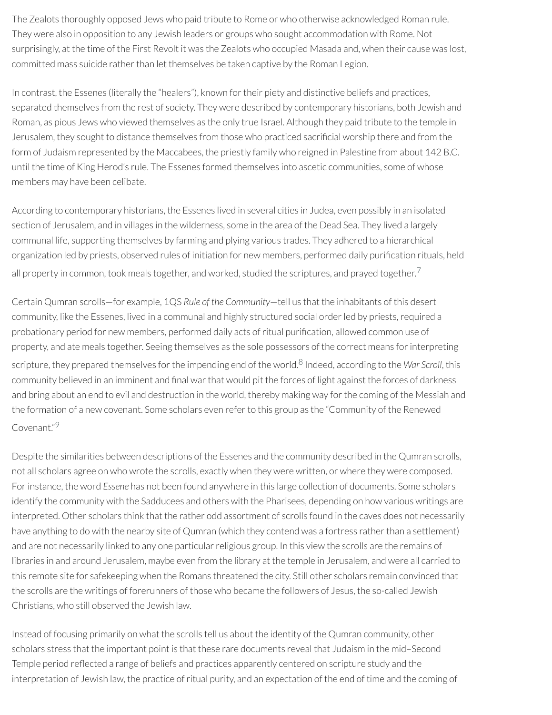The Zealots thoroughly opposed Jews who paid tribute to Rome or who otherwise acknowledged Roman rule. They were also in opposition to any Jewish leaders or groups who sought accommodation with Rome. Not surprisingly, at the time of the First Revolt it was the Zealots who occupied Masada and, when their cause was lost, committed mass suicide rather than let themselves be taken captive by the Roman Legion.

In contrast, the Essenes (literally the "healers"), known for their piety and distinctive beliefs and practices, separated themselves from the rest of society. They were described by contemporary historians, both Jewish and Roman, as pious Jews who viewed themselves as the only true Israel. Although they paid tribute to the temple in Jerusalem, they sought to distance themselves from those who practiced sacrificial worship there and from the form of Judaism represented by the Maccabees, the priestly family who reigned in Palestine from about 142 B.C. until the time of King Herod's rule. The Essenes formed themselves into ascetic communities, some of whose members may have been celibate.

According to contemporary historians, the Essenes lived in several cities in Judea, even possibly in an isolated section of Jerusalem, and in villages in the wilderness, some in the area of the Dead Sea. They lived a largely communal life, supporting themselves by farming and plying various trades. They adhered to a hierarchical organization led by priests, observed rules of initiation for new members, performed daily purification rituals, held all property in common, took meals together, and worked, studied the scriptures, and prayed together.  $\!\!7$  $\!\!7$ 

<span id="page-8-1"></span><span id="page-8-0"></span>Certain Qumran scrolls—for example, 1QS *Rule of the Community*—tell us that the inhabitants of this desert community, like the Essenes, lived in a communal and highly structured social orderled by priests,required a probationary period for new members, performed daily acts of ritual purification, allowed common use of property, and ate meals together. Seeing themselves as the sole possessors of the correct means forinterpreting scripture, they prepared themselves for the impending end of the world.<sup>[8](#page-12-1)</sup> Indeed, according to the *War Scroll*, this community believed in an imminent and final war that would pit the forces of light against the forces of darkness and bring about an end to evil and destruction in the world, thereby making way for the coming of the Messiah and the formation of a new covenant. Some scholars even refer to this group as the "Community of the Renewed Covenant."[9](#page-12-2)

<span id="page-8-2"></span>Despite the similarities between descriptions of the Essenes and the community described in the Qumran scrolls, not all scholars agree on who wrote the scrolls, exactly when they were written, or where they were composed. For instance, the word *Essene* has not been found anywhere in this large collection of documents. Some scholars identify the community with the Sadducees and others with the Pharisees, depending on how various writings are interpreted. Other scholars think that the rather odd assortment of scrolls found in the caves does not necessarily have anything to do with the nearby site of Qumran (which they contend was a fortress rather than a settlement) and are not necessarily linked to any one particular religious group. In this view the scrolls are the remains of libraries in and around Jerusalem, maybe even from the library at the temple in Jerusalem, and were all carried to this remote site for safekeeping when the Romans threatened the city. Still other scholars remain convinced that the scrolls are the writings of forerunners of those who became the followers of Jesus, the so-called Jewish Christians, who still observed the Jewish law.

Instead of focusing primarily on what the scrolls tell us about the identity of the Qumran community, other scholars stress that the important point is that these rare documents reveal that Judaism in the mid–Second Temple period reflected a range of beliefs and practices apparently centered on scripture study and the interpretation of Jewish law, the practice of ritual purity, and an expectation of the end of time and the coming of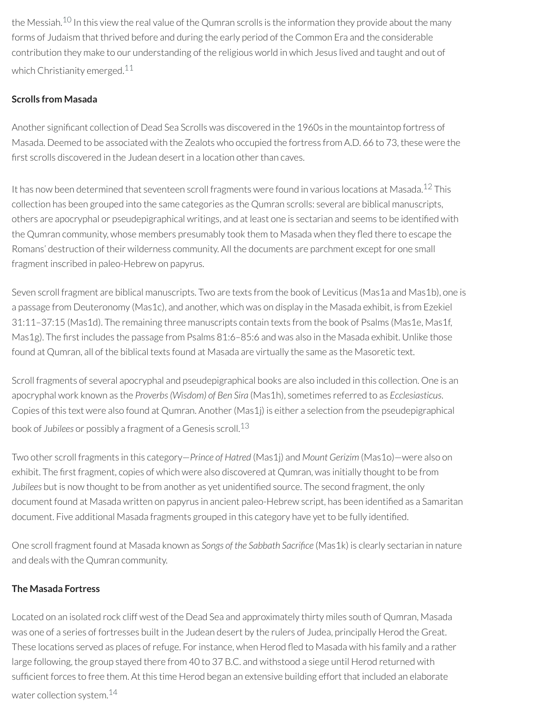<span id="page-9-0"></span>the Messiah.<sup>[10](#page-12-3)</sup> In this view the real value of the Qumran scrolls is the information they provide about the many forms of Judaism that thrived before and during the early period of the Common Era and the considerable contribution they make to our understanding of the religious world in which Jesus lived and taught and out of which Christianity emerged. $^{11}$  $^{11}$  $^{11}$ 

#### <span id="page-9-1"></span>**Scrolls from Masada**

Another significant collection of Dead Sea Scrolls was discovered in the 1960s in the mountaintop fortress of Masada. Deemed to be associated with the Zealots who occupied the fortress from A.D. 66 to 73, these were the first scrolls discovered in the Judean desert in a location other than caves.

<span id="page-9-2"></span>It has now been determined that seventeen scroll fragments were found in various locations at Masada.<sup>[12](#page-12-5)</sup> This collection has been grouped into the same categories as the Qumran scrolls: several are biblical manuscripts, others are apocryphal or pseudepigraphical writings, and at least one is sectarian and seems to be identified with the Qumran community, whose members presumably took them to Masada when they fled there to escape the Romans' destruction of their wilderness community. All the documents are parchment except for one small fragment inscribed in paleo-Hebrew on papyrus.

Seven scroll fragment are biblical manuscripts. Two are texts from the book of Leviticus (Mas1a and Mas1b), one is a passage from Deuteronomy (Mas1c), and another, which was on display in the Masada exhibit, is from Ezekiel 31:11–37:15 (Mas1d). The remaining three manuscripts contain texts from the book of Psalms (Mas1e, Mas1f, Mas1g). The first includes the passage from Psalms 81:6–85:6 and was also in the Masada exhibit. Unlike those found at Qumran, all of the biblical texts found at Masada are virtually the same as the Masoretic text.

Scroll fragments of several apocryphal and pseudepigraphical books are also included in this collection. One is an apocryphal work known as the *Proverbs(Wisdom) of Ben Sira* (Mas1h), sometimes referred to as *Ecclesiasticus*. Copies of this text were also found at Qumran. Another(Mas1j) is either a selection from the pseudepigraphical book of *Jubilees* or possibly a fragment of a Genesis scroll. [13](#page-12-6)

<span id="page-9-3"></span>Two other scroll fragments in this category—*Prince of Hatred* (Mas1j) and *Mount Gerizim* (Mas1o)—were also on exhibit. The first fragment, copies of which were also discovered at Qumran, was initially thought to be from *Jubilees* but is now thought to be from another as yet unidentified source. The second fragment, the only document found at Masada written on papyrus in ancient paleo-Hebrew script, has been identified as a Samaritan document. Five additional Masada fragments grouped in this category have yet to be fully identified.

One scroll fragment found at Masada known as Songs of the Sabbath Sacrifice (Mas1k) is clearly sectarian in nature and deals with the Qumran community.

#### **The Masada Fortress**

<span id="page-9-4"></span>Located on an isolated rock cliff west of the Dead Sea and approximately thirty miles south of Qumran, Masada was one of a series of fortresses built in the Judean desert by the rulers of Judea, principally Herod the Great. These locations served as places of refuge. For instance, when Herod fled to Masada with his family and a rather large following, the group stayed there from 40 to 37 B.C. and withstood a siege until Herod returned with sufficient forces to free them. At this time Herod began an extensive building effort that included an elaborate water collection system. [14](#page-12-7)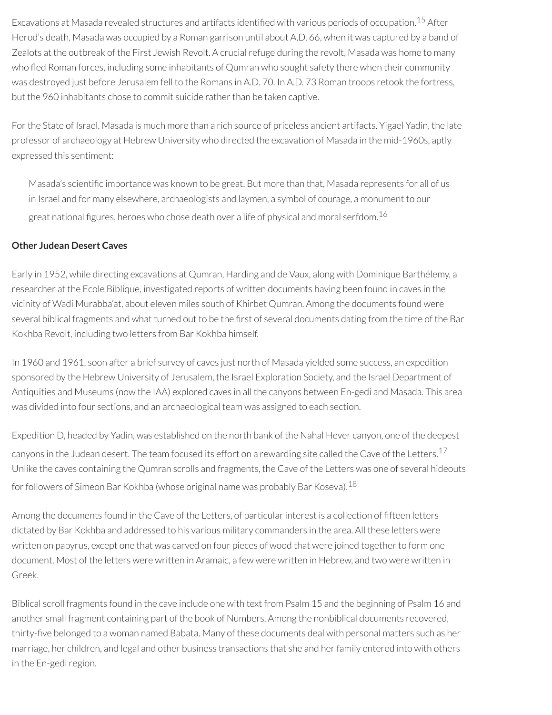<span id="page-10-0"></span>Excavations at Masada revealed structures and artifacts identified with various periods of occupation.<sup>[15](#page-12-8)</sup> After Herod's death, Masada was occupied by a Roman garrison until about A.D. 66, when it was captured by a band of Zealots at the outbreak of the First Jewish Revolt. A crucialrefuge during the revolt, Masada was home to many who fled Roman forces, including some inhabitants of Qumran who sought safety there when their community was destroyed just before Jerusalem fell to the Romans in A.D. 70. In A.D. 73 Roman troops retook the fortress, but the 960 inhabitants chose to commit suicide rather than be taken captive.

Forthe State of Israel, Masada is much more than a rich source of priceless ancient artifacts. Yigael Yadin, the late professor of archaeology at Hebrew University who directed the excavation of Masada in the mid-1960s, aptly expressed this sentiment:

<span id="page-10-1"></span>Masada's scientific importance was known to be great. But more than that, Masada represents for all of us in Israel and for many elsewhere, archaeologists and laymen, a symbol of courage, a monument to our great national figures, heroes who chose death over a life of physical and moral serfdom. $^{16}$  $^{16}$  $^{16}$ 

#### **Other Judean Desert Caves**

Early in 1952, while directing excavations at Qumran, Harding and de Vaux, along with Dominique Barthélemy, a researcher at the Ecole Biblique, investigated reports of written documents having been found in caves in the vicinity of Wadi Murabba'at, about eleven miles south of Khirbet Qumran. Among the documents found were several biblical fragments and what turned out to be the first of several documents dating from the time of the Bar Kokhba Revolt, including two letters from Bar Kokhba himself.

In 1960 and 1961, soon after a brief survey of caves just north of Masada yielded some success, an expedition sponsored by the Hebrew University of Jerusalem, the Israel Exploration Society, and the Israel Department of Antiquities and Museums (now the IAA) explored caves in all the canyons between En-gedi and Masada. This area was divided into four sections, and an archaeological team was assigned to each section.

<span id="page-10-2"></span>Expedition D, headed by Yadin, was established on the north bank of the Nahal Hever canyon, one of the deepest canyons in the Judean desert. The team focused its effort on a rewarding site called the Cave of the Letters. $^{17}$  $^{17}$  $^{17}$ Unlike the caves containing the Qumran scrolls and fragments, the Cave of the Letters was one of several hideouts for followers of Simeon Bar Kokhba (whose original name was probably Bar Koseva). $^{18}$  $^{18}$  $^{18}$ 

<span id="page-10-3"></span>Among the documents found in the Cave of the Letters, of particular interest is a collection of fifteen letters dictated by Bar Kokhba and addressed to his various military commanders in the area. All these letters were written on papyrus, except one that was carved on four pieces of wood that were joined together to form one document. Most of the letters were written in Aramaic, a few were written in Hebrew, and two were written in Greek.

Biblical scroll fragments found in the cave include one with text from Psalm 15 and the beginning of Psalm 16 and another small fragment containing part of the book of Numbers. Among the nonbiblical documents recovered, thirty-five belonged to a woman named Babata. Many of these documents deal with personal matters such as her marriage, her children, and legal and other business transactions that she and herfamily entered into with others in the En-gedi region.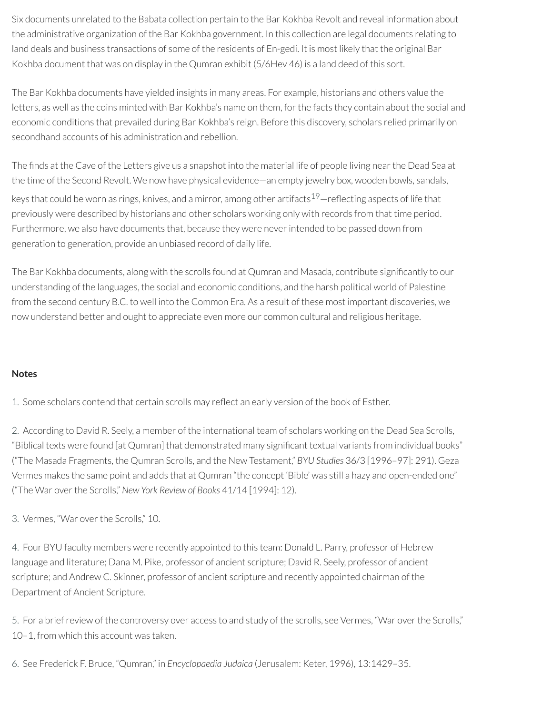Six documents unrelated to the Babata collection pertain to the Bar Kokhba Revolt and reveal information about the administrative organization of the Bar Kokhba government. In this collection are legal documents relating to land deals and business transactions of some of the residents of En-gedi. It is most likely that the original Bar Kokhba document that was on display in the Qumran exhibit (5/6Hev 46) is a land deed of this sort.

The Bar Kokhba documents have yielded insights in many areas. For example, historians and others value the letters, as well as the coins minted with Bar Kokhba's name on them, forthe facts they contain about the social and economic conditions that prevailed during Bar Kokhba's reign. Before this discovery, scholars relied primarily on secondhand accounts of his administration and rebellion.

<span id="page-11-6"></span>The finds at the Cave of the Letters give us a snapshot into the material life of people living near the Dead Sea at the time of the Second Revolt. We now have physical evidence—an empty jewelry box, wooden bowls, sandals, keys that could be worn as rings, knives, and a mirror, among other artifacts<sup>[19](#page-13-3)</sup>—reflecting aspects of life that previously were described by historians and other scholars working only with records from that time period. Furthermore, we also have documents that, because they were neverintended to be passed down from generation to generation, provide an unbiased record of daily life.

The Bar Kokhba documents, along with the scrolls found at Oumran and Masada, contribute significantly to our understanding of the languages, the social and economic conditions, and the harsh political world of Palestine from the second century B.C. to well into the Common Era. As a result of these most important discoveries, we now understand better and ought to appreciate even more our common cultural and religious heritage.

#### **Notes**

<span id="page-11-0"></span>[1.](#page-1-0) Some scholars contend that certain scrolls may reflect an early version of the book of Esther.

<span id="page-11-1"></span>[2.](#page-1-1) According to David R. Seely, a member of the international team of scholars working on the Dead Sea Scrolls, "Biblical texts were found [at Qumran] that demonstrated many signicant textual variants from individual books" ("The Masada Fragments, the Qumran Scrolls, and the New Testament," *BYU Studies* 36/3 [1996–97]: 291). Geza Vermes makes the same point and adds that at Qumran "the concept 'Bible' was still a hazy and open-ended one" ("The War overthe Scrolls," *New York Review of Books* 41/14 [1994]: 12).

<span id="page-11-2"></span>[3.](#page-5-0) Vermes, "War over the Scrolls," 10.

<span id="page-11-3"></span>[4.](#page-6-0) Four BYU faculty members were recently appointed to this team: Donald L. Parry, professor of Hebrew language and literature; Dana M. Pike, professor of ancient scripture; David R. Seely, professor of ancient scripture; and Andrew C. Skinner, professor of ancient scripture and recently appointed chairman of the Department of Ancient Scripture.

<span id="page-11-4"></span>[5.](#page-6-1) For a brief review of the controversy over access to and study of the scrolls, see Vermes, "War over the Scrolls," 10–1, from which this account was taken.

<span id="page-11-5"></span>[6.](#page-7-0) See Frederick F. Bruce, "Qumran," in *Encyclopaedia Judaica* (Jerusalem: Keter, 1996), 13:1429–35.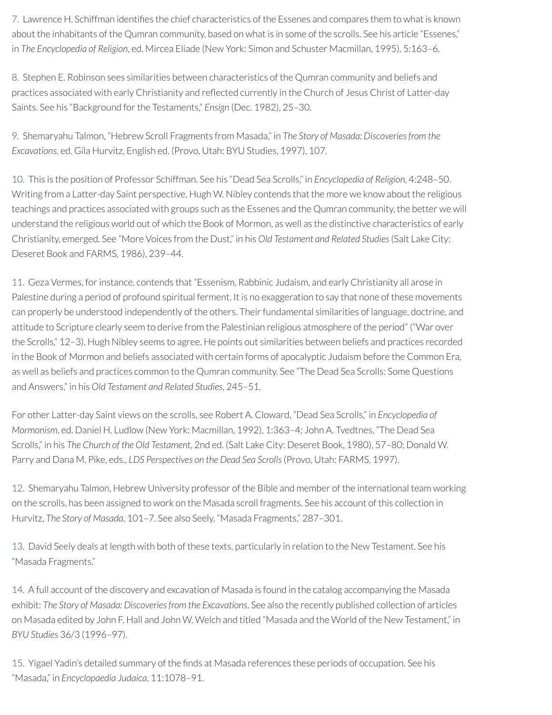<span id="page-12-0"></span>[7.](#page-8-0) Lawrence H. Schiffman identifies the chief characteristics of the Essenes and compares them to what is known about the inhabitants of the Qumran community, based on what is in some of the scrolls. See his article "Essenes," in *The Encyclopedia of Religion*, ed. Mircea Eliade (New York: Simon and Schuster Macmillan, 1995), 5:163–6.

<span id="page-12-1"></span>[8.](#page-8-1) Stephen E. Robinson sees similarities between characteristics of the Qumran community and beliefs and practices associated with early Christianity and reflected currently in the Church of Jesus Christ of Latter-day Saints. See his "Background forthe Testaments," *Ensign* (Dec. 1982), 25–30.

<span id="page-12-2"></span>[9.](#page-8-2) Shemaryahu Talmon, "Hebrew Scroll Fragments from Masada," in *The Story of Masada: Discoveriesfrom the Excavations*, ed. Gila Hurvitz, English ed. (Provo, Utah: BYU Studies, 1997), 107.

<span id="page-12-3"></span>[10.](#page-9-0) This is the position of Professor Schiffman. See his "Dead Sea Scrolls," in *Encyclopedia of Religion*, 4:248–50. Writing from a Latter-day Saint perspective, Hugh W. Nibley contends that the more we know about the religious teachings and practices associated with groups such as the Essenes and the Qumran community, the better we will understand the religious world out of which the Book of Mormon, as well as the distinctive characteristics of early Christianity, emerged. See "More Voices from the Dust," in his *Old Testament and Related Studies*(Salt Lake City: Deseret Book and FARMS, 1986), 239–44.

<span id="page-12-4"></span>[11.](#page-9-1) Geza Vermes, forinstance, contends that "Essenism, Rabbinic Judaism, and early Christianity all arose in Palestine during a period of profound spiritual ferment. It is no exaggeration to say that none of these movements can properly be understood independently of the others. Theirfundamental similarities of language, doctrine, and attitude to Scripture clearly seem to derive from the Palestinian religious atmosphere of the period" ("War over the Scrolls," 12–3). Hugh Nibley seems to agree. He points out similarities between beliefs and practices recorded in the Book of Mormon and beliefs associated with certain forms of apocalyptic Judaism before the Common Era, as well as beliefs and practices common to the Qumran community. See "The Dead Sea Scrolls: Some Questions and Answers," in his *Old Testament and Related Studies*, 245–51.

For other Latter-day Saint views on the scrolls, see Robert A. Cloward, "Dead Sea Scrolls," in *Encyclopedia of Mormonism*, ed. Daniel H. Ludlow (New York: Macmillan, 1992), 1:363–4; John A. Tvedtnes, "The Dead Sea Scrolls," in his *The Church of the Old Testament*, 2nd ed. (Salt Lake City: Deseret Book, 1980), 57–80; Donald W. Parry and Dana M. Pike, eds., *LDS Perspectives on the Dead Sea Scrolls*(Provo, Utah: FARMS, 1997).

<span id="page-12-5"></span>[12.](#page-9-2) Shemaryahu Talmon, Hebrew University professor of the Bible and member of the international team working on the scrolls, has been assigned to work on the Masada scroll fragments. See his account of this collection in Hurvitz, *The Story of Masada*, 101–7. See also Seely, "Masada Fragments," 287–301.

<span id="page-12-6"></span>[13.](#page-9-3) David Seely deals at length with both of these texts, particularly in relation to the New Testament. See his "Masada Fragments."

<span id="page-12-7"></span>[14.](#page-9-4) A full account of the discovery and excavation of Masada is found in the catalog accompanying the Masada exhibit: *The Story of Masada: Discoveries from the Excavations*. See also the recently published collection of articles on Masada edited by John F. Hall and John W. Welch and titled "Masada and the World of the New Testament," in *BYU Studies* 36/3 (1996–97).

<span id="page-12-8"></span>[15.](#page-10-0) Yigael Yadin's detailed summary of the finds at Masada references these periods of occupation. See his "Masada," in *Encyclopaedia Judaica*, 11:1078–91.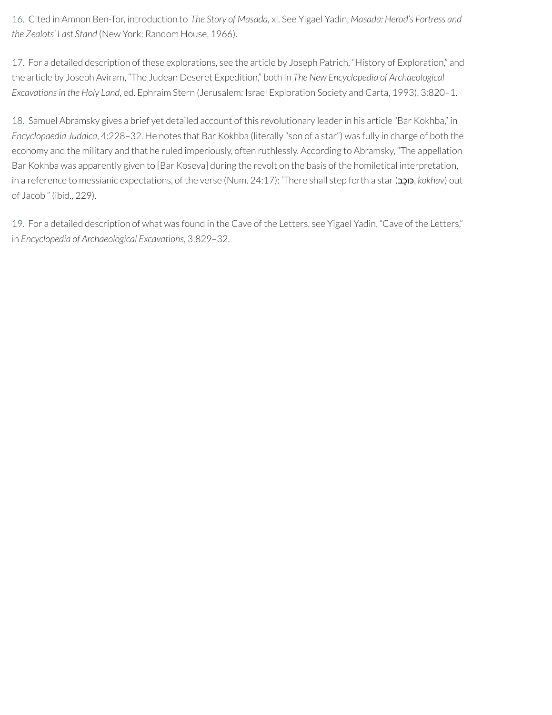<span id="page-13-0"></span>[16.](#page-10-1) Cited in Amnon Ben-Tor, introduction to *The Story of Masada,* xi. See Yigael Yadin, *Masada: Herod's Fortress and the Zealots' Last Stand* (New York: Random House, 1966).

<span id="page-13-1"></span>[17.](#page-10-2) For a detailed description of these explorations, see the article by Joseph Patrich, "History of Exploration," and the article by Joseph Aviram, "The Judean Deseret Expedition," both in *The New Encyclopedia of Archaeological Excavationsin the Holy Land,* ed. Ephraim Stern (Jerusalem: Israel Exploration Society and Carta, 1993), 3:820–1.

<span id="page-13-2"></span>[18.](#page-10-3) Samuel Abramsky gives a brief yet detailed account of this revolutionary leaderin his article "Bar Kokhba," in *Encyclopaedia Judaica*, 4:228–32. He notes that Bar Kokhba (literally "son of a star") was fully in charge of both the economy and the military and that he ruled imperiously, often ruthlessly. According to Abramsky, "The appellation Bar Kokhba was apparently given to [Bar Koseva] during the revolt on the basis of the homiletical interpretation, in a reference to messianic expectations, of the verse (Num. 24:17): 'There shall step forth a star(כּוכב ָ , *kokhav*) out of Jacob'" (ibid., 229).

<span id="page-13-3"></span>[19.](#page-11-6) For a detailed description of what was found in the Cave of the Letters, see Yigael Yadin, "Cave of the Letters," in *Encyclopedia of Archaeological Excavations*, 3:829–32.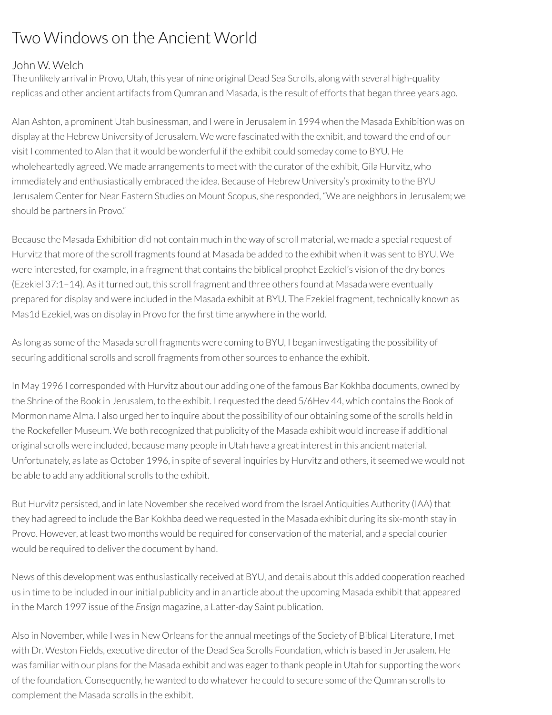## Two Windows on the Ancient World

### John W. Welch

The unlikely arrival in Provo, Utah, this year of nine original Dead Sea Scrolls, along with several high-quality replicas and other ancient artifacts from Qumran and Masada, is the result of efforts that began three years ago.

Alan Ashton, a prominent Utah businessman, and I were in Jerusalem in 1994 when the Masada Exhibition was on display at the Hebrew University of Jerusalem. We were fascinated with the exhibit, and toward the end of our visit I commented to Alan that it would be wonderful if the exhibit could someday come to BYU. He wholeheartedly agreed. We made arrangements to meet with the curator of the exhibit, Gila Hurvitz, who immediately and enthusiastically embraced the idea. Because of Hebrew University's proximity to the BYU Jerusalem Centerfor Near Eastern Studies on Mount Scopus, she responded, "We are neighbors in Jerusalem; we should be partners in Provo."

Because the Masada Exhibition did not contain much in the way of scroll material, we made a special request of Hurvitz that more of the scroll fragments found at Masada be added to the exhibit when it was sent to BYU. We were interested, for example, in a fragment that contains the biblical prophet Ezekiel's vision of the dry bones (Ezekiel 37:1–14). As it turned out, this scroll fragment and three others found at Masada were eventually prepared for display and were included in the Masada exhibit at BYU. The Ezekiel fragment, technically known as Mas1d Ezekiel, was on display in Provo for the first time anywhere in the world.

As long as some of the Masada scroll fragments were coming to BYU, I began investigating the possibility of securing additional scrolls and scroll fragments from other sources to enhance the exhibit.

In May 1996 I corresponded with Hurvitz about our adding one of the famous Bar Kokhba documents, owned by the Shrine of the Book in Jerusalem, to the exhibit. Irequested the deed 5/6Hev 44, which contains the Book of Mormon name Alma. I also urged her to inquire about the possibility of our obtaining some of the scrolls held in the Rockefeller Museum. We both recognized that publicity of the Masada exhibit would increase if additional original scrolls were included, because many people in Utah have a great interest in this ancient material. Unfortunately, as late as October 1996, in spite of several inquiries by Hurvitz and others, it seemed we would not be able to add any additional scrolls to the exhibit.

But Hurvitz persisted, and in late November she received word from the Israel Antiquities Authority (IAA) that they had agreed to include the Bar Kokhba deed we requested in the Masada exhibit during its six-month stay in Provo. However, at least two months would be required for conservation of the material, and a special courier would be required to deliver the document by hand.

News of this development was enthusiastically received at BYU, and details about this added cooperation reached us in time to be included in our initial publicity and in an article about the upcoming Masada exhibit that appeared in the March 1997 issue of the *Ensign* magazine, a Latter-day Saint publication.

Also in November, while I was in New Orleans forthe annual meetings of the Society of Biblical Literature, I met with Dr. Weston Fields, executive director of the Dead Sea Scrolls Foundation, which is based in Jerusalem. He was familiar with our plans for the Masada exhibit and was eager to thank people in Utah for supporting the work of the foundation. Consequently, he wanted to do whatever he could to secure some of the Qumran scrolls to complement the Masada scrolls in the exhibit.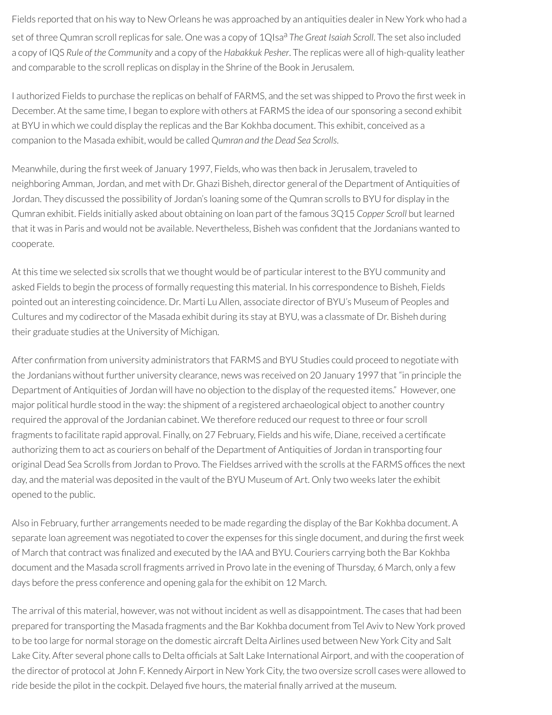Fields reported that on his way to New Orleans he was approached by an antiquities dealer in New York who had a set of three Qumran scroll replicas for sale. One was a copy of 1QIsa<sup>a</sup> The Great Isaiah Scroll. The set also included a copy of IQS *Rule of the Community* and a copy of the *Habakkuk Pesher*. The replicas were all of high-quality leather and comparable to the scroll replicas on display in the Shrine of the Book in Jerusalem.

I authorized Fields to purchase the replicas on behalf of FARMS, and the set was shipped to Provo the first week in December. At the same time, I began to explore with others at FARMS the idea of our sponsoring a second exhibit at BYU in which we could display the replicas and the Bar Kokhba document. This exhibit, conceived as a companion to the Masada exhibit, would be called *Qumran and the Dead Sea Scrolls*.

Meanwhile, during the first week of January 1997. Fields, who was then back in Jerusalem, traveled to neighboring Amman, Jordan, and met with Dr. Ghazi Bisheh, director general of the Department of Antiquities of Jordan. They discussed the possibility of Jordan's loaning some of the Qumran scrolls to BYU for display in the Qumran exhibit. Fields initially asked about obtaining on loan part of the famous 3Q15 *Copper Scroll* but learned that it was in Paris and would not be available. Nevertheless, Bisheh was condent that the Jordanians wanted to cooperate.

At this time we selected six scrolls that we thought would be of particular interest to the BYU community and asked Fields to begin the process of formally requesting this material. In his correspondence to Bisheh, Fields pointed out an interesting coincidence. Dr. Marti Lu Allen, associate director of BYU's Museum of Peoples and Cultures and my codirector of the Masada exhibit during its stay at BYU, was a classmate of Dr. Bisheh during their graduate studies at the University of Michigan.

After confirmation from university administrators that FARMS and BYU Studies could proceed to negotiate with the Jordanians without further university clearance, news was received on 20 January 1997 that "in principle the Department of Antiquities of Jordan will have no objection to the display of the requested items." However, one major political hurdle stood in the way: the shipment of a registered archaeological object to another country required the approval of the Jordanian cabinet. We therefore reduced ourrequest to three orfour scroll fragments to facilitate rapid approval. Finally, on 27 February, Fields and his wife, Diane, received a certificate authorizing them to act as couriers on behalf of the Department of Antiquities of Jordan in transporting four original Dead Sea Scrolls from Jordan to Provo. The Fieldses arrived with the scrolls at the FARMS offices the next day, and the material was deposited in the vault of the BYU Museum of Art. Only two weeks later the exhibit opened to the public.

Also in February, further arrangements needed to be made regarding the display of the Bar Kokhba document. A separate loan agreement was negotiated to cover the expenses for this single document, and during the first week of March that contract was finalized and executed by the IAA and BYU. Couriers carrying both the Bar Kokhba document and the Masada scroll fragments arrived in Provo late in the evening of Thursday, 6 March, only a few days before the press conference and opening gala for the exhibit on 12 March.

The arrival of this material, however, was not without incident as well as disappointment. The cases that had been prepared for transporting the Masada fragments and the Bar Kokhba document from Tel Aviv to New York proved to be too large for normal storage on the domestic aircraft Delta Airlines used between New York City and Salt Lake City. After several phone calls to Delta officials at Salt Lake International Airport, and with the cooperation of the director of protocol at John F. Kennedy Airport in New York City, the two oversize scroll cases were allowed to ride beside the pilot in the cockpit. Delayed five hours, the material finally arrived at the museum.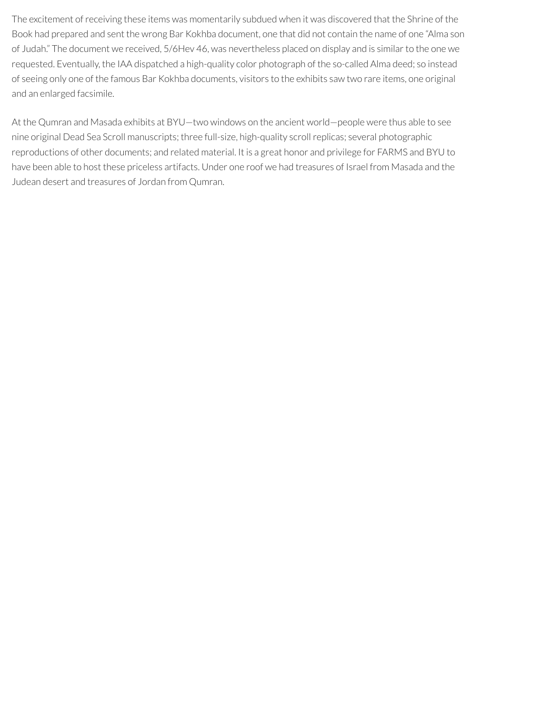The excitement of receiving these items was momentarily subdued when it was discovered that the Shrine of the Book had prepared and sent the wrong Bar Kokhba document, one that did not contain the name of one "Alma son of Judah." The document we received, 5/6Hev 46, was nevertheless placed on display and is similar to the one we requested. Eventually, the IAA dispatched a high-quality color photograph of the so-called Alma deed; so instead of seeing only one of the famous Bar Kokhba documents, visitors to the exhibits saw two rare items, one original and an enlarged facsimile.

At the Qumran and Masada exhibits at BYU—two windows on the ancient world—people were thus able to see nine original Dead Sea Scroll manuscripts; three full-size, high-quality scrollreplicas; several photographic reproductions of other documents; and related material. It is a great honor and privilege for FARMS and BYU to have been able to host these priceless artifacts. Under one roof we had treasures of Israel from Masada and the Judean desert and treasures of Jordan from Qumran.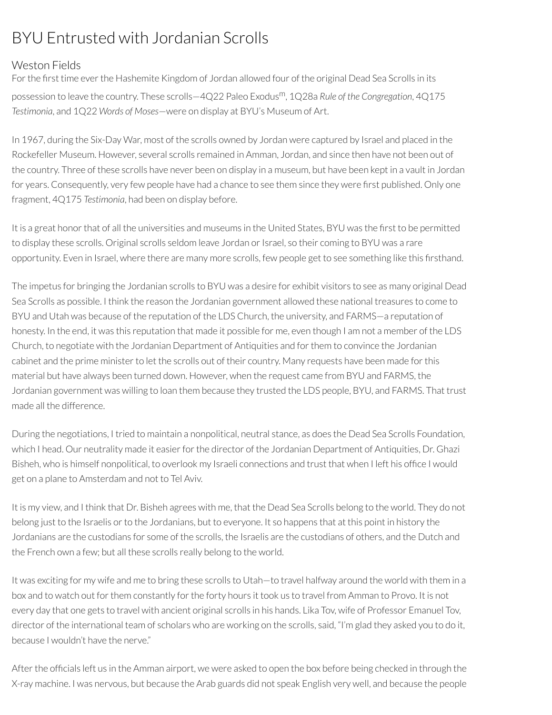## BYU Entrusted with Jordanian Scrolls

### Weston Fields

For the first time ever the Hashemite Kingdom of Jordan allowed four of the original Dead Sea Scrolls in its possession to leave the country. These scrolls—4Q22 Paleo Exodusm, 1Q28a *Rule of the Congregation*, 4Q175 *Testimonia*, and 1Q22 *Words of Moses*—were on display at BYU's Museum of Art.

In 1967, during the Six-Day War, most of the scrolls owned by Jordan were captured by Israel and placed in the Rockefeller Museum. However, several scrolls remained in Amman, Jordan, and since then have not been out of the country. Three of these scrolls have never been on display in a museum, but have been kept in a vault in Jordan for years. Consequently, very few people have had a chance to see them since they were first published. Only one fragment, 4Q175 *Testimonia*, had been on display before.

It is a great honor that of all the universities and museums in the United States. BYU was the first to be permitted to display these scrolls. Original scrolls seldom leave Jordan or Israel, so their coming to BYU was a rare opportunity. Even in Israel, where there are many more scrolls, few people get to see something like this firsthand.

The impetus for bringing the Jordanian scrolls to BYU was a desire for exhibit visitors to see as many original Dead Sea Scrolls as possible. I think the reason the Jordanian government allowed these national treasures to come to BYU and Utah was because of the reputation of the LDS Church, the university, and FARMS—a reputation of honesty. In the end, it was this reputation that made it possible for me, even though I am not a member of the LDS Church, to negotiate with the Jordanian Department of Antiquities and forthem to convince the Jordanian cabinet and the prime ministerto let the scrolls out of their country. Many requests have been made forthis material but have always been turned down. However, when the request came from BYU and FARMS, the Jordanian government was willing to loan them because they trusted the LDS people, BYU, and FARMS. That trust made all the difference.

During the negotiations, I tried to maintain a nonpolitical, neutral stance, as does the Dead Sea Scrolls Foundation, which I head. Our neutrality made it easier for the director of the Jordanian Department of Antiquities, Dr. Ghazi Bisheh, who is himself nonpolitical, to overlook my Israeli connections and trust that when I left his office I would get on a plane to Amsterdam and not to Tel Aviv.

It is my view, and I think that Dr. Bisheh agrees with me, that the Dead Sea Scrolls belong to the world. They do not belong just to the Israelis or to the Jordanians, but to everyone. It so happens that at this point in history the Jordanians are the custodians for some of the scrolls, the Israelis are the custodians of others, and the Dutch and the French own a few; but all these scrolls really belong to the world.

It was exciting for my wife and me to bring these scrolls to Utah—to travel halfway around the world with them in a box and to watch out for them constantly for the forty hours it took us to travel from Amman to Provo. It is not every day that one gets to travel with ancient original scrolls in his hands. Lika Tov, wife of Professor Emanuel Tov, director of the international team of scholars who are working on the scrolls, said, "I'm glad they asked you to do it, because I wouldn't have the nerve."

After the officials left us in the Amman airport, we were asked to open the box before being checked in through the X-ray machine. I was nervous, but because the Arab guards did not speak English very well, and because the people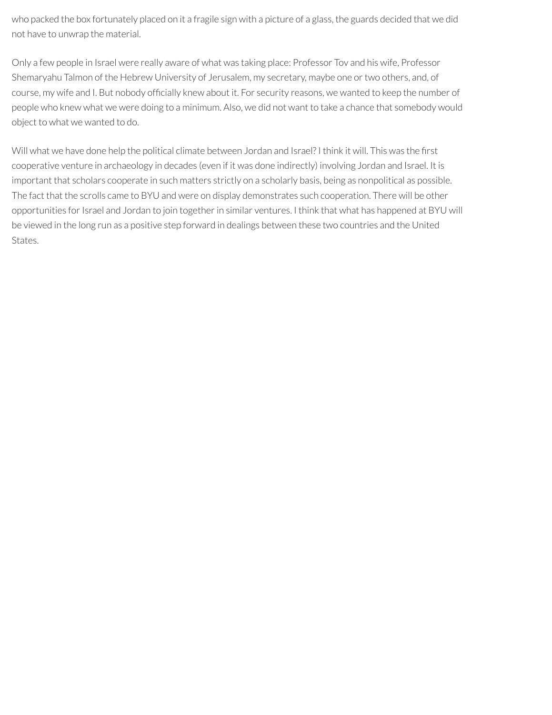who packed the box fortunately placed on it a fragile sign with a picture of a glass, the guards decided that we did not have to unwrap the material.

Only a few people in Israel were really aware of what was taking place: Professor Tov and his wife, Professor Shemaryahu Talmon of the Hebrew University of Jerusalem, my secretary, maybe one or two others, and, of course, my wife and I. But nobody officially knew about it. For security reasons, we wanted to keep the number of people who knew what we were doing to a minimum. Also, we did not want to take a chance that somebody would object to what we wanted to do.

Will what we have done help the political climate between Jordan and Israel? I think it will. This was the first cooperative venture in archaeology in decades (even if it was done indirectly) involving Jordan and Israel. It is important that scholars cooperate in such matters strictly on a scholarly basis, being as nonpolitical as possible. The fact that the scrolls came to BYU and were on display demonstrates such cooperation. There will be other opportunities for Israel and Jordan to join together in similar ventures. I think that what has happened at BYU will be viewed in the long run as a positive step forward in dealings between these two countries and the United States.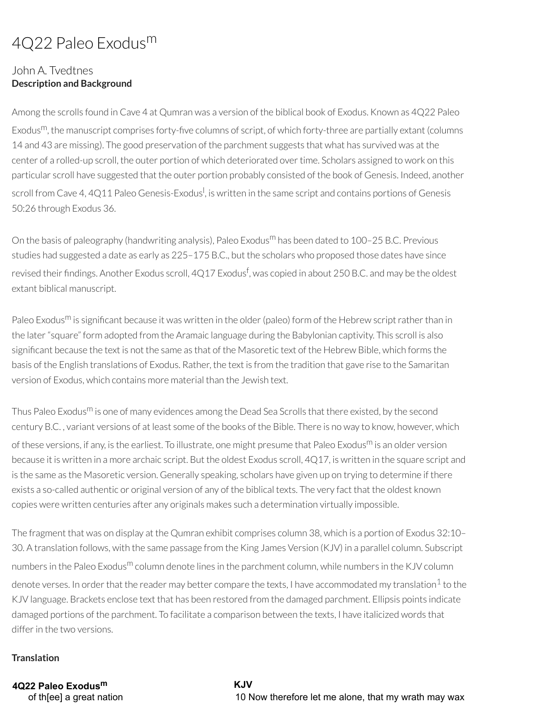## 4Q22 Paleo Exodus<sup>m</sup>

### John A. Tvedtnes **Description and Background**

Among the scrolls found in Cave 4 at Qumran was a version of the biblical book of Exodus. Known as 4Q22 Paleo Exodus<sup>m</sup>, the manuscript comprises forty-five columns of script, of which forty-three are partially extant (columns 14 and 43 are missing). The good preservation of the parchment suggests that what has survived was at the center of a rolled-up scroll, the outer portion of which deteriorated overtime. Scholars assigned to work on this particular scroll have suggested that the outer portion probably consisted of the book of Genesis. Indeed, another scroll from Cave 4, 4Q11 Paleo Genesis-Exodus<sup>l</sup>, is written in the same script and contains portions of Genesis 50:26 through Exodus 36.

On the basis of paleography (handwriting analysis), Paleo Exodus<sup>m</sup> has been dated to 100–25 B.C. Previous studies had suggested a date as early as 225–175 B.C., but the scholars who proposed those dates have since revised their findings. Another Exodus scroll, 4Q17 Exodus<sup>f</sup>, was copied in about 250 B.C. and may be the oldest extant biblical manuscript.

Paleo Exodus<sup>m</sup> is significant because it was written in the older (paleo) form of the Hebrew script rather than in the later"square" form adopted from the Aramaic language during the Babylonian captivity. This scroll is also significant because the text is not the same as that of the Masoretic text of the Hebrew Bible, which forms the basis of the English translations of Exodus. Rather, the text is from the tradition that gave rise to the Samaritan version of Exodus, which contains more material than the Jewish text.

Thus Paleo Exodus<sup>m</sup> is one of many evidences among the Dead Sea Scrolls that there existed, by the second century B.C. , variant versions of at least some of the books of the Bible. There is no way to know, however, which of these versions, if any, is the earliest. To illustrate, one might presume that Paleo Exodus<sup>m</sup> is an older version because it is written in a more archaic script. But the oldest Exodus scroll, 4Q17, is written in the square script and is the same as the Masoretic version. Generally speaking, scholars have given up on trying to determine if there exists a so-called authentic or original version of any of the biblical texts. The very fact that the oldest known copies were written centuries after any originals makes such a determination virtually impossible.

<span id="page-19-0"></span>The fragment that was on display at the Qumran exhibit comprises column 38, which is a portion of Exodus 32:10– 30. A translation follows, with the same passage from the King James Version (KJV) in a parallel column. Subscript numbers in the Paleo Exodus<sup>m</sup> column denote lines in the parchment column, while numbers in the KJV column denote verses. In order that the reader may better compare the texts, I have accommodated my translation $^1$  $^1$  to the KJV language. Brackets enclose text that has been restored from the damaged parchment. Ellipsis points indicate damaged portions of the parchment. To facilitate a comparison between the texts, I have italicized words that differ in the two versions.

#### **Translation**

# **4Q22 Paleo Exodus<sup>m</sup> KJV**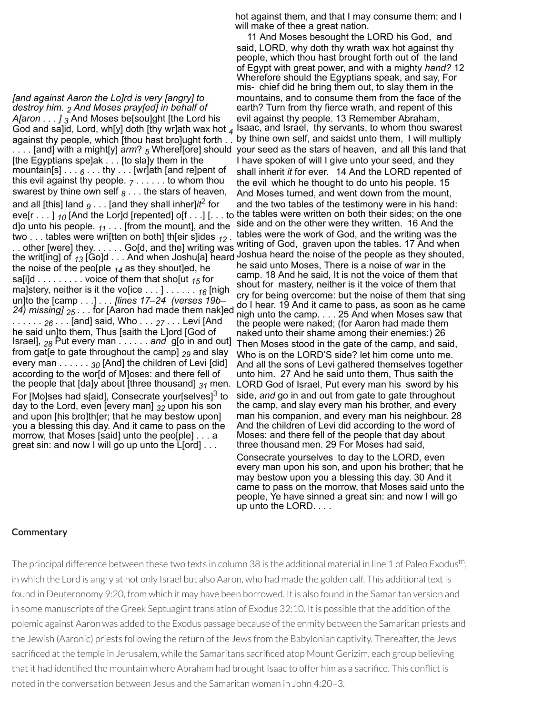*[and against Aaron the Lo]rd is very [angry] to destroy him. 2 And Moses pray[ed] in behalf of A[aron . . . ] 3* And Moses be[sou]ght [the Lord his against thy people, which [thou hast bro]ught forth . . [the Egyptians spe]ak . . . [to sla]y them in the mountain[s] . . . *6* . . . thy . . . [wr]ath [and re]pent of this evil against thy people. *7* . . . . . . to whom thou swarest by thine own self *8* . . . the stars of heaven, and all [this] land *9* . . . [and they shall inher]*it*[2](#page-21-1) for d]o unto his people.  $11 \ldots$  [from the mount], and the two . . . tables were wriftten on both] th[eir s]ides  $12 \ldots$ two . . . tables were wri[tten on both] th[eir s]ides *12* . the writ[ing] of *13* [Go]d . . . And when Joshu[a] heard Joshua heard the noise of the people as they shouted, the noise of the peo[ple *14* as they shout]ed, he sa[i]d . . . . . . . . . voice of them that sho[ut *15* for ma]stery, neither is it the vo[ice . . . ] . . . . . . *16* [nigh un]to the [camp . . .] . . . *[lines 17–24 (verses 19b– 24) missing] 25* . . . for [Aaron had made them nak]ed . . . . . . *26* . . . [and] said, Who . . . *27* . . . Levi [And he said unIto them. Thus [saith the Llord [God of Israel], *28* Put every man . . . . . . *and* g[o in and out] from gat[e to gate throughout the camp] *29* and slay every man . . . . . . *30* [And] the children of Levi [did] according to the wor[d of M]oses: and there fell of the people that [da]y about [three thousand] *31* men. For [Mo]ses had s[aid], Consecrate your[selves] $3$  to day to the Lord, even [every man] *32* upon his son and upon [his bro]th[er; that he may bestow upon] you a blessing this day. And it came to pass on the morrow, that Moses [said] unto the peo[ple] . . . a great sin: and now I will go up unto the L[ord] . . .

hot against them, and that I may consume them: and I will make of thee a great nation.

God and sa]id, Lord, wh[y] doth [thy wr]ath wax hot <sub>4</sub> Isaac, and Israel, thy servants, to whom thou swarest . . . . [and] with a might[y] *arm*? *5* Wheref[ore] should your seed as the stars of heaven, and all this land that eve[r . . . ] <sub>10</sub> [And the Lor]d [repented] o[f . . .] [. . . to the tables were written on both their sides; on the one . . other [were] they. . . . . . Go[d, and the] writing was writing of God, graven upon the tables. 17 And when 11 And Moses besought the LORD his God, and said, LORD, why doth thy wrath wax hot against thy people, which thou hast brought forth out of the land of Egypt with great power, and with a mighty *hand?* 12 Wherefore should the Egyptians speak, and say, For mis- chief did he bring them out, to slay them in the mountains, and to consume them from the face of the earth? Turn from thy fierce wrath, and repent of this evil against thy people. 13 Remember Abraham, by thine own self, and saidst unto them, I will multiply I have spoken of will I give unto your seed, and they shall inherit *it* for ever. 14 And the LORD repented of the evil which he thought to do unto his people. 15 And Moses turned, and went down from the mount, and the two tables of the testimony were in his hand: side and on the other were they written. 16 And the tables were the work of God, and the writing was the

<span id="page-20-0"></span>he said unto Moses, There is a noise of war in the camp. 18 And he said, It is not the voice of them that shout for mastery, neither is it the voice of them that cry for being overcome: but the noise of them that sing do I hear. 19 And it came to pass, as soon as he came nigh unto the camp. . . . 25 And when Moses saw that the people were naked; (for Aaron had made them naked unto their shame among their enemies:) 26 Then Moses stood in the gate of the camp, and said, Who is on the LORD'S side? let him come unto me. And all the sons of Levi gathered themselves together unto him. 27 And he said unto them, Thus saith the LORD God of Israel, Put every man his sword by his side, *and* go in and out from gate to gate throughout the camp, and slay every man his brother, and every man his companion, and every man his neighbour. 28 And the children of Levi did according to the word of Moses: and there fell of the people that day about three thousand men. 29 For Moses had said,

Consecrate yourselves to day to the LORD, even every man upon his son, and upon his brother; that he may bestow upon you a blessing this day. 30 And it came to pass on the morrow, that Moses said unto the people, Ye have sinned a great sin: and now I will go up unto the LORD. . . .

#### **Commentary**

The principal difference between these two texts in column 38 is the additional material in line 1 of Paleo Exodus<sup>m</sup>, in which the Lord is angry at not only Israel but also Aaron, who had made the golden calf. This additional text is found in Deuteronomy 9:20, from which it may have been borrowed. It is also found in the Samaritan version and in some manuscripts of the Greek Septuagint translation of Exodus 32:10. It is possible that the addition of the polemic against Aaron was added to the Exodus passage because of the enmity between the Samaritan priests and the Jewish (Aaronic) priests following the return of the Jews from the Babylonian captivity. Thereafter, the Jews sacrificed at the temple in Jerusalem, while the Samaritans sacrificed atop Mount Gerizim, each group believing that it had identified the mountain where Abraham had brought Isaac to offer him as a sacrifice. This conflict is noted in the conversation between Jesus and the Samaritan woman in John 4:20–3.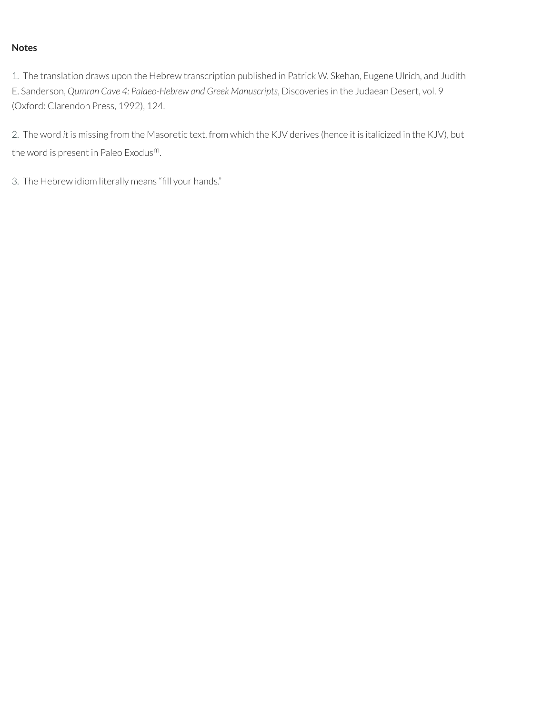#### **Notes**

<span id="page-21-0"></span>[1.](#page-19-0) The translation draws upon the Hebrew transcription published in Patrick W. Skehan, Eugene Ulrich, and Judith E. Sanderson, *Qumran Cave 4: Palaeo-Hebrew and Greek Manuscripts*, Discoveries in the Judaean Desert, vol. 9 (Oxford: Clarendon Press, 1992), 124.

<span id="page-21-1"></span>[2.](#page-20-0) The word *it* is missing from the Masoretic text, from which the KJV derives (hence it is italicized in the KJV), but the word is present in Paleo Exodus<sup>m</sup>.

3. The Hebrew idiom literally means "fill your hands."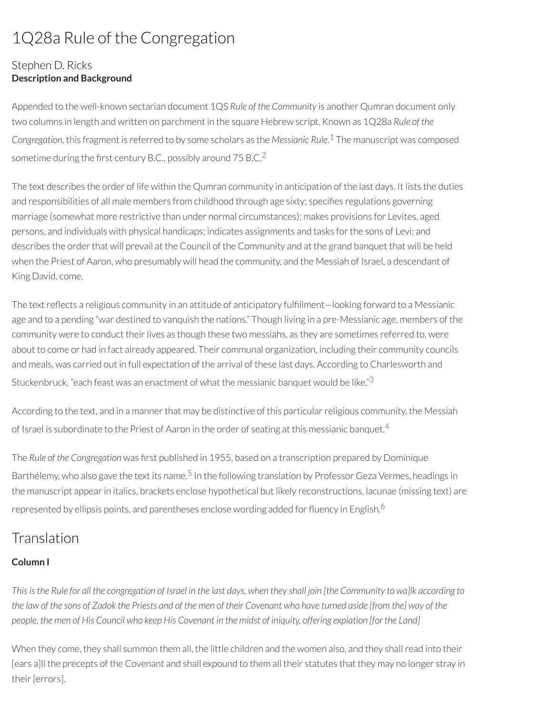## 1Q28a Rule of the Congregation

### Stephen D. Ricks **Description and Background**

<span id="page-22-0"></span>Appended to the well-known sectarian document 1QS *Rule of the Community* is another Qumran document only two columns in length and written on parchment in the square Hebrew script. Known as 1Q28a *Rule of the Congregation*, this fragment is referred to by some scholars as the *Messianic Rule*. [1](#page-25-0) The manuscript was composed sometime during the first century B.C., possibly around 75 B.C.<sup>[2](#page-25-1)</sup>

<span id="page-22-1"></span>The text describes the order of life within the Qumran community in anticipation of the last days. It lists the duties and responsibilities of all male members from childhood through age sixty; specifies regulations governing marriage (somewhat more restrictive than under normal circumstances); makes provisions for Levites, aged persons, and individuals with physical handicaps; indicates assignments and tasks forthe sons of Levi; and describes the order that will prevail at the Council of the Community and at the grand banquet that will be held when the Priest of Aaron, who presumably will head the community, and the Messiah of Israel, a descendant of King David, come.

The text reflects a religious community in an attitude of anticipatory fulfillment—looking forward to a Messianic age and to a pending "war destined to vanquish the nations." Though living in a pre-Messianic age, members of the community were to conduct their lives as though these two messiahs, as they are sometimes referred to, were about to come or had in fact already appeared. Their communal organization, including their community councils and meals, was carried out in full expectation of the arrival of these last days. According to Charlesworth and Stuckenbruck, "each feast was an enactment of what the messianic banquet would be like."<sup>[3](#page-25-2)</sup>

<span id="page-22-3"></span><span id="page-22-2"></span>According to the text, and in a manner that may be distinctive of this particular religious community, the Messiah of Israel is subordinate to the Priest of Aaron in the order of seating at this messianic banquet. $^{\rm 4}$  $^{\rm 4}$  $^{\rm 4}$ 

<span id="page-22-4"></span>The *Rule* of the Congregation was first published in 1955, based on a transcription prepared by Dominique Barthélemy, who also gave the text its name.<sup>[5](#page-26-1)</sup> In the following translation by Professor Geza Vermes, headings in the manuscript appear in italics, brackets enclose hypothetical but likely reconstructions, lacunae (missing text) are represented by ellipsis points, and parentheses enclose wording added for fluency in English. $^6\,$  $^6\,$  $^6\,$ 

## <span id="page-22-5"></span>Translation

### **Column I**

This is the Rule for all the congregation of Israel in the last days, when they shall join [the Community to wa]lk according to the law of the sons of Zadok the Priests and of the men of their Covenant who have turned aside [from the] way of the people, the men of His Council who keep His Covenant in the midst of iniquity, offering expiation [for the Land]

When they come, they shall summon them all, the little children and the women also, and they shall read into their [ears a]ll the precepts of the Covenant and shall expound to them all their statutes that they may no longer stray in their[errors].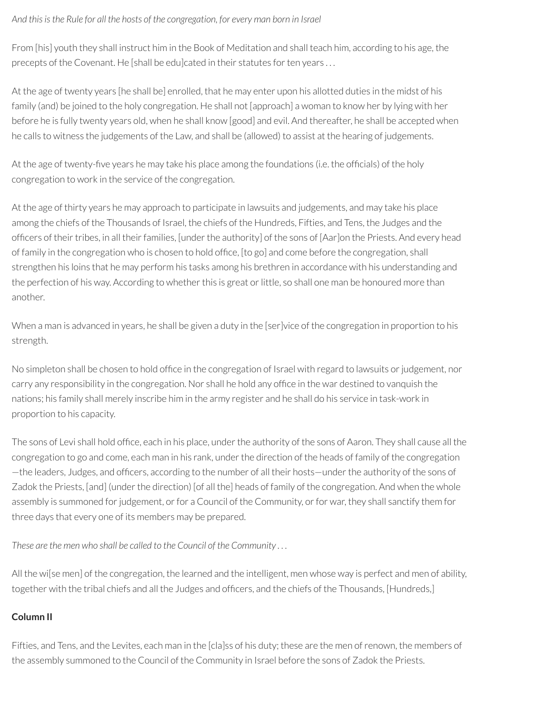#### *And thisisthe Rule for all the hosts of the congregation, for every man born in Israel*

From [his] youth they shall instruct him in the Book of Meditation and shall teach him, according to his age, the precepts of the Covenant. He [shall be edulcated in their statutes for ten years . . .

At the age of twenty years [he shall be] enrolled, that he may enter upon his allotted duties in the midst of his family (and) be joined to the holy congregation. He shall not [approach] a woman to know her by lying with her before he is fully twenty years old, when he shall know [good] and evil. And thereafter, he shall be accepted when he calls to witness the judgements of the Law, and shall be (allowed) to assist at the hearing of judgements.

At the age of twenty-five years he may take his place among the foundations (i.e. the officials) of the holy congregation to work in the service of the congregation.

At the age of thirty years he may approach to participate in lawsuits and judgements, and may take his place among the chiefs of the Thousands of Israel, the chiefs of the Hundreds, Fifties, and Tens, the Judges and the officers of their tribes, in all their families, [under the authority] of the sons of [Aar]on the Priests. And every head of family in the congregation who is chosen to hold office. [to go] and come before the congregation, shall strengthen his loins that he may perform his tasks among his brethren in accordance with his understanding and the perfection of his way. According to whether this is great or little, so shall one man be honoured more than another.

When a man is advanced in years, he shall be given a duty in the [ser]vice of the congregation in proportion to his strength.

No simpleton shall be chosen to hold office in the congregation of Israel with regard to lawsuits or judgement, nor carry any responsibility in the congregation. Nor shall he hold any office in the war destined to vanquish the nations; his family shall merely inscribe him in the army register and he shall do his service in task-work in proportion to his capacity.

The sons of Levi shall hold office, each in his place, under the authority of the sons of Aaron. They shall cause all the congregation to go and come, each man in his rank, under the direction of the heads of family of the congregation —the leaders, Judges, and officers, according to the number of all their hosts—under the authority of the sons of Zadok the Priests, [and] (under the direction) [of all the] heads of family of the congregation. And when the whole assembly is summoned for judgement, or for a Council of the Community, or for war, they shall sanctify them for three days that every one of its members may be prepared.

*These are the men who shall be called to the Council of the Community . . .*

All the wi[se men] of the congregation, the learned and the intelligent, men whose way is perfect and men of ability, together with the tribal chiefs and all the Judges and officers, and the chiefs of the Thousands, [Hundreds,]

#### **Column II**

Fifties, and Tens, and the Levites, each man in the [cla]ss of his duty; these are the men ofrenown, the members of the assembly summoned to the Council of the Community in Israel before the sons of Zadok the Priests.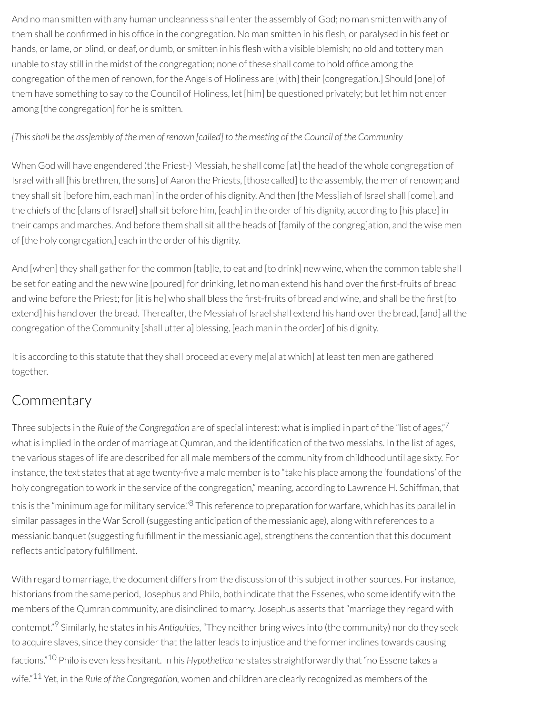And no man smitten with any human uncleanness shall enter the assembly of God; no man smitten with any of them shall be confirmed in his office in the congregation. No man smitten in his flesh, or paralysed in his feet or hands, or lame, or blind, or deaf, or dumb, or smitten in his flesh with a visible blemish; no old and tottery man unable to stay still in the midst of the congregation; none of these shall come to hold office among the congregation of the men of renown, for the Angels of Holiness are [with] their [congregation.] Should [one] of them have something to say to the Council of Holiness, let [him] be questioned privately; but let him not enter among [the congregation] for he is smitten.

### [This shall be the ass]embly of the men of renown [called] to the meeting of the Council of the Community

When God will have engendered (the Priest-) Messiah, he shall come [at] the head of the whole congregation of Israel with all [his brethren, the sons] of Aaron the Priests, [those called] to the assembly, the men ofrenown; and they shall sit [before him, each man] in the order of his dignity. And then [the Mess]iah of Israel shall [come], and the chiefs of the [clans of Israel] shall sit before him, [each] in the order of his dignity, according to [his place] in their camps and marches. And before them shall sit all the heads of [family of the congreg]ation, and the wise men of [the holy congregation,] each in the order of his dignity.

And [when] they shall gather for the common [tab]le, to eat and [to drink] new wine, when the common table shall be set for eating and the new wine [poured] for drinking, let no man extend his hand over the first-fruits of bread and wine before the Priest; for [it is he] who shall bless the first-fruits of bread and wine, and shall be the first [to extend] his hand overthe bread. Thereafter, the Messiah of Israel shall extend his hand overthe bread, [and] all the congregation of the Community [shall utter a] blessing, [each man in the order] of his dignity.

It is according to this statute that they shall proceed at every me[al at which] at least ten men are gathered together.

## **Commentary**

<span id="page-24-0"></span>Three subjects in the *Rule of the Congregation* are of special interest: what is implied in part of the "list of ages," [7](#page-26-3) what is implied in the order of marriage at Qumran, and the identification of the two messiahs. In the list of ages, the various stages of life are described for all male members of the community from childhood until age sixty. For instance, the text states that at age twenty-five a male member is to "take his place among the 'foundations' of the holy congregation to work in the service of the congregation," meaning, according to Lawrence H. Schiffman, that this is the "minimum age for military service."<sup>[8](#page-26-4)</sup> This reference to preparation for warfare, which has its parallel in similar passages in the War Scroll (suggesting anticipation of the messianic age), along with references to a messianic banquet (suggesting fulfillment in the messianic age), strengthens the contention that this document reflects anticipatory fulfillment.

<span id="page-24-4"></span><span id="page-24-3"></span><span id="page-24-2"></span><span id="page-24-1"></span>With regard to marriage, the document differs from the discussion of this subject in other sources. For instance, historians from the same period, Josephus and Philo, both indicate that the Essenes, who some identify with the members of the Qumran community, are disinclined to marry. Josephus asserts that "marriage they regard with contempt." [9](#page-26-5) Similarly, he states in his *Antiquities,* "They neither bring wives into (the community) nor do they seek to acquire slaves, since they consider that the latter leads to injustice and the former inclines towards causing factions." [10](#page-26-6) Philo is even less hesitant. In his *Hypothetica* he states straightforwardly that "no Essene takes a wife." [11](#page-26-7) Yet, in the *Rule of the Congregation,* women and children are clearly recognized as members of the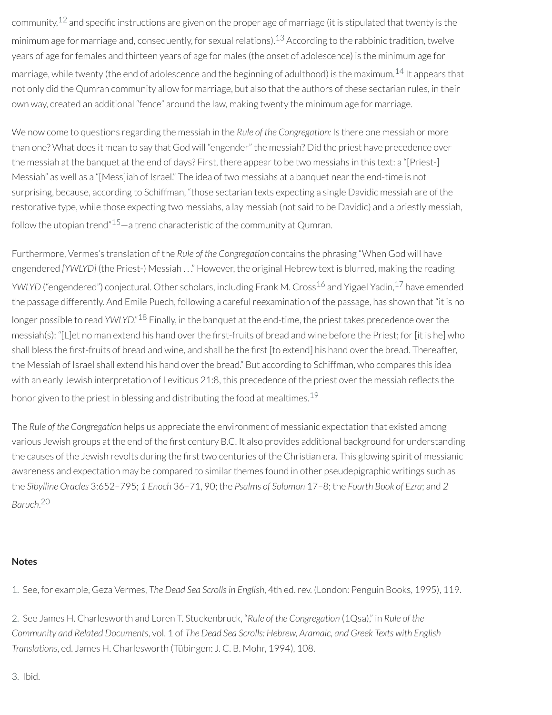<span id="page-25-5"></span><span id="page-25-4"></span><span id="page-25-3"></span>community, $^{12}$  $^{12}$  $^{12}$  and specific instructions are given on the proper age of marriage (it is stipulated that twenty is the minimum age for marriage and, consequently, for sexual relations). $^{13}$  $^{13}$  $^{13}$  According to the rabbinic tradition, twelve years of age for females and thirteen years of age for males (the onset of adolescence) is the minimum age for marriage, while twenty (the end of adolescence and the beginning of adulthood) is the maximum.<sup>[14](#page-26-10)</sup> It appears that not only did the Qumran community allow for marriage, but also that the authors of these sectarian rules, in their own way, created an additional "fence" around the law, making twenty the minimum age for marriage.

We now come to questions regarding the messiah in the *Rule of the Congregation:* Is there one messiah or more than one? What does it mean to say that God will "engender" the messiah? Did the priest have precedence over the messiah at the banquet at the end of days? First, there appear to be two messiahs in this text: a "[Priest-] Messiah" as well as a "[Mess]iah of Israel." The idea of two messiahs at a banquet near the end-time is not surprising, because, according to Schiffman, "those sectarian texts expecting a single Davidic messiah are of the restorative type, while those expecting two messiahs, a lay messiah (not said to be Davidic) and a priestly messiah, follow the utopian trend" $^{15} ^{15} ^{15}-$ a trend characteristic of the community at Qumran.

<span id="page-25-9"></span><span id="page-25-8"></span><span id="page-25-7"></span><span id="page-25-6"></span>Furthermore, Vermes's translation of the *Rule of the Congregation* contains the phrasing "When God will have engendered *[YWLYD]* (the Priest-) Messiah . . ." However, the original Hebrew text is blurred, making the reading *YWLYD* ("engendered") conjectural. Other scholars, including Frank M. Cross [16](#page-26-12) and Yigael Yadin, [17](#page-26-13) have emended the passage differently. And Emile Puech, following a careful reexamination of the passage, has shown that "it is no longer possible to read *YWLYD." <sup>[18](#page-26-14)</sup> Finally, in the banquet at the end-time, the priest takes precedence over the* messiah(s): "[L]et no man extend his hand over the first-fruits of bread and wine before the Priest; for [it is he] who shall bless the first-fruits of bread and wine, and shall be the first [to extend] his hand over the bread. Thereafter, the Messiah of Israel shall extend his hand over the bread." But according to Schiffman, who compares this idea with an early Jewish interpretation of Leviticus 21:8, this precedence of the priest over the messiah reflects the honor given to the priest in blessing and distributing the food at mealtimes. $^{19}$  $^{19}$  $^{19}$ 

<span id="page-25-10"></span>The *Rule of the Congregation* helps us appreciate the environment of messianic expectation that existed among various Jewish groups at the end of the first century B.C. It also provides additional background for understanding the causes of the Jewish revolts during the first two centuries of the Christian era. This glowing spirit of messianic awareness and expectation may be compared to similar themes found in other pseudepigraphic writings such as the *Sibylline Oracles* 3:652–795; *1 Enoch* 36–71, 90; the *Psalms of Solomon* 17–8; the *Fourth Book of Ezra*; and *2 Baruch*. [20](#page-26-16)

#### <span id="page-25-11"></span>**Notes**

<span id="page-25-0"></span>[1.](#page-22-0) See, for example, Geza Vermes, *The Dead Sea Scrolls in English*, 4th ed.rev. (London: Penguin Books, 1995), 119.

<span id="page-25-1"></span>[2.](#page-22-1) See James H. Charlesworth and Loren T. Stuckenbruck, "*Rule of the Congregation* (1Qsa)," in *Rule of the Community and Related Documents*, vol. 1 of *The Dead Sea Scrolls: Hebrew, Aramaic, and Greek Texts with English Translations*, ed. James H. Charlesworth (Tübingen: J. C. B. Mohr, 1994), 108.

<span id="page-25-2"></span>[3.](#page-22-2) Ibid.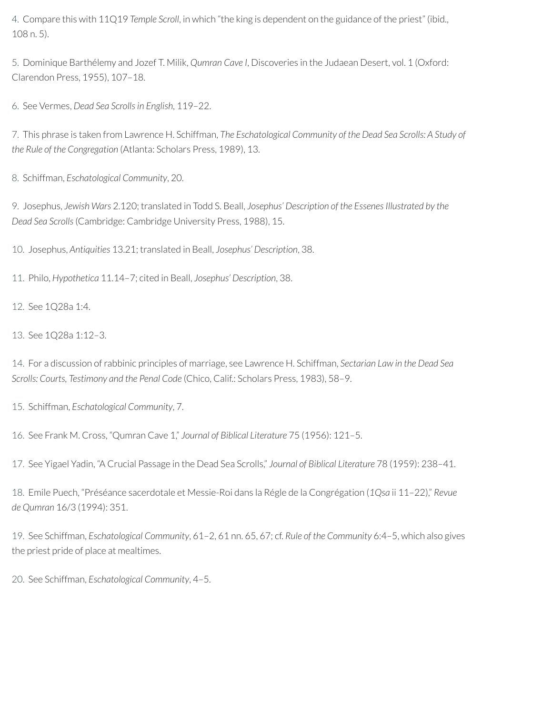<span id="page-26-0"></span>[4.](#page-22-3) Compare this with 11Q19 *Temple Scroll*, in which "the king is dependent on the guidance of the priest" (ibid., 108 n. 5).

<span id="page-26-1"></span>[5.](#page-22-4) Dominique Barthélemy and Jozef T. Milik, *Qumran Cave I*, Discoveries in the Judaean Desert, vol. 1 (Oxford: Clarendon Press, 1955), 107–18.

<span id="page-26-2"></span>[6.](#page-22-5) See Vermes, *Dead Sea Scrolls in English*, 119–22.

<span id="page-26-3"></span>[7.](#page-24-0) This phrase is taken from Lawrence H. Schiffman, *The Eschatological Community of the Dead Sea Scrolls: A Study of the Rule of the Congregation* (Atlanta: Scholars Press, 1989), 13.

<span id="page-26-4"></span>[8.](#page-24-1) Schiffman, *Eschatological Community*, 20.

<span id="page-26-5"></span>[9.](#page-24-2) Josephus, *Jewish Wars* 2.120; translated in Todd S. Beall, *Josephus' Description of the Essenes Illustrated by the Dead Sea Scrolls*(Cambridge: Cambridge University Press, 1988), 15.

<span id="page-26-6"></span>[10.](#page-24-3) Josephus, *Antiquities* 13.21; translated in Beall, *Josephus' Description*, 38.

<span id="page-26-7"></span>[11.](#page-24-4) Philo, *Hypothetica* 11.14–7; cited in Beall, *Josephus' Description*, 38.

<span id="page-26-8"></span>[12.](#page-25-3) See 1Q28a 1:4.

<span id="page-26-9"></span>[13.](#page-25-4) See 1Q28a 1:12–3.

<span id="page-26-10"></span>[14.](#page-25-5) For a discussion ofrabbinic principles of marriage, see Lawrence H. Schiffman, *Sectarian Law in the Dead Sea Scrolls: Courts, Testimony and the Penal Code* (Chico, Calif.: Scholars Press, 1983), 58–9.

<span id="page-26-11"></span>[15.](#page-25-6) Schiffman, *Eschatological Community*, 7.

<span id="page-26-12"></span>[16.](#page-25-7) See Frank M. Cross, "Qumran Cave 1," *Journal of Biblical Literature* 75 (1956): 121–5.

<span id="page-26-13"></span>[17.](#page-25-8) See Yigael Yadin, "A Crucial Passage in the Dead Sea Scrolls," *Journal of Biblical Literature* 78 (1959): 238–41.

<span id="page-26-14"></span>[18.](#page-25-9) Emile Puech, "Préséance sacerdotale et Messie-Roi dans la Régle de la Congrégation (*1Qsa* ii 11–22)," *Revue de Qumran* 16/3 (1994): 351.

<span id="page-26-15"></span>[19.](#page-25-10) See Schiffman, *Eschatological Community*, 61–2, 61 nn. 65, 67; cf. *Rule of the Community* 6:4–5, which also gives the priest pride of place at mealtimes.

<span id="page-26-16"></span>[20.](#page-25-11) See Schiffman, *Eschatological Community*, 4–5.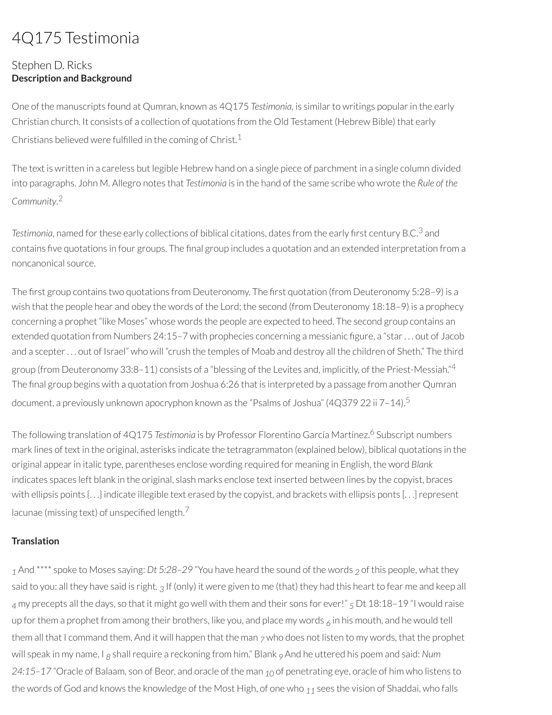## 4Q175 Testimonia

### Stephen D. Ricks **Description and Background**

One of the manuscripts found at Qumran, known as 4Q175 *Testimonia*, is similarto writings popularin the early Christian church. It consists of a collection of quotations from the Old Testament (Hebrew Bible) that early Christians believed were fulfilled in the coming of Christ.<sup>[1](#page-28-0)</sup>

<span id="page-27-0"></span>The text is written in a careless but legible Hebrew hand on a single piece of parchment in a single column divided into paragraphs. John M. Allegro notes that *Testimonia* is in the hand of the same scribe who wrote the *Rule of the Community*. [2](#page-29-0)

<span id="page-27-2"></span><span id="page-27-1"></span>Testimonia, named for these early collections of biblical citations, dates from the early first century B.C.<sup>[3](#page-29-1)</sup> and contains five quotations in four groups. The final group includes a quotation and an extended interpretation from a noncanonical source.

The first group contains two quotations from Deuteronomy. The first quotation (from Deuteronomy 5:28–9) is a wish that the people hear and obey the words of the Lord; the second (from Deuteronomy 18:18–9) is a prophecy concerning a prophet "like Moses" whose words the people are expected to heed. The second group contains an extended quotation from Numbers 24:15-7 with prophecies concerning a messianic figure, a "star... out of Jacob and a scepter. . . out of Israel" who will "crush the temples of Moab and destroy all the children of Sheth." The third group (from Deuteronomy 33:8–11) consists of a "blessing of the Levites and, implicitly, of the Priest-Messiah." [4](#page-29-2) The final group begins with a quotation from Joshua 6:26 that is interpreted by a passage from another Qumran document, a previously unknown apocryphon known as the "Psalms of Joshua" (4Q379 22 ii 7–14). $^{\rm 5}$  $^{\rm 5}$  $^{\rm 5}$ 

<span id="page-27-5"></span><span id="page-27-4"></span><span id="page-27-3"></span>The following translation of 4Q175 *Testimonia* is by Professor Florentino García Martínez. [6](#page-29-4) Subscript numbers mark lines of text in the original, asterisks indicate the tetragrammaton (explained below), biblical quotations in the original appearin italic type, parentheses enclose wording required for meaning in English, the word *Blank* indicates spaces left blank in the original, slash marks enclose text inserted between lines by the copyist, braces with ellipsis points {...} indicate illegible text erased by the copyist, and brackets with ellipsis ponts [...] represent lacunae (missing text) of unspecified length. $^7$  $^7$ 

#### <span id="page-27-6"></span>**Translation**

*1* And \*\*\*\* spoke to Moses saying: *Dt 5:28–29* "You have heard the sound of the words *2* of this people, what they said to you: all they have said is right. *3* If (only) it were given to me (that) they had this heart to fear me and keep all *4* my precepts all the days, so that it might go well with them and their sons for ever!" *5* Dt 18:18–19 "I would raise up for them a prophet from among their brothers, like you, and place my words 6 in his mouth, and he would tell them all that I command them. And it will happen that the man *7* who does not listen to my words, that the prophet will speak in my name, I <sub>8</sub> shall require a reckoning from him." Blank <sub>9</sub> And he uttered his poem and said: *Num 24:15–17* "Oracle of Balaam, son of Beor, and oracle of the man *10* of penetrating eye, oracle of him who listens to the words of God and knows the knowledge of the Most High, of one who *11* sees the vision of Shaddai, who falls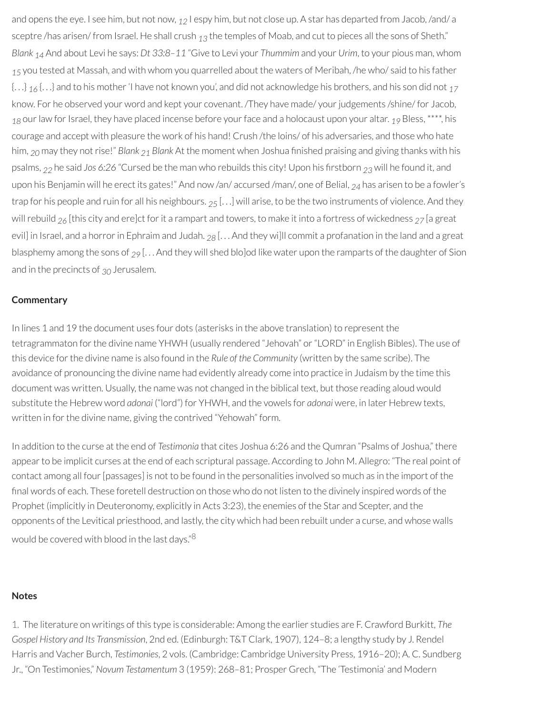and opens the eye. I see him, but not now, *12* I espy him, but not close up. A star has departed from Jacob, /and/ a sceptre /has arisen/ from Israel. He shall crush *13* the temples of Moab, and cut to pieces all the sons of Sheth." *Blank 14* And about Levi he says: *Dt 33:8–11* "Give to Levi your *Thummim* and your *Urim*, to your pious man, whom *15* you tested at Massah, and with whom you quarrelled about the waters of Meribah, /he who/ said to his father {. . .} *16* {. . .} and to his mother'I have not known you', and did not acknowledge his brothers, and his son did not *17* know. For he observed your word and kept your covenant. *(They have made/ your judgements /shine/ for Jacob, ) 18* ourlaw forIsrael, they have placed incense before yourface and a holocaust upon your altar. *19* Bless, \*\*\*\*, his courage and accept with pleasure the work of his hand! Crush /the loins/ of his adversaries, and those who hate him, <sub>20</sub> may they not rise!" *Blank* <sub>21</sub> *Blank* At the moment when Joshua finished praising and giving thanks with his psalms, 22<sup></sup> he said Jos 6:26 "Cursed be the man who rebuilds this city! Upon his firstborn 23 will he found it, and upon his Benjamin will he erect its gates!" And now /an/ accursed /man/, one of Belial, *24* has arisen to be a fowler's trap for his people and ruin for all his neighbours. *25* [. . .] will arise, to be the two instruments of violence. And they will rebuild <sub>26</sub> [this city and ere]ct for it a rampart and towers, to make it into a fortress of wickedness <sub>27</sub> [a great] evil] in Israel, and a horrorin Ephraim and Judah. *28* [. . . And they wi]ll commit a profanation in the land and a great blasphemy among the sons of <sub>29</sub> [... And they will shed blo]od like water upon the ramparts of the daughter of Sion and in the precincts of *30* Jerusalem.

#### **Commentary**

In lines 1 and 19 the document uses four dots (asterisks in the above translation) to represent the tetragrammaton forthe divine name YHWH (usually rendered "Jehovah" or"LORD" in English Bibles). The use of this device forthe divine name is also found in the *Rule of the Community* (written by the same scribe). The avoidance of pronouncing the divine name had evidently already come into practice in Judaism by the time this document was written. Usually, the name was not changed in the biblical text, but those reading aloud would substitute the Hebrew word *adonai* ("lord") for YHWH, and the vowels for *adonai* were, in later Hebrew texts, written in for the divine name, giving the contrived "Yehowah" form.

In addition to the curse at the end of *Testimonia* that cites Joshua 6:26 and the Qumran "Psalms of Joshua," there appearto be implicit curses at the end of each scriptural passage. According to John M. Allegro: "The real point of contact among all four[passages] is not to be found in the personalities involved so much as in the import of the final words of each. These foretell destruction on those who do not listen to the divinely inspired words of the Prophet (implicitly in Deuteronomy, explicitly in Acts 3:23), the enemies of the Star and Scepter, and the opponents of the Levitical priesthood, and lastly, the city which had been rebuilt under a curse, and whose walls would be covered with blood in the last days." $^8$  $^8$ 

#### <span id="page-28-1"></span>**Notes**

<span id="page-28-0"></span>[1.](#page-27-0) The literature on writings of this type is considerable: Among the earlier studies are F. Crawford Burkitt, *The Gospel History and Its Transmission*, 2nd ed. (Edinburgh: T&T Clark, 1907), 124–8; a lengthy study by J. Rendel Harris and Vacher Burch, *Testimonies*, 2 vols. (Cambridge: Cambridge University Press, 1916–20); A. C. Sundberg Jr., "On Testimonies," *Novum Testamentum* 3 (1959): 268–81; Prosper Grech, "The 'Testimonia' and Modern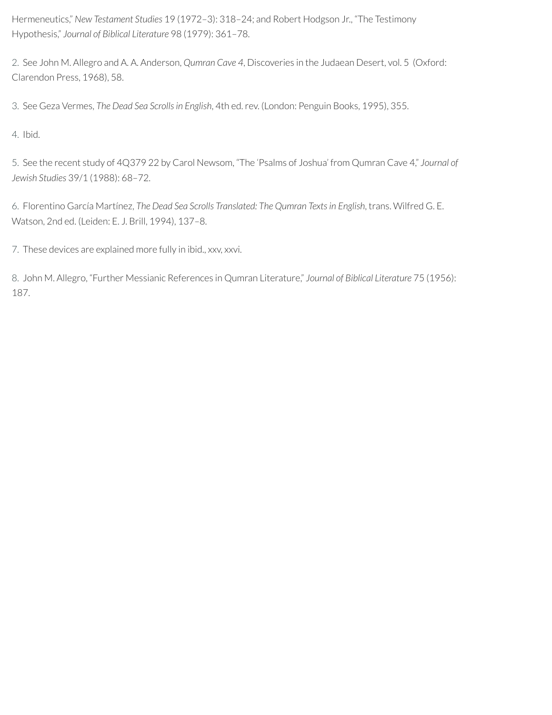Hermeneutics," *New Testament Studies* 19 (1972–3): 318–24; and Robert Hodgson Jr., "The Testimony Hypothesis," *Journal of Biblical Literature* 98 (1979): 361–78.

<span id="page-29-0"></span>[2.](#page-27-1) See John M. Allegro and A. A. Anderson, *Qumran Cave 4*, Discoveries in the Judaean Desert, vol. 5 (Oxford: Clarendon Press, 1968), 58.

<span id="page-29-1"></span>[3.](#page-27-2) See Geza Vermes, *The Dead Sea Scrollsin English*, 4th ed.rev. (London: Penguin Books, 1995), 355.

<span id="page-29-2"></span>[4.](#page-27-3) Ibid.

<span id="page-29-3"></span>[5.](#page-27-4) See the recent study of 4Q379 22 by Carol Newsom, "The 'Psalms of Joshua' from Qumran Cave 4," *Journal of Jewish Studies* 39/1 (1988): 68–72.

<span id="page-29-4"></span>[6.](#page-27-5) Florentino García Martínez, *The Dead Sea Scrolls Translated: The Qumran Textsin English*, trans. Wilfred G. E. Watson, 2nd ed. (Leiden: E. J. Brill, 1994), 137–8.

<span id="page-29-5"></span>[7.](#page-27-6) These devices are explained more fully in ibid., xxv, xxvi.

<span id="page-29-6"></span>[8.](#page-28-1) John M. Allegro, "Further Messianic References in Qumran Literature," *Journal of Biblical Literature* 75 (1956): 187.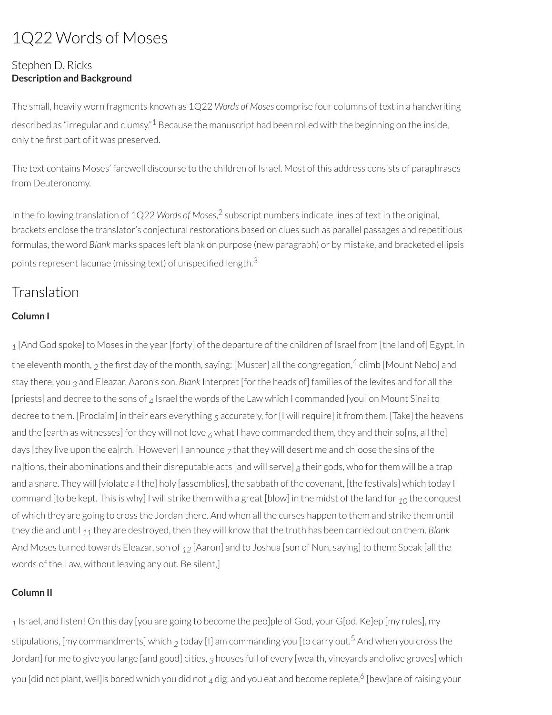## 1Q22 Words of Moses

### Stephen D. Ricks **Description and Background**

<span id="page-30-0"></span>The small, heavily worn fragments known as 1Q22 *Words of Moses* comprise four columns of text in a handwriting described as "irregular and clumsy." $^1$  $^1$  Because the manuscript had been rolled with the beginning on the inside, only the first part of it was preserved.

The text contains Moses' farewell discourse to the children of Israel. Most of this address consists of paraphrases from Deuteronomy.

<span id="page-30-1"></span>In the following translation of 1Q22 *Words of Moses*, [2](#page-32-1) subscript numbers indicate lines of text in the original, brackets enclose the translator's conjectural restorations based on clues such as parallel passages and repetitious formulas, the word *Blank* marks spaces left blank on purpose (new paragraph) or by mistake, and bracketed ellipsis points represent lacunae (missing text) of unspecified length. $^3$  $^3$ 

## <span id="page-30-2"></span>**Translation**

### **Column I**

<span id="page-30-3"></span>*1* [And God spoke] to Moses in the year[forty] of the departure of the children of Israel from [the land of] Egypt, in the eleventh month, <sub>2</sub> the first day of the month, saying: [Muster] all the congregation,<sup>[4](#page-32-3)</sup> climb [Mount Nebo] and stay there, you *3* and Eleazar, Aaron's son. *Blank* Interpret [forthe heads of] families of the levites and for all the [priests] and decree to the sons of *4* Israel the words of the Law which I commanded [you] on Mount Sinai to decree to them. [Proclaim] in their ears everything 5 accurately, for [I will require] it from them. [Take] the heavens and the [earth as witnesses] for they will not love 6 what I have commanded them, they and their so[ns, all the] days [they live upon the ea]rth. [However] I announce *7* that they will desert me and ch[oose the sins of the na]tions, their abominations and their disreputable acts [and will serve] *8* their gods, who forthem will be a trap and a snare. They will [violate all the] holy [assemblies], the sabbath of the covenant, [the festivals] which today I command [to be kept. This is why] I will strike them with a great [blow] in the midst of the land for *10* the conquest of which they are going to cross the Jordan there. And when all the curses happen to them and strike them until they die and until *11* they are destroyed, then they will know that the truth has been carried out on them. *Blank* And Moses turned towards Eleazar, son of *12* [Aaron] and to Joshua [son of Nun, saying] to them: Speak [all the words of the Law, without leaving any out. Be silent,]

### **Column II**

<span id="page-30-5"></span><span id="page-30-4"></span>*1* Israel, and listen! On this day [you are going to become the peo]ple of God, your G[od. Ke]ep [my rules], my stipulations, [my commandments] which *2* today [I] am commanding you [to carry out. [5](#page-32-4) And when you cross the Jordan] for me to give you large [and good] cities, *3* houses full of every [wealth, vineyards and olive groves] which you [did not plant, wel]ls bored which you did not *4* dig, and you eat and become replete, [6](#page-32-5) [bew]are ofraising your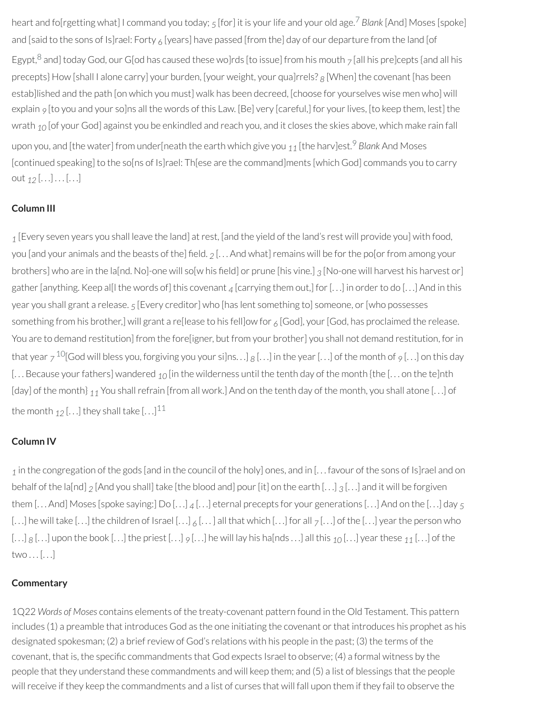<span id="page-31-1"></span><span id="page-31-0"></span>heart and fo[rgetting what] I command you today; *5* [for] it is yourlife and your old age. [7](#page-32-6) *Blank* [And] Moses [spoke] and [said to the sons of Is]rael: Forty 6 [years] have passed [from the] day of our departure from the land [of Egypt, [8](#page-32-7) and] today God, our G[od has caused these wo]rds [to issue] from his mouth *<sup>7</sup>* [all his pre]cepts {and all his precepts} How [shall I alone carry] your burden, [your weight, your qua]rrels? *8* [When] the covenant [has been estab]lished and the path [on which you must] walk has been decreed, [choose for yourselves wise men who] will explain *9* [to you and your so]ns all the words of this Law. [Be] very [careful,] for yourlives, [to keep them, lest] the wrath *10* [of your God] against you be enkindled and reach you, and it closes the skies above, which make rain fall upon you, and [the water] from under[neath the earth which give you *11* [the harv]est. [9](#page-32-8) *Blank* And Moses [continued speaking] to the so[ns of Is]rael: Th[ese are the command]ments [which God] commands you to carry out *12* [. . .] . . . [. . .]

#### <span id="page-31-2"></span>**Column III**

*1* [Every seven years you shall leave the land] atrest, [and the yield of the land's rest will provide you] with food, you [and your animals and the beasts of the] field.  $2$  [... And what] remains will be for the po[or from among your brothers] who are in the la[nd. No]-one will so[w his field] or prune [his vine.] 3 [No-one will harvest his harvest or] gather [anything. Keep al[l the words of] this covenant  $\Delta$  [carrying them out,] for [...] in order to do [...] And in this year you shall grant a release. *5* [Every creditor] who [has lent something to] someone, or[who possesses something from his brother,] will grant a re[lease to his fell]ow for *6* [God], your[God, has proclaimed the release. You are to demand restitution] from the fore [igner, but from your brother] you shall not demand restitution, for in that year *7* [10](#page-32-9)[God will bless you, forgiving you your si]ns. . .] *<sup>8</sup>* [. . .] in the year[. . .] of the month of *<sup>9</sup>* [. . .] on this day [...Because your fathers] wandered <sub>10</sub> [in the wilderness until the tenth day of the month {the [... on the te]nth [day] of the month} 11 You shall refrain [from all work.] And on the tenth day of the month, you shall atone [...] of the month  $_{12}[...]$  they shall take  $[...]^{11}$  $[...]^{11}$  $[...]^{11}$ 

#### <span id="page-31-4"></span><span id="page-31-3"></span>**Column IV**

*1* in the congregation of the gods [and in the council of the holy] ones, and in [. . . favour of the sons of Is]rael and on behalf of the la[nd]  $_2$  [And you shall] take [the blood and] pour [it] on the earth [...]  $_3$ [...] and it will be forgiven them [. . . And] Moses [spoke saying:] Do [. . .] *4* [. . .] eternal precepts for your generations [. . .] And on the [. . .] day *5* [...] he will take [...] the children of Israel [...]  $_6$  [...] all that which [...] for all  $_7$  [...] of the [...] year the person who  $[...]_8[...]$  upon the book  $[...]$  the priest  $[...]_9[...]$  he will lay his ha[nds . . ] all this  $_{10}[...]$  year these  $_{11}[...]$  of the  $two...$   $[...]$ 

#### **Commentary**

1Q22 *Words of Moses* contains elements of the treaty-covenant pattern found in the Old Testament. This pattern includes (1) a preamble that introduces God as the one initiating the covenant orthat introduces his prophet as his designated spokesman; (2) a briefreview of God's relations with his people in the past; (3) the terms of the covenant, that is, the specific commandments that God expects Israel to observe; (4) a formal witness by the people that they understand these commandments and will keep them; and (5) a list of blessings that the people will receive if they keep the commandments and a list of curses that will fall upon them if they fail to observe the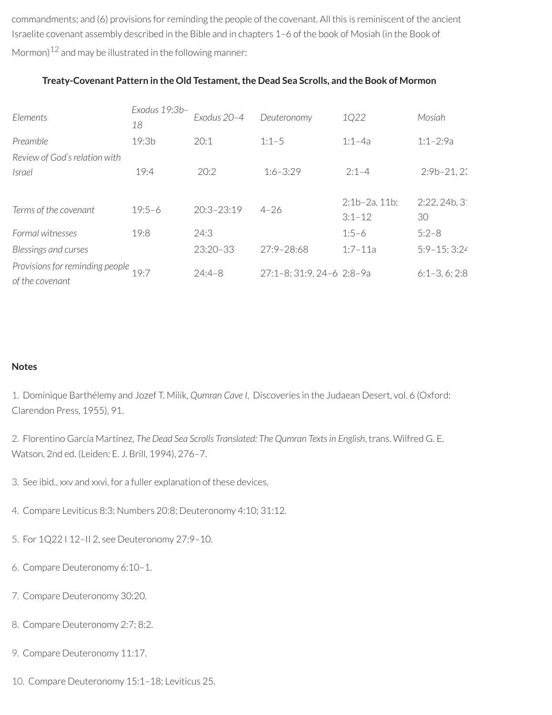commandments; and (6) provisions for reminding the people of the covenant. All this is reminiscent of the ancient Israelite covenant assembly described in the Bible and in chapters 1–6 of the book of Mosiah (in the Book of Mormon) [12](#page-33-1) and may be illustrated in the following manner:

#### <span id="page-32-10"></span>**Treaty-Covenant Pattern in the Old Testament,the Dead Sea Scrolls, and the Book of Mormon**

| Elements                                           | Exodus 19:3b-<br>18 | Exodus 20-4    | Deuteronomy               | 1Q22                        | Mosiah            |
|----------------------------------------------------|---------------------|----------------|---------------------------|-----------------------------|-------------------|
| Preamble                                           | 19:3b               | 20:1           | $1:1-5$                   | $1:1 - 4a$                  | $1:1-2:9a$        |
| Review of God's relation with                      |                     |                |                           |                             |                   |
| <i>Israel</i>                                      | 19:4                | 20:2           | $1:6 - 3:29$              | $2:1 - 4$                   | $2:9b-21,2$       |
| Terms of the covenant                              | $19:5-6$            | $20:3 - 23:19$ | $4 - 26$                  | $2:1b-2a, 11b;$<br>$3:1-12$ | 2:22,24b,3:<br>30 |
| Formal witnesses                                   | 19:8                | 24:3           |                           | $1:5-6$                     | $5:2-8$           |
| Blessings and curses                               |                     | $23:20-33$     | $27:9 - 28:68$            | $1:7 - 11a$                 | $5:9 - 15:3:24$   |
| Provisions for reminding people<br>of the covenant | 19.7                | $24:4-8$       | 27:1-8; 31:9, 24-6 2:8-9a |                             | $6:1-3, 6; 2:8$   |

#### **Notes**

<span id="page-32-0"></span>[1.](#page-30-0) Dominique Barthélemy and Jozef T. Milik, *Qumran Cave I*, Discoveries in the Judaean Desert, vol. 6 (Oxford: Clarendon Press, 1955), 91.

<span id="page-32-1"></span>[2.](#page-30-1) Florentino García Martínez, *The Dead Sea Scrolls Translated: The Qumran Textsin English*, trans. Wilfred G. E. Watson, 2nd ed. (Leiden: E. J. Brill, 1994), 276–7.

- <span id="page-32-2"></span>[3.](#page-30-2) See ibid., xxv and xxvi, for a fuller explanation of these devices.
- <span id="page-32-3"></span>[4.](#page-30-3) Compare Leviticus 8:3; Numbers 20:8; Deuteronomy 4:10; 31:12.
- <span id="page-32-4"></span>[5.](#page-30-4) For 1Q22 I 12–II 2, see Deuteronomy 27:9–10.
- <span id="page-32-5"></span>[6.](#page-30-5) Compare Deuteronomy 6:10–1.
- <span id="page-32-6"></span>[7.](#page-31-0) Compare Deuteronomy 30:20.
- <span id="page-32-7"></span>[8.](#page-31-1) Compare Deuteronomy 2:7; 8:2.
- <span id="page-32-8"></span>[9.](#page-31-2) Compare Deuteronomy 11:17.
- <span id="page-32-9"></span>[10.](#page-31-3) Compare Deuteronomy 15:1–18; Leviticus 25.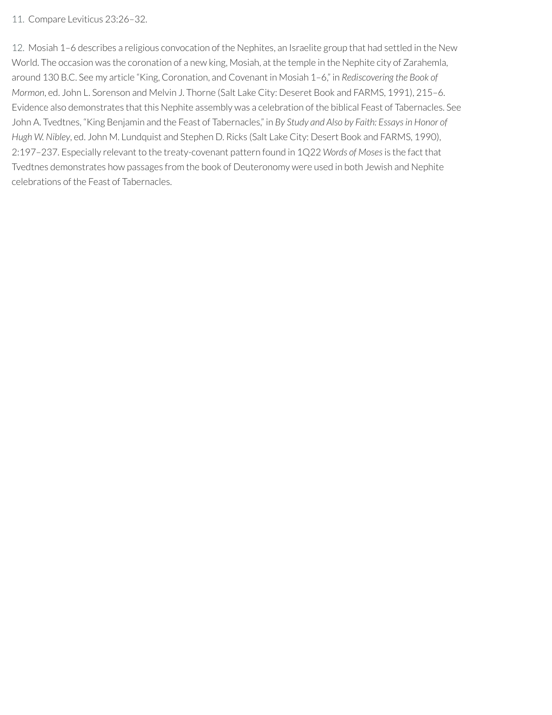#### <span id="page-33-0"></span>[11.](#page-31-4) Compare Leviticus 23:26–32.

<span id="page-33-1"></span>[12.](#page-32-10) Mosiah 1–6 describes a religious convocation of the Nephites, an Israelite group that had settled in the New World. The occasion was the coronation of a new king, Mosiah, at the temple in the Nephite city of Zarahemla, around 130 B.C. See my article "King, Coronation, and Covenant in Mosiah 1–6," in *Rediscovering the Book of Mormon*, ed. John L. Sorenson and Melvin J. Thorne (Salt Lake City: Deseret Book and FARMS, 1991), 215–6. Evidence also demonstrates that this Nephite assembly was a celebration of the biblical Feast of Tabernacles. See John A. Tvedtnes, "King Benjamin and the Feast of Tabernacles," in *By Study and Also by Faith: Essaysin Honor of Hugh W. Nibley*, ed. John M. Lundquist and Stephen D. Ricks (Salt Lake City: Desert Book and FARMS, 1990), 2:197–237. Especially relevant to the treaty-covenant pattern found in 1Q22 *Words of Moses*is the fact that Tvedtnes demonstrates how passages from the book of Deuteronomy were used in both Jewish and Nephite celebrations of the Feast of Tabernacles.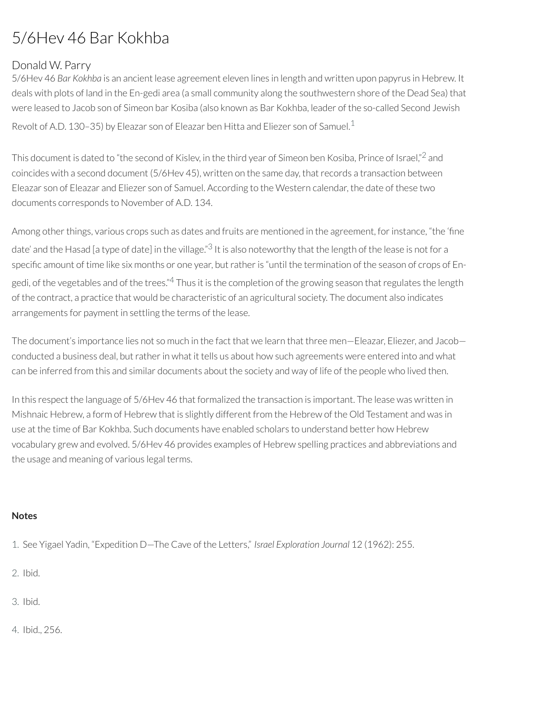## 5/6Hev 46 Bar Kokhba

### Donald W. Parry

5/6Hev 46 *Bar Kokhba* is an ancient lease agreement eleven lines in length and written upon papyrus in Hebrew. It deals with plots of land in the En-gedi area (a small community along the southwestern shore of the Dead Sea) that were leased to Jacob son of Simeon bar Kosiba (also known as Bar Kokhba, leader of the so-called Second Jewish Revolt of A.D. [1](#page-34-0)30-35) by Eleazar son of Eleazar ben Hitta and Eliezer son of Samuel.<sup>1</sup>

<span id="page-34-5"></span><span id="page-34-4"></span>This document is dated to "the second of Kislev, in the third year of Simeon ben Kosiba, Prince of Israel,"<sup>[2](#page-34-1)</sup> and coincides with a second document (5/6Hev 45), written on the same day, thatrecords a transaction between Eleazar son of Eleazar and Eliezer son of Samuel. According to the Western calendar, the date of these two documents corresponds to November of A.D. 134.

<span id="page-34-7"></span><span id="page-34-6"></span>Among other things, various crops such as dates and fruits are mentioned in the agreement, for instance, "the 'fine date' and the Hasad [a type of date] in the village."<sup>[3](#page-34-2)</sup> It is also noteworthy that the length of the lease is not for a specific amount of time like six months or one year, but rather is "until the termination of the season of crops of En-gedi, of the vegetables and of the trees."<sup>[4](#page-34-3)</sup> Thus it is the completion of the growing season that regulates the length of the contract, a practice that would be characteristic of an agricultural society. The document also indicates arrangements for payment in settling the terms of the lease.

The document's importance lies not so much in the fact that we learn that three men—Eleazar, Eliezer, and Jacob conducted a business deal, but rather in what it tells us about how such agreements were entered into and what can be inferred from this and similar documents about the society and way of life of the people who lived then.

In this respect the language of 5/6Hev 46 that formalized the transaction is important. The lease was written in Mishnaic Hebrew, a form of Hebrew that is slightly different from the Hebrew of the Old Testament and was in use at the time of Bar Kokhba. Such documents have enabled scholars to understand better how Hebrew vocabulary grew and evolved. 5/6Hev 46 provides examples of Hebrew spelling practices and abbreviations and the usage and meaning of various legal terms.

#### **Notes**

- <span id="page-34-0"></span>[1.](#page-34-4) See Yigael Yadin, "Expedition D—The Cave of the Letters," *Israel Exploration Journal* 12 (1962): 255.
- <span id="page-34-1"></span>[2.](#page-34-5) Ibid.
- <span id="page-34-2"></span>[3.](#page-34-6) Ibid.
- <span id="page-34-3"></span>[4.](#page-34-7) Ibid., 256.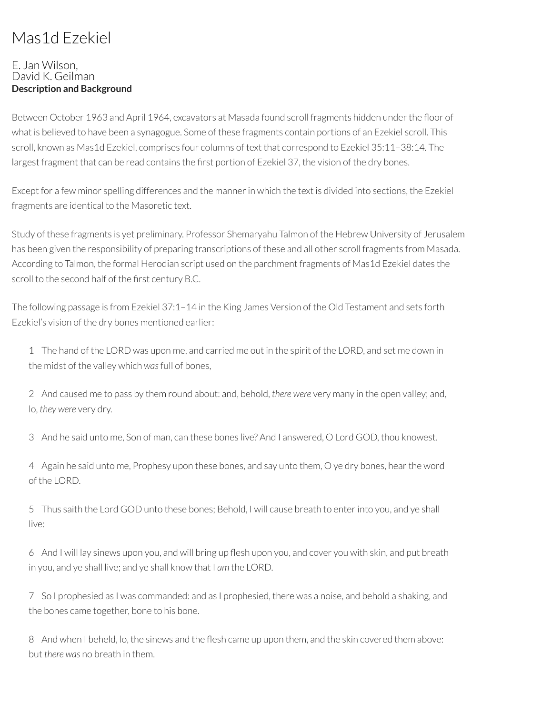## Mas1d Ezekiel

#### E. Jan Wilson, David K. Geilman **Description and Background**

Between October 1963 and April 1964, excavators at Masada found scroll fragments hidden under the floor of what is believed to have been a synagogue. Some of these fragments contain portions of an Ezekiel scroll. This scroll, known as Mas1d Ezekiel, comprises four columns of text that correspond to Ezekiel 35:11–38:14. The largest fragment that can be read contains the first portion of Ezekiel 37, the vision of the dry bones.

Except for a few minor spelling differences and the manner in which the text is divided into sections, the Ezekiel fragments are identical to the Masoretic text.

Study of these fragments is yet preliminary. Professor Shemaryahu Talmon of the Hebrew University of Jerusalem has been given the responsibility of preparing transcriptions of these and all other scroll fragments from Masada. According to Talmon, the formal Herodian script used on the parchment fragments of Mas1d Ezekiel dates the scroll to the second half of the first century B.C.

The following passage is from Ezekiel 37:1–14 in the King James Version of the Old Testament and sets forth Ezekiel's vision of the dry bones mentioned earlier:

1 The hand of the LORD was upon me, and carried me out in the spirit of the LORD, and set me down in the midst of the valley which *was*full of bones,

2 And caused me to pass by them round about: and, behold, *there were* very many in the open valley; and, lo, *they were* very dry.

3 And he said unto me, Son of man, can these bones live? And I answered, O Lord GOD, thou knowest.

4 Again he said unto me, Prophesy upon these bones, and say unto them, O ye dry bones, hearthe word of the LORD.

5 Thus saith the Lord GOD unto these bones; Behold, I will cause breath to enterinto you, and ye shall live:

6 And I will lay sinews upon you, and will bring up flesh upon you, and cover you with skin, and put breath in you, and ye shall live; and ye shall know that I *am* the LORD.

7 So I prophesied as I was commanded: and as I prophesied, there was a noise, and behold a shaking, and the bones came together, bone to his bone.

8 And when I beheld, lo, the sinews and the flesh came up upon them, and the skin covered them above: but *there was* no breath in them.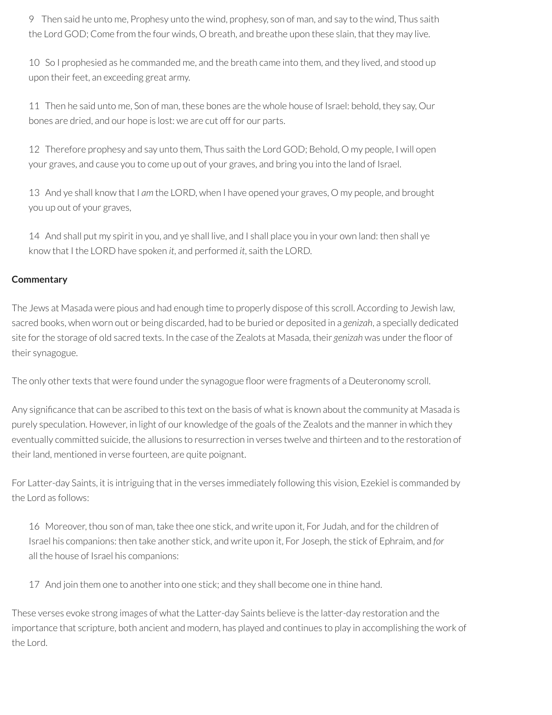9 Then said he unto me, Prophesy unto the wind, prophesy, son of man, and say to the wind, Thus saith the Lord GOD; Come from the four winds, O breath, and breathe upon these slain, that they may live.

10 So I prophesied as he commanded me, and the breath came into them, and they lived, and stood up upon their feet, an exceeding great army.

11 Then he said unto me, Son of man, these bones are the whole house of Israel: behold, they say, Our bones are dried, and our hope is lost: we are cut off for our parts.

12 Therefore prophesy and say unto them, Thus saith the Lord GOD; Behold, O my people, I will open your graves, and cause you to come up out of your graves, and bring you into the land of Israel.

13 And ye shall know that I *am* the LORD, when I have opened your graves, O my people, and brought you up out of your graves,

14 And shall put my spirit in you, and ye shall live, and I shall place you in your own land: then shall ye know that I the LORD have spoken *it*, and performed *it*, saith the LORD.

#### **Commentary**

The Jews at Masada were pious and had enough time to properly dispose of this scroll. According to Jewish law, sacred books, when worn out or being discarded, had to be buried or deposited in a *genizah*, a specially dedicated site for the storage of old sacred texts. In the case of the Zealots at Masada, their *genizah* was under the floor of their synagogue.

The only other texts that were found under the synagogue floor were fragments of a Deuteronomy scroll.

Any significance that can be ascribed to this text on the basis of what is known about the community at Masada is purely speculation. However, in light of our knowledge of the goals of the Zealots and the mannerin which they eventually committed suicide, the allusions to resurrection in verses twelve and thirteen and to the restoration of their land, mentioned in verse fourteen, are quite poignant.

For Latter-day Saints, it is intriguing that in the verses immediately following this vision, Ezekiel is commanded by the Lord as follows:

16 Moreover, thou son of man, take thee one stick, and write upon it, For Judah, and forthe children of Israel his companions: then take another stick, and write upon it, For Joseph, the stick of Ephraim, and *for* all the house of Israel his companions:

17 And join them one to anotherinto one stick; and they shall become one in thine hand.

These verses evoke strong images of what the Latter-day Saints believe is the latter-day restoration and the importance that scripture, both ancient and modern, has played and continues to play in accomplishing the work of the Lord.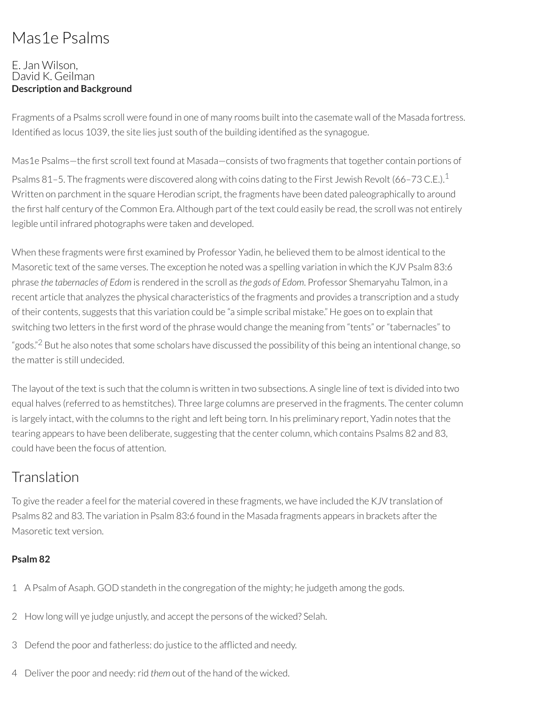## Mas1e Psalms

#### E. Jan Wilson, David K. Geilman **Description and Background**

Fragments of a Psalms scroll were found in one of many rooms built into the casemate wall of the Masada fortress. Identified as locus 1039, the site lies just south of the building identified as the synagogue.

Mas1e Psalms—the first scroll text found at Masada—consists of two fragments that together contain portions of

<span id="page-37-0"></span>Psalms 8[1](#page-39-0)-5. The fragments were discovered along with coins dating to the First Jewish Revolt (66-73 C.E.).<sup>1</sup> Written on parchment in the square Herodian script, the fragments have been dated paleographically to around the first half century of the Common Era. Although part of the text could easily be read, the scroll was not entirely legible until infrared photographs were taken and developed.

When these fragments were first examined by Professor Yadin, he believed them to be almost identical to the Masoretic text of the same verses. The exception he noted was a spelling variation in which the KJV Psalm 83:6 phrase *the tabernacles of Edom* is rendered in the scroll as *the gods of Edom*. Professor Shemaryahu Talmon, in a recent article that analyzes the physical characteristics of the fragments and provides a transcription and a study of their contents, suggests that this variation could be "a simple scribal mistake." He goes on to explain that switching two letters in the first word of the phrase would change the meaning from "tents" or "tabernacles" to "gods."<sup>[2](#page-39-1)</sup> But he also notes that some scholars have discussed the possibility of this being an intentional change, so the matteris still undecided.

<span id="page-37-1"></span>The layout of the text is such that the column is written in two subsections. A single line of text is divided into two equal halves (referred to as hemstitches). Three large columns are preserved in the fragments. The center column is largely intact, with the columns to the right and left being torn. In his preliminary report, Yadin notes that the tearing appears to have been deliberate, suggesting that the center column, which contains Psalms 82 and 83, could have been the focus of attention.

## **Translation**

To give the reader a feel for the material covered in these fragments, we have included the KJV translation of Psalms 82 and 83. The variation in Psalm 83:6 found in the Masada fragments appears in brackets after the Masoretic text version.

#### **Psalm 82**

- 1 A Psalm of Asaph. GOD standeth in the congregation of the mighty; he judgeth among the gods.
- 2 How long will ye judge unjustly, and accept the persons of the wicked? Selah.
- 3 Defend the poor and fatherless: do justice to the afflicted and needy.
- 4 Deliver the poor and needy: rid *them* out of the hand of the wicked.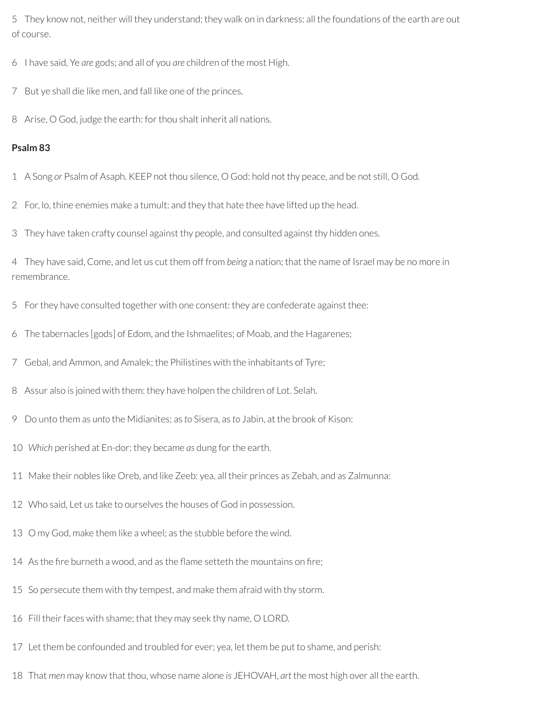They know not, neither will they understand; they walk on in darkness: all the foundations of the earth are out of course.

I have said, Ye *are* gods; and all of you *are* children of the most High.

- But ye shall die like men, and fall like one of the princes.
- 8 Arise, O God, judge the earth: for thou shalt inherit all nations.

#### **Psalm 83**

- A Song *or* Psalm of Asaph. KEEP not thou silence, O God: hold not thy peace, and be not still, O God.
- For, lo, thine enemies make a tumult: and they that hate thee have lifted up the head.
- They have taken crafty counsel against thy people, and consulted against thy hidden ones.

 They have said, Come, and let us cut them off from *being* a nation; that the name of Israel may be no more in remembrance.

- Forthey have consulted together with one consent: they are confederate against thee:
- The tabernacles [gods] of Edom, and the Ishmaelites; of Moab, and the Hagarenes;
- Gebal, and Ammon, and Amalek; the Philistines with the inhabitants of Tyre;
- Assur also is joined with them: they have holpen the children of Lot. Selah.
- Do unto them as *unto* the Midianites; as *to* Sisera, as *to* Jabin, at the brook of Kison:
- *Which* perished at En-dor: they became *as* dung forthe earth.
- Make their nobles like Oreb, and like Zeeb: yea, all their princes as Zebah, and as Zalmunna:
- Who said, Let us take to ourselves the houses of God in possession.
- 13 O my God, make them like a wheel; as the stubble before the wind.
- 14 As the fire burneth a wood, and as the flame setteth the mountains on fire;
- So persecute them with thy tempest, and make them afraid with thy storm.
- 16 Fill their faces with shame; that they may seek thy name, O LORD.
- Let them be confounded and troubled for ever; yea, let them be put to shame, and perish:
- That *men* may know that thou, whose name alone *is* JEHOVAH, *art* the most high over all the earth.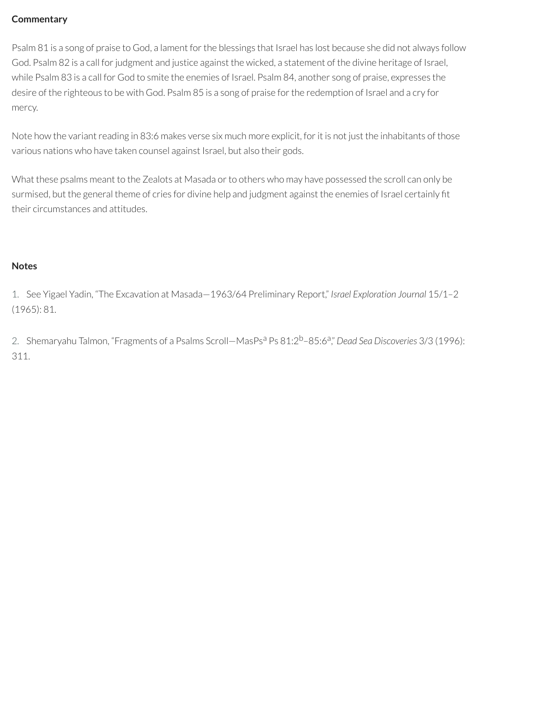#### **Commentary**

Psalm 81 is a song of praise to God, a lament for the blessings that Israel has lost because she did not always follow God. Psalm 82 is a call for judgment and justice against the wicked, a statement of the divine heritage of Israel, while Psalm 83 is a call for God to smite the enemies of Israel. Psalm 84, another song of praise, expresses the desire of the righteous to be with God. Psalm 85 is a song of praise for the redemption of Israel and a cry for mercy.

Note how the variant reading in 83:6 makes verse six much more explicit, for it is not just the inhabitants of those various nations who have taken counsel against Israel, but also their gods.

What these psalms meant to the Zealots at Masada or to others who may have possessed the scroll can only be surmised, but the general theme of cries for divine help and judgment against the enemies of Israel certainly fit their circumstances and attitudes.

#### **Notes**

<span id="page-39-0"></span>[1.](#page-37-0) See Yigael Yadin, "The Excavation at Masada—1963/64 Preliminary Report," *Israel Exploration Journal* 15/1–2 (1965): 81.

<span id="page-39-1"></span>[2.](#page-37-1) Shemaryahu Talmon, "Fragments of a Psalms Scroll–MasPs<sup>a</sup> Ps 81:2<sup>b</sup>-85:6<sup>a</sup>," Dead Sea Discoveries 3/3 (1996): 311.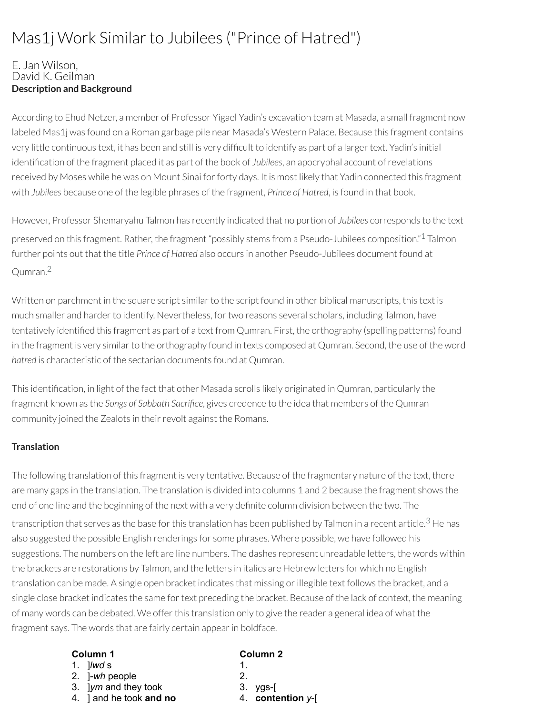## Mas1j Work Similar to Jubilees ("Prince of Hatred")

#### E. Jan Wilson, David K. Geilman **Description and Background**

According to Ehud Netzer, a member of Professor Yigael Yadin's excavation team at Masada, a small fragment now labeled Mas1j was found on a Roman garbage pile near Masada's Western Palace. Because this fragment contains very little continuous text, it has been and still is very difficult to identify as part of a larger text. Yadin's initial identification of the fragment placed it as part of the book of *Jubilees*, an apocryphal account of revelations received by Moses while he was on Mount Sinai for forty days. It is most likely that Yadin connected this fragment with *Jubilees* because one of the legible phrases of the fragment, *Prince of Hatred*, is found in that book.

<span id="page-40-0"></span>However, Professor Shemaryahu Talmon has recently indicated that no portion of *Jubilees* corresponds to the text preserved on this fragment. Rather, the fragment "possibly stems from a Pseudo-Jubilees composition." [1](#page-41-0) Talmon further points out that the title *Prince of Hatred* also occurs in another Pseudo-Jubilees document found at Qumran. [2](#page-41-1)

<span id="page-40-1"></span>Written on parchment in the square script similar to the script found in other biblical manuscripts, this text is much smaller and harder to identify. Nevertheless, for two reasons several scholars, including Talmon, have tentatively identified this fragment as part of a text from Qumran. First, the orthography (spelling patterns) found in the fragment is very similar to the orthography found in texts composed at Qumran. Second, the use of the word *hatred* is characteristic of the sectarian documents found at Qumran.

This identification, in light of the fact that other Masada scrolls likely originated in Qumran, particularly the fragment known as the *Songs* of *Sabbath Sacrifice*, gives credence to the idea that members of the Qumran community joined the Zealots in their revolt against the Romans.

#### **Translation**

The following translation of this fragment is very tentative. Because of the fragmentary nature of the text, there are many gaps in the translation. The translation is divided into columns 1 and 2 because the fragment shows the end of one line and the beginning of the next with a very definite column division between the two. The

transcription that serves as the base for this translation has been published by Talmon in a recent article. $^3$  $^3$  He has also suggested the possible English renderings for some phrases. Where possible, we have followed his suggestions. The numbers on the left are line numbers. The dashes represent unreadable letters, the words within the brackets are restorations by Talmon, and the letters in italics are Hebrew letters for which no English translation can be made. A single open bracket indicates that missing orillegible text follows the bracket, and a single close bracket indicates the same for text preceding the bracket. Because of the lack of context, the meaning of many words can be debated. We offer this translation only to give the reader a general idea of what the fragment says. The words that are fairly certain appear in boldface.

<span id="page-40-2"></span>

| Column 1                       | Column 2         |
|--------------------------------|------------------|
| 1. $\vert \text{Iwd s} \vert$  |                  |
| 2. ]-wh people                 | 2                |
| 3. $\frac{1}{m}$ and they took | 3. ygs-[         |
| 4. and he took and no          | 4. contention y- |
|                                |                  |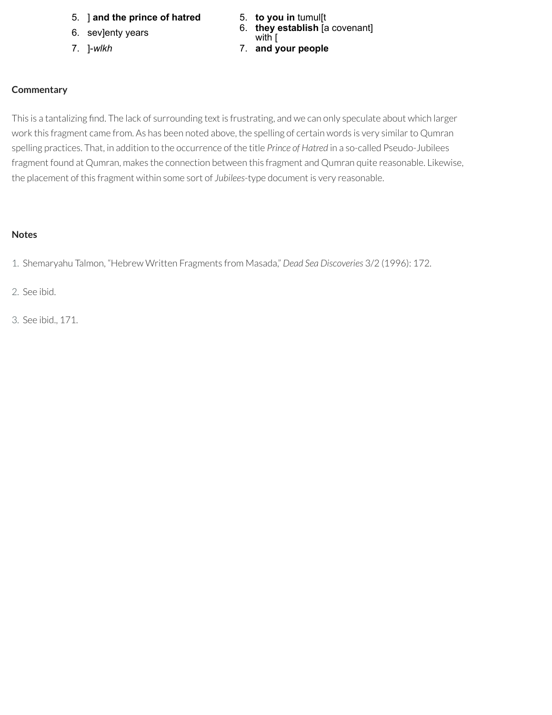- 5. ] **and the prince of hatred** 5. **to you in** tumul[t
- 
- 
- 
- 6. sev]enty years 6. **they establish** [a covenant] with I
- 7. ]-*wlkh* 7. **and your people**

#### **Commentary**

This is a tantalizing find. The lack of surrounding text is frustrating, and we can only speculate about which larger work this fragment came from. As has been noted above, the spelling of certain words is very similarto Qumran spelling practices. That, in addition to the occurrence of the title *Prince of Hatred* in a so-called Pseudo-Jubilees fragment found at Qumran, makes the connection between this fragment and Qumran quite reasonable. Likewise, the placement of this fragment within some sort of *Jubilees*-type document is very reasonable.

#### **Notes**

<span id="page-41-0"></span>[1.](#page-40-0) Shemaryahu Talmon, "Hebrew Written Fragments from Masada," *Dead Sea Discoveries* 3/2 (1996): 172.

- <span id="page-41-1"></span>[2.](#page-40-1) See ibid.
- <span id="page-41-2"></span>[3.](#page-40-2) See ibid., 171.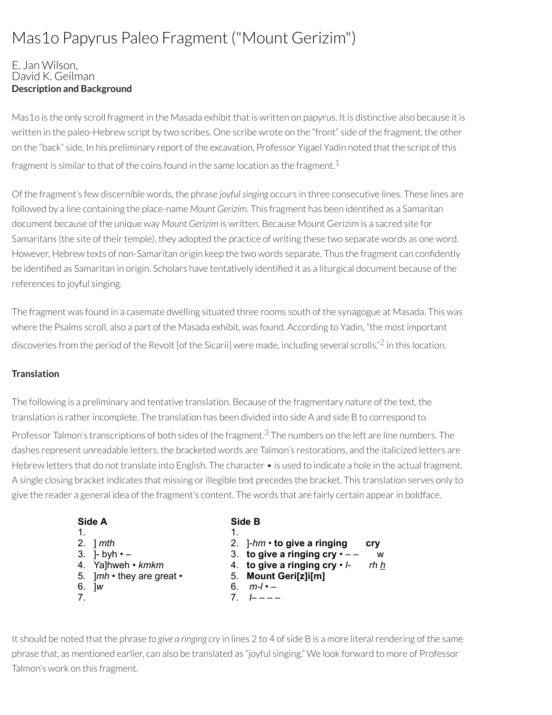## Mas1o Papyrus Paleo Fragment ("Mount Gerizim")

#### E. Jan Wilson, David K. Geilman **Description and Background**

Mas1o is the only scroll fragment in the Masada exhibit that is written on papyrus. It is distinctive also because it is written in the paleo-Hebrew script by two scribes. One scribe wrote on the "front" side of the fragment, the other on the "back" side. In his preliminary report of the excavation, Professor Yigael Yadin noted that the script of this fragment is similar to that of the coins found in the same location as the fragment. $^1$  $^1$ 

<span id="page-42-0"></span>Of the fragment's few discernible words, the phrase *joyfulsinging* occurs in three consecutive lines. These lines are followed by a line containing the place-name *Mount Gerizim*. This fragment has been identified as a Samaritan document because of the unique way *Mount Gerizim* is written. Because Mount Gerizim is a sacred site for Samaritans (the site of their temple), they adopted the practice of writing these two separate words as one word. However, Hebrew texts of non-Samaritan origin keep the two words separate. Thus the fragment can confidently be identified as Samaritan in origin. Scholars have tentatively identified it as a liturgical document because of the references to joyful singing.

The fragment was found in a casemate dwelling situated three rooms south of the synagogue at Masada. This was where the Psalms scroll, also a part of the Masada exhibit, was found. According to Yadin, "the most important discoveries from the period of the Revolt [of the Sicarii] were made, including several scrolls,"<sup>[2](#page-43-1)</sup> in this location.

#### **Translation**

The following is a preliminary and tentative translation. Because of the fragmentary nature of the text, the translation is ratherincomplete. The translation has been divided into side A and side B to correspond to

Professor Talmon's transcriptions of both sides of the fragment.<sup>[3](#page-43-2)</sup> The numbers on the left are line numbers. The dashes represent unreadable letters, the bracketed words are Talmon's restorations, and the italicized letters are Hebrew letters that do not translate into English. The character • is used to indicate a hole in the actual fragment. A single closing bracket indicates that missing or illegible text precedes the bracket. This translation serves only to give the reader a general idea of the fragment's content. The words that are fairly certain appear in boldface.

<span id="page-42-2"></span><span id="page-42-1"></span>

| Side A                                                            | Side B                                                       |
|-------------------------------------------------------------------|--------------------------------------------------------------|
|                                                                   |                                                              |
| 2. $1$ mth                                                        | 2. ]-hm $\cdot$ to give a ringing<br>cry                     |
| 3. $\mathsf{I}$ - byh $\cdot$ -                                   | 3. to give a ringing $\mathsf{cry} \cdot -$<br>W             |
| 4. Ya]hweh • kmkm                                                 | 4. to give a ringing $\mathsf{cry} \cdot l$ -<br><u>rh h</u> |
| 5. $\mathsf{Im} \mathsf{h} \cdot \mathsf{they}$ are great $\cdot$ | 5. Mount Geri[z]i[m]                                         |
| 6. W                                                              | 6. $m-l \cdot -$                                             |
| 7                                                                 |                                                              |
|                                                                   |                                                              |

It should be noted that the phrase *to give a ringing cry* in lines 2 to 4 of side B is a more literal rendering of the same phrase that, as mentioned earlier, can also be translated as "joyful singing." We look forward to more of Professor Talmon's work on this fragment.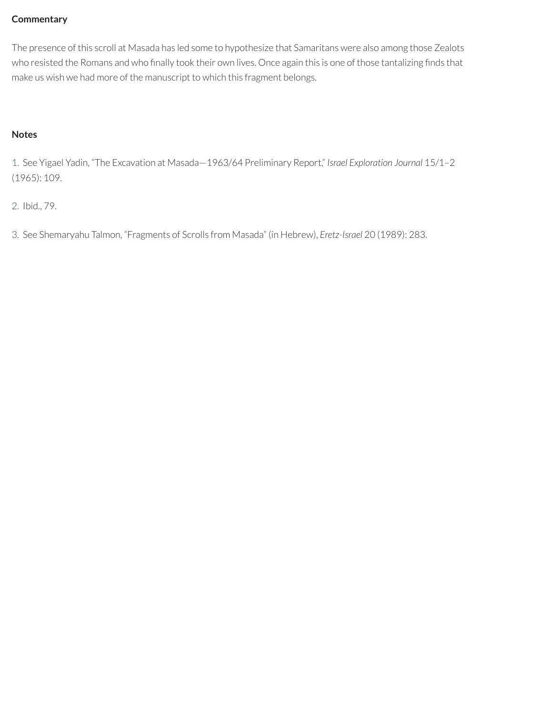#### **Commentary**

The presence of this scroll at Masada has led some to hypothesize that Samaritans were also among those Zealots who resisted the Romans and who finally took their own lives. Once again this is one of those tantalizing finds that make us wish we had more of the manuscript to which this fragment belongs.

#### **Notes**

<span id="page-43-0"></span>[1.](#page-42-0) See Yigael Yadin, "The Excavation at Masada—1963/64 Preliminary Report," *Israel Exploration Journal* 15/1–2 (1965): 109.

<span id="page-43-1"></span>[2.](#page-42-1) Ibid., 79.

<span id="page-43-2"></span>[3.](#page-42-2) See Shemaryahu Talmon, "Fragments of Scrolls from Masada" (in Hebrew), *Eretz-Israel* 20 (1989): 283.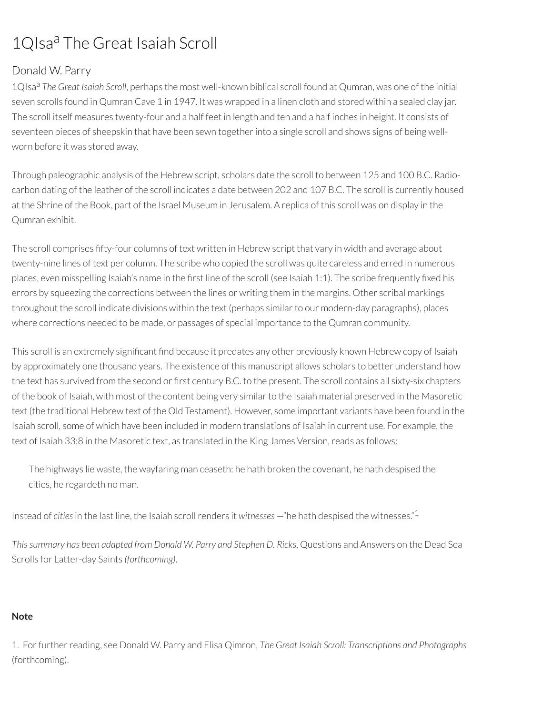# 1QIsa<sup>a</sup> The Great Isaiah Scroll

## Donald W. Parry

1QIsa <sup>a</sup> *The Great Isaiah Scroll*, perhaps the most well-known biblical scroll found at Qumran, was one of the initial seven scrolls found in Qumran Cave 1 in 1947. It was wrapped in a linen cloth and stored within a sealed clay jar. The scroll itself measures twenty-four and a half feet in length and ten and a half inches in height. It consists of seventeen pieces of sheepskin that have been sewn together into a single scroll and shows signs of being wellworn before it was stored away.

Through paleographic analysis of the Hebrew script, scholars date the scroll to between 125 and 100 B.C. Radiocarbon dating of the leather of the scroll indicates a date between 202 and 107 B.C. The scroll is currently housed at the Shrine of the Book, part of the Israel Museum in Jerusalem. A replica of this scroll was on display in the Qumran exhibit.

The scroll comprises fty-four columns of text written in Hebrew script that vary in width and average about twenty-nine lines of text per column. The scribe who copied the scroll was quite careless and erred in numerous places, even misspelling Isaiah's name in the first line of the scroll (see Isaiah 1:1). The scribe frequently fixed his errors by squeezing the corrections between the lines or writing them in the margins. Other scribal markings throughout the scroll indicate divisions within the text (perhaps similarto our modern-day paragraphs), places where corrections needed to be made, or passages of special importance to the Qumran community.

This scroll is an extremely significant find because it predates any other previously known Hebrew copy of Isaiah by approximately one thousand years. The existence of this manuscript allows scholars to better understand how the text has survived from the second or first century B.C. to the present. The scroll contains all sixty-six chapters of the book of Isaiah, with most of the content being very similarto the Isaiah material preserved in the Masoretic text (the traditional Hebrew text of the Old Testament). However, some important variants have been found in the Isaiah scroll, some of which have been included in modern translations of Isaiah in current use. For example, the text of Isaiah 33:8 in the Masoretic text, as translated in the King James Version, reads as follows:

<span id="page-44-1"></span>The highways lie waste, the wayfaring man ceaseth: he hath broken the covenant, he hath despised the cities, he regardeth no man.

Instead of *cities* in the last line, the Isaiah scroll renders it witnesses –"he hath despised the witnesses."<sup>[1](#page-44-0)</sup>

*Thissummary has been adapted from Donald W. Parry and Stephen D. Ricks*, Questions and Answers on the Dead Sea Scrolls for Latter-day Saints *(forthcoming)*.

### **Note**

<span id="page-44-0"></span>[1.](#page-44-1) Forfurtherreading, see Donald W. Parry and Elisa Qimron, *The Great Isaiah Scroll: Transcriptions and Photographs* (forthcoming).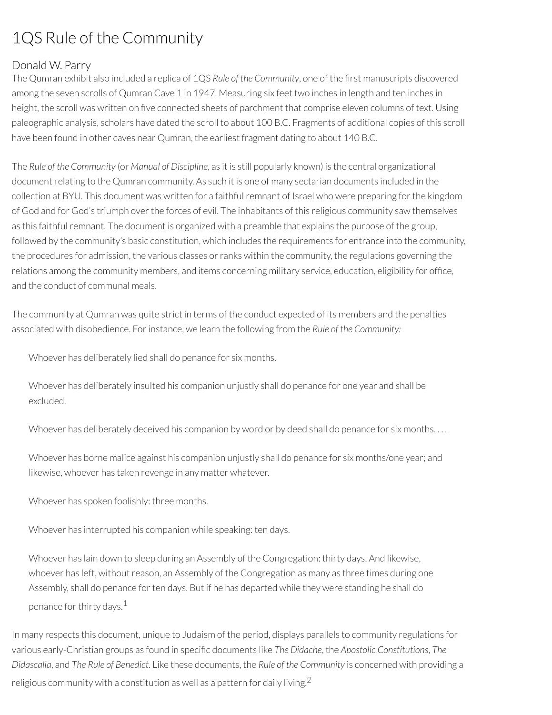## 1QS Rule of the Community

### Donald W. Parry

The Qumran exhibit also included a replica of 1QS *Rule* of the Community, one of the first manuscripts discovered among the seven scrolls of Qumran Cave 1 in 1947. Measuring six feet two inches in length and ten inches in height, the scroll was written on five connected sheets of parchment that comprise eleven columns of text. Using paleographic analysis, scholars have dated the scroll to about 100 B.C. Fragments of additional copies of this scroll have been found in other caves near Qumran, the earliest fragment dating to about 140 B.C.

The *Rule of the Community* (or *Manual of Discipline*, as it is still popularly known) is the central organizational document relating to the Qumran community. As such it is one of many sectarian documents included in the collection at BYU. This document was written for a faithful remnant of Israel who were preparing for the kingdom of God and for God's triumph overthe forces of evil. The inhabitants of this religious community saw themselves as this faithful remnant. The document is organized with a preamble that explains the purpose of the group, followed by the community's basic constitution, which includes the requirements for entrance into the community, the procedures for admission, the various classes or ranks within the community, the regulations governing the relations among the community members, and items concerning military service, education, eligibility for office, and the conduct of communal meals.

The community at Qumran was quite strict in terms of the conduct expected of its members and the penalties associated with disobedience. Forinstance, we learn the following from the *Rule of the Community:*

Whoever has deliberately lied shall do penance for six months.

Whoever has deliberately insulted his companion unjustly shall do penance for one year and shall be excluded.

Whoever has deliberately deceived his companion by word or by deed shall do penance for six months....

Whoever has borne malice against his companion unjustly shall do penance for six months/one year; and likewise, whoever has taken revenge in any matter whatever.

Whoever has spoken foolishly: three months.

Whoever has interrupted his companion while speaking: ten days.

<span id="page-45-0"></span>Whoever has lain down to sleep during an Assembly of the Congregation: thirty days. And likewise, whoever has left, without reason, an Assembly of the Congregation as many as three times during one Assembly, shall do penance for ten days. But if he has departed while they were standing he shall do penance for thirty days. $^1$  $^1$ 

<span id="page-45-1"></span>In many respects this document, unique to Judaism of the period, displays parallels to community regulations for various early-Christian groups as found in specic documents like *The Didache*, the *Apostolic Constitutions*, *The Didascalia*, and *The Rule of Benedict*. Like these documents, the *Rule of the Community* is concerned with providing a religious community with a constitution as well as a pattern for daily living. $^2$  $^2$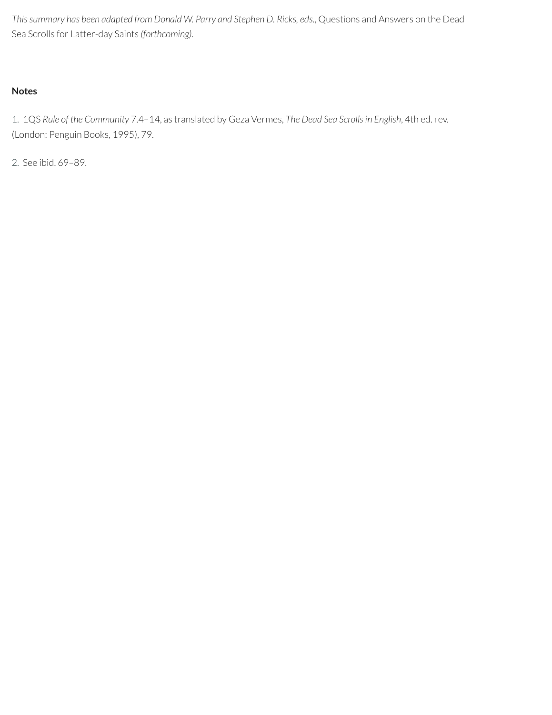*Thissummary has been adapted from Donald W. Parry and Stephen D. Ricks, eds.*, Questions and Answers on the Dead Sea Scrolls for Latter-day Saints *(forthcoming)*.

### **Notes**

<span id="page-46-0"></span>[1.](#page-45-0) 1QS *Rule of the Community* 7.4–14, as translated by Geza Vermes, *The Dead Sea Scrollsin English*, 4th ed.rev. (London: Penguin Books, 1995), 79.

<span id="page-46-1"></span>[2.](#page-45-1) See ibid. 69–89.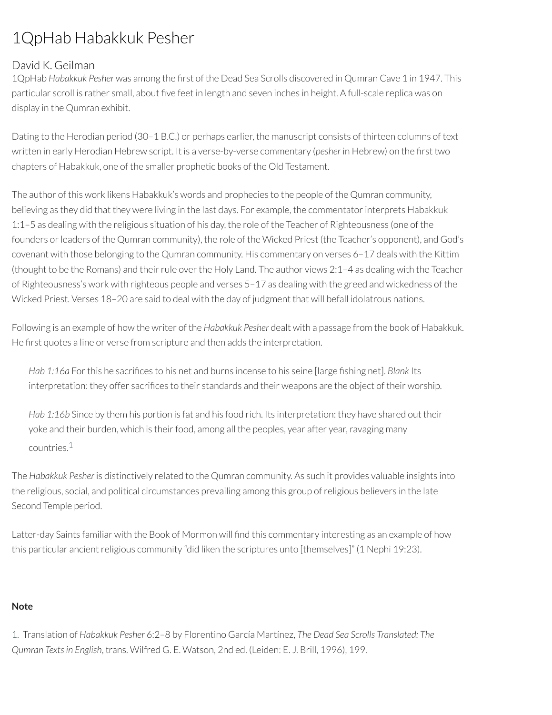## 1QpHab Habakkuk Pesher

### David K. Geilman

1QpHab *Habakkuk Pesher* was among the first of the Dead Sea Scrolls discovered in Qumran Cave 1 in 1947. This particular scroll is rather small, about five feet in length and seven inches in height. A full-scale replica was on display in the Qumran exhibit.

Dating to the Herodian period (30–1 B.C.) or perhaps earlier, the manuscript consists of thirteen columns of text written in early Herodian Hebrew script. It is a verse-by-verse commentary (*pesher* in Hebrew) on the first two chapters of Habakkuk, one of the smaller prophetic books of the Old Testament.

The author of this work likens Habakkuk's words and prophecies to the people of the Qumran community, believing as they did that they were living in the last days. For example, the commentatorinterprets Habakkuk 1:1–5 as dealing with the religious situation of his day, the role of the Teacher of Righteousness (one of the founders or leaders of the Qumran community), the role of the Wicked Priest (the Teacher's opponent), and God's covenant with those belonging to the Qumran community. His commentary on verses 6–17 deals with the Kittim (thought to be the Romans) and their rule over the Holy Land. The author views 2:1-4 as dealing with the Teacher of Righteousness's work with righteous people and verses 5–17 as dealing with the greed and wickedness of the Wicked Priest. Verses 18–20 are said to deal with the day of judgment that will befall idolatrous nations.

Following is an example of how the writer of the *Habakkuk Pesher* dealt with a passage from the book of Habakkuk. He first quotes a line or verse from scripture and then adds the interpretation.

*Hab* 1:16a For this he sacrifices to his net and burns incense to his seine [large fishing net]. *Blank* Its interpretation: they offer sacrifices to their standards and their weapons are the object of their worship.

<span id="page-47-1"></span>*Hab 1:16b* Since by them his portion is fat and his food rich. Its interpretation: they have shared out their yoke and their burden, which is their food, among all the peoples, year after year, ravaging many countries. [1](#page-47-0)

The *Habakkuk Pesher* is distinctively related to the Qumran community. As such it provides valuable insights into the religious, social, and political circumstances prevailing among this group ofreligious believers in the late Second Temple period.

Latter-day Saints familiar with the Book of Mormon will find this commentary interesting as an example of how this particular ancient religious community "did liken the scriptures unto [themselves]" (1 Nephi 19:23).

#### **Note**

<span id="page-47-0"></span>[1.](#page-47-1) Translation of *Habakkuk Pesher* 6:2–8 by Florentino García Martínez, *The Dead Sea Scrolls Translated: The Qumran Textsin English*, trans. Wilfred G. E. Watson, 2nd ed. (Leiden: E. J. Brill, 1996), 199.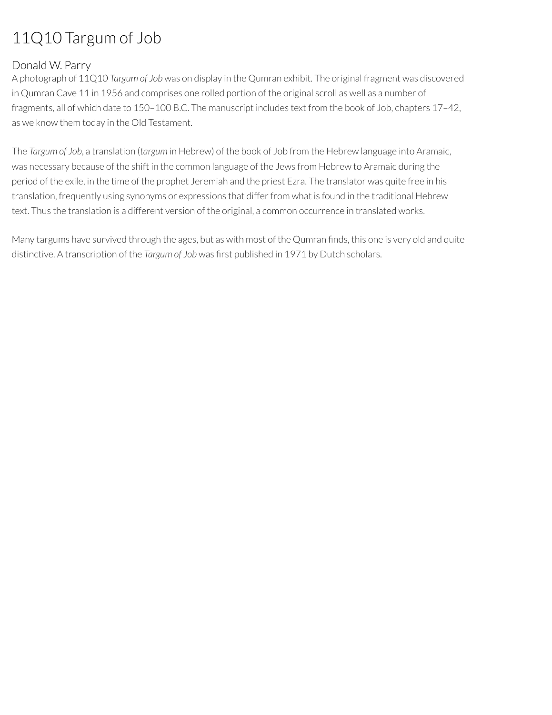# 11Q10 Targum of Job

### Donald W. Parry

A photograph of 11Q10 *Targum of Job* was on display in the Qumran exhibit. The original fragment was discovered in Qumran Cave 11 in 1956 and comprises one rolled portion of the original scroll as well as a number of fragments, all of which date to 150–100 B.C. The manuscript includes text from the book of Job, chapters 17–42, as we know them today in the Old Testament.

The *Targum of Job*, a translation (*targum* in Hebrew) of the book of Job from the Hebrew language into Aramaic, was necessary because of the shift in the common language of the Jews from Hebrew to Aramaic during the period of the exile, in the time of the prophet Jeremiah and the priest Ezra. The translator was quite free in his translation, frequently using synonyms or expressions that differfrom what is found in the traditional Hebrew text. Thus the translation is a different version of the original, a common occurrence in translated works.

Many targums have survived through the ages, but as with most of the Qumran finds, this one is very old and quite distinctive. A transcription of the *Targum of Job* was first published in 1971 by Dutch scholars.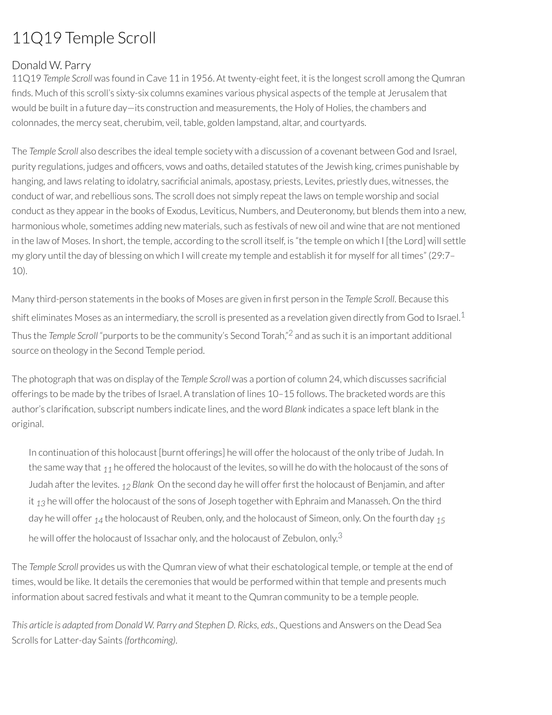## 11Q19 Temple Scroll

### Donald W. Parry

11Q19 *Temple Scroll* was found in Cave 11 in 1956. At twenty-eight feet, it is the longest scroll among the Qumran nds. Much of this scroll's sixty-six columns examines various physical aspects of the temple at Jerusalem that would be built in a future day—its construction and measurements, the Holy of Holies, the chambers and colonnades, the mercy seat, cherubim, veil, table, golden lampstand, altar, and courtyards.

The *Temple Scroll* also describes the ideal temple society with a discussion of a covenant between God and Israel, purity regulations, judges and officers, vows and oaths, detailed statutes of the Jewish king, crimes punishable by hanging, and laws relating to idolatry, sacrificial animals, apostasy, priests, Levites, priestly dues, witnesses, the conduct of war, and rebellious sons. The scroll does not simply repeat the laws on temple worship and social conduct as they appearin the books of Exodus, Leviticus, Numbers, and Deuteronomy, but blends them into a new, harmonious whole, sometimes adding new materials, such as festivals of new oil and wine that are not mentioned in the law of Moses. In short, the temple, according to the scroll itself, is "the temple on which I [the Lord] will settle my glory until the day of blessing on which I will create my temple and establish it for myself for all times" (29:7– 10).

<span id="page-49-1"></span><span id="page-49-0"></span>Many third-person statements in the books of Moses are given in first person in the *Temple Scroll*. Because this shift eliminates Moses as an intermediary, the scroll is presented as a revelation given directly from God to Israel. $^1$  $^1$ Thus the *Temple Scroll* "purports to be the community's Second Torah," [2](#page-50-1) and as such it is an important additional source on theology in the Second Temple period.

The photograph that was on display of the *Temple Scroll* was a portion of column 24, which discusses sacrificial offerings to be made by the tribes of Israel. A translation of lines 10–15 follows. The bracketed words are this author's clarification, subscript numbers indicate lines, and the word *Blank* indicates a space left blank in the original.

<span id="page-49-2"></span>In continuation of this holocaust [burnt offerings] he will offerthe holocaust of the only tribe of Judah. In the same way that *11* he offered the holocaust of the levites, so will he do with the holocaust of the sons of Judah after the levites. 12 Blank On the second day he will offer first the holocaust of Benjamin, and after it <sub>13</sub> he will offer the holocaust of the sons of Joseph together with Ephraim and Manasseh. On the third day he will offer *14* the holocaust of Reuben, only, and the holocaust of Simeon, only. On the fourth day *15* he will offer the holocaust of Issachar only, and the holocaust of Zebulon, only. $^3$  $^3$ 

The *Temple* Scroll provides us with the Qumran view of what their eschatological temple, or temple at the end of times, would be like. It details the ceremonies that would be performed within that temple and presents much information about sacred festivals and what it meant to the Qumran community to be a temple people.

*This article is adapted from Donald W. Parry and Stephen D. Ricks, eds.*, Questions and Answers on the Dead Sea Scrolls for Latter-day Saints *(forthcoming)*.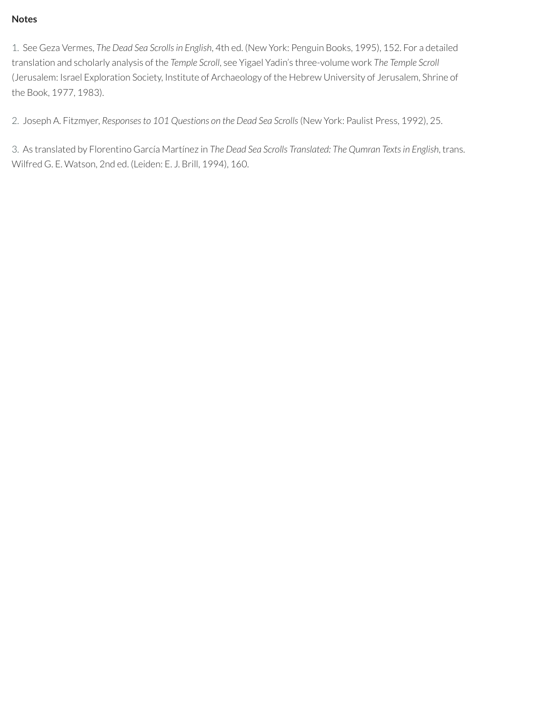#### **Notes**

<span id="page-50-0"></span>[1.](#page-49-0) See Geza Vermes, *The Dead Sea Scrollsin English*, 4th ed. (New York: Penguin Books, 1995), 152. For a detailed translation and scholarly analysis of the *Temple Scroll*, see Yigael Yadin's three-volume work *The Temple Scroll* (Jerusalem: Israel Exploration Society, Institute of Archaeology of the Hebrew University of Jerusalem, Shrine of the Book, 1977, 1983).

<span id="page-50-1"></span>[2.](#page-49-1) Joseph A. Fitzmyer, *Responsesto 101 Questions on the Dead Sea Scrolls*(New York: Paulist Press, 1992), 25.

<span id="page-50-2"></span>[3.](#page-49-2) As translated by Florentino García Martínez in *The Dead Sea Scrolls Translated: The Qumran Texts in English*, trans. Wilfred G. E. Watson, 2nd ed. (Leiden: E. J. Brill, 1994), 160.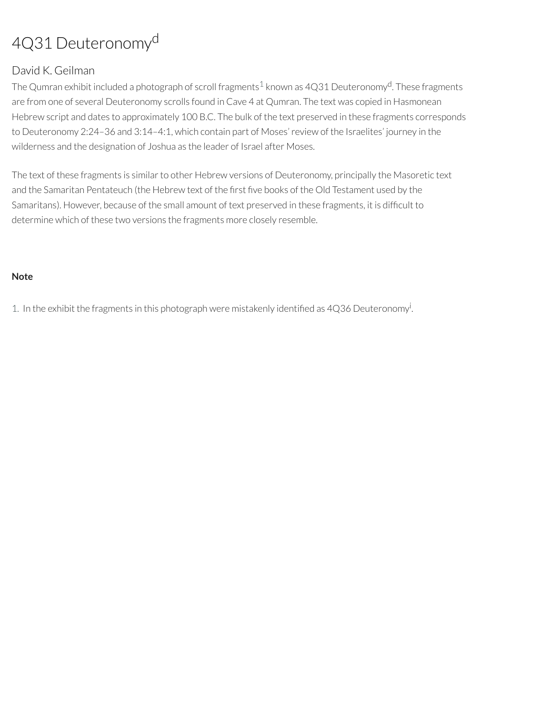# 4Q31 Deuteronomy d

## David K. Geilman

<span id="page-51-1"></span>The Qumran exhibit included a photograph of scroll fragments $^1$  $^1$  known as 4Q31 Deuteronomy<sup>d</sup>. These fragments are from one of several Deuteronomy scrolls found in Cave 4 at Qumran. The text was copied in Hasmonean Hebrew script and dates to approximately 100 B.C. The bulk of the text preserved in these fragments corresponds to Deuteronomy 2:24–36 and 3:14–4:1, which contain part of Moses'review of the Israelites' journey in the wilderness and the designation of Joshua as the leader of Israel after Moses.

The text of these fragments is similar to other Hebrew versions of Deuteronomy, principally the Masoretic text and the Samaritan Pentateuch (the Hebrew text of the first five books of the Old Testament used by the Samaritans). However, because of the small amount of text preserved in these fragments, it is difficult to determine which of these two versions the fragments more closely resemble.

### **Note**

<span id="page-51-0"></span>[1.](#page-51-1) In the exhibit the fragments in this photograph were mistakenly identified as 4Q36 Deuteronomy<sup>i</sup> .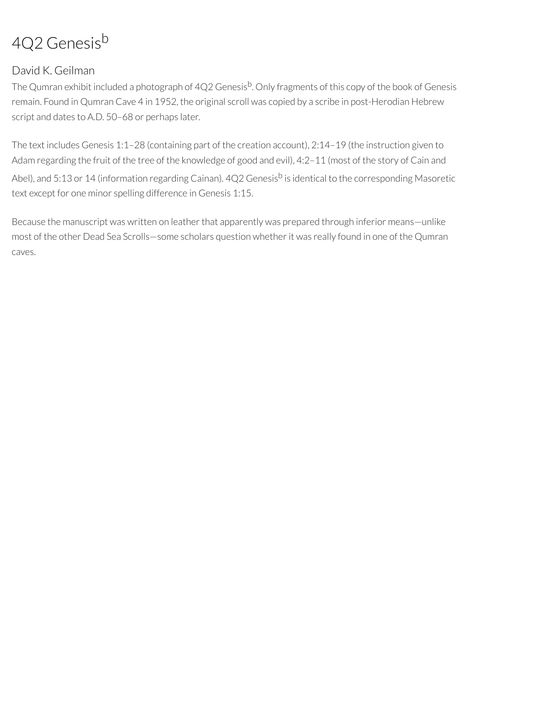# 4Q2 Genesis<sup>b</sup>

## David K. Geilman

The Qumran exhibit included a photograph of 4Q2 Genesis<sup>b</sup>. Only fragments of this copy of the book of Genesis remain. Found in Qumran Cave 4 in 1952, the original scroll was copied by a scribe in post-Herodian Hebrew script and dates to A.D. 50–68 or perhaps later.

The text includes Genesis 1:1–28 (containing part of the creation account), 2:14–19 (the instruction given to Adam regarding the fruit of the tree of the knowledge of good and evil), 4:2–11 (most of the story of Cain and

Abel), and 5:13 or 14 (information regarding Cainan). 4Q2 Genesis<sup>b</sup> is identical to the corresponding Masoretic text except for one minor spelling difference in Genesis 1:15.

Because the manuscript was written on leather that apparently was prepared through inferior means—unlike most of the other Dead Sea Scrolls-some scholars question whether it was really found in one of the Qumran caves.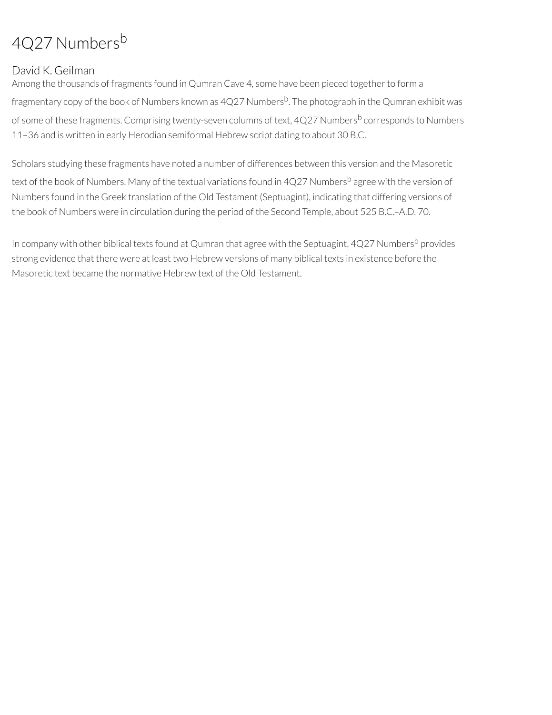# 4Q27 Numbers<sup>b</sup>

## David K. Geilman

Among the thousands of fragments found in Qumran Cave 4, some have been pieced together to form a fragmentary copy of the book of Numbers known as 4Q27 Numbers<sup>b</sup>. The photograph in the Qumran exhibit was of some of these fragments. Comprising twenty-seven columns of text, 4Q27 Numbers<sup>b</sup> corresponds to Numbers 11–36 and is written in early Herodian semiformal Hebrew script dating to about 30 B.C.

Scholars studying these fragments have noted a number of differences between this version and the Masoretic text of the book of Numbers. Many of the textual variations found in 4Q27 Numbers<sup>b</sup> agree with the version of Numbers found in the Greek translation of the Old Testament (Septuagint), indicating that differing versions of the book of Numbers were in circulation during the period of the Second Temple, about 525 B.C.–A.D. 70.

In company with other biblical texts found at Qumran that agree with the Septuagint, 4Q27 Numbers <sup>b</sup> provides strong evidence that there were at least two Hebrew versions of many biblical texts in existence before the Masoretic text became the normative Hebrew text of the Old Testament.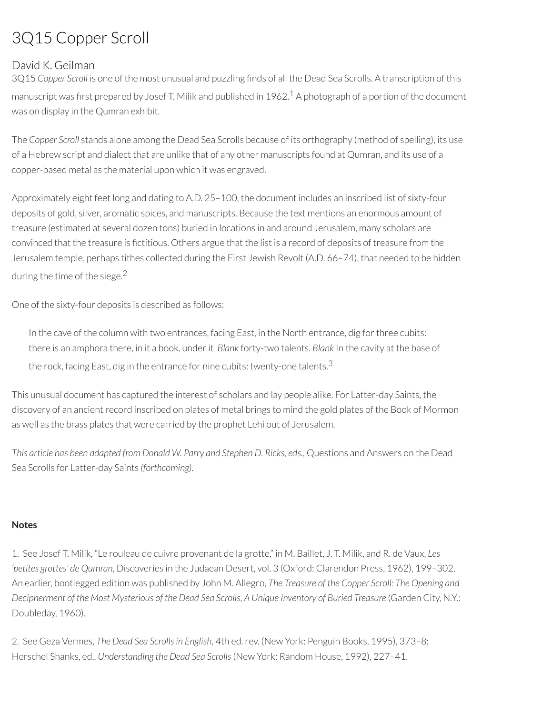## 3Q15 Copper Scroll

### David K. Geilman

<span id="page-54-2"></span>3Q15 *Copper Scroll* is one of the most unusual and puzzling finds of all the Dead Sea Scrolls. A transcription of this manuscript was first prepared by Josef T. Milik and published in [1](#page-54-0)962. $^1$  A photograph of a portion of the document was on display in the Qumran exhibit.

The *Copper Scroll* stands alone among the Dead Sea Scrolls because of its orthography (method of spelling), its use of a Hebrew script and dialect that are unlike that of any other manuscripts found at Qumran, and its use of a copper-based metal as the material upon which it was engraved.

Approximately eight feet long and dating to A.D. 25–100, the document includes an inscribed list of sixty-four deposits of gold, silver, aromatic spices, and manuscripts. Because the text mentions an enormous amount of treasure (estimated at several dozen tons) buried in locations in and around Jerusalem, many scholars are convinced that the treasure is fictitious. Others argue that the list is a record of deposits of treasure from the Jerusalem temple, perhaps tithes collected during the First Jewish Revolt (A.D. 66–74), that needed to be hidden during the time of the siege.<sup>[2](#page-54-1)</sup>

One of the sixty-four deposits is described as follows:

<span id="page-54-4"></span><span id="page-54-3"></span>In the cave of the column with two entrances, facing East, in the North entrance, dig for three cubits: there is an amphora there, in it a book, underit *Blank* forty-two talents. *Blank* In the cavity at the base of the rock, facing East, dig in the entrance for nine cubits: twenty-one talents. $^3$  $^3$ 

This unusual document has captured the interest of scholars and lay people alike. For Latter-day Saints, the discovery of an ancient record inscribed on plates of metal brings to mind the gold plates of the Book of Mormon as well as the brass plates that were carried by the prophet Lehi out of Jerusalem.

*This article has been adapted from Donald W. Parry and Stephen D. Ricks, eds.*, Questions and Answers on the Dead Sea Scrolls for Latter-day Saints *(forthcoming)*.

#### **Notes**

<span id="page-54-0"></span>[1.](#page-54-2) See Josef T. Milik, "Le rouleau de cuivre provenant de la grotte," in M. Baillet, J. T. Milik, and R. de Vaux, *Les 'petites grottes' de Qumran*, Discoveries in the Judaean Desert, vol. 3 (Oxford: Clarendon Press, 1962), 199–302. An earlier, bootlegged edition was published by John M. Allegro, *The Treasure of the Copper Scroll: The Opening and* Decipherment of the Most Mysterious of the Dead Sea Scrolls, A Unique Inventory of Buried Treasure (Garden City, N.Y.: Doubleday, 1960).

<span id="page-54-1"></span>[2.](#page-54-3) See Geza Vermes, *The Dead Sea Scrollsin English*, 4th ed.rev. (New York: Penguin Books, 1995), 373–8; Herschel Shanks, ed., *Understanding the Dead Sea Scrolls*(New York: Random House, 1992), 227–41.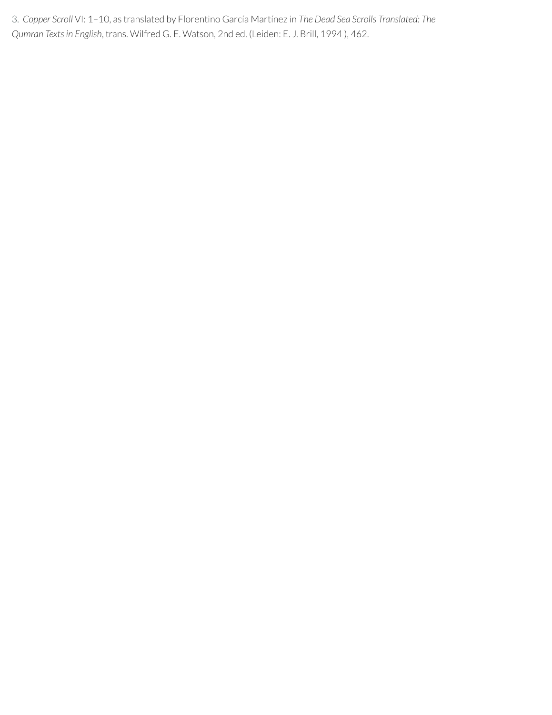<span id="page-55-0"></span>[3.](#page-54-4) *Copper Scroll* VI: 1–10, as translated by Florentino García Martínez in *The Dead Sea Scrolls Translated: The Qumran Textsin English*, trans. Wilfred G. E. Watson, 2nd ed. (Leiden: E. J. Brill, 1994 ), 462.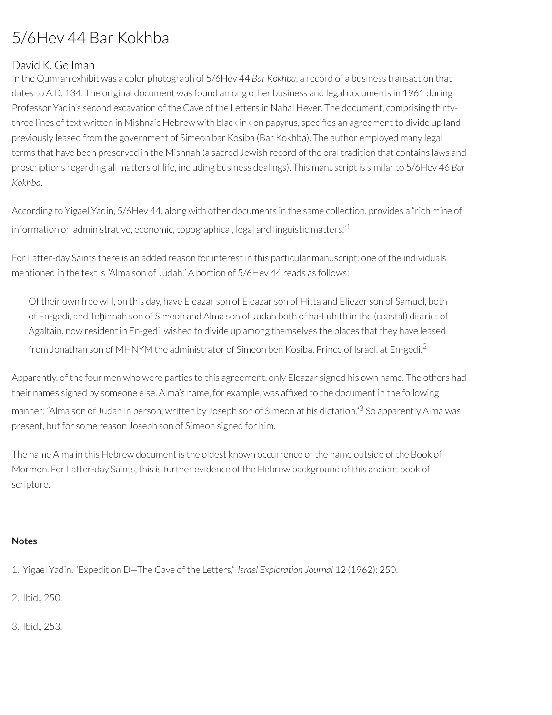## 5/6Hev 44 Bar Kokhba

### David K. Geilman

In the Qumran exhibit was a color photograph of 5/6Hev 44 *Bar Kokhba*, a record of a business transaction that dates to A.D. 134. The original document was found among other business and legal documents in 1961 during Professor Yadin's second excavation of the Cave of the Letters in Nahal Hever. The document, comprising thirtythree lines of text written in Mishnaic Hebrew with black ink on papyrus, specifies an agreement to divide up land previously leased from the government of Simeon bar Kosiba (Bar Kokhba). The author employed many legal terms that have been preserved in the Mishnah (a sacred Jewish record of the oral tradition that contains laws and proscriptions regarding all matters of life, including business dealings). This manuscript is similarto 5/6Hev 46 *Bar Kokhba*.

According to Yigael Yadin, 5/6Hev 44, along with other documents in the same collection, provides a "rich mine of information on administrative, economic, topographical, legal and linguistic matters." $^{\rm 1}$  $^{\rm 1}$  $^{\rm 1}$ 

For Latter-day Saints there is an added reason for interest in this particular manuscript: one of the individuals mentioned in the text is "Alma son of Judah." A portion of 5/6Hev 44 reads as follows:

<span id="page-56-5"></span><span id="page-56-4"></span><span id="page-56-3"></span>Of their own free will, on this day, have Eleazar son of Eleazar son of Hitta and Eliezer son of Samuel, both of En-gedi, and Teḥinnah son of Simeon and Alma son of Judah both of ha-Luhith in the (coastal) district of Agaltain, now resident in En-gedi, wished to divide up among themselves the places that they have leased from Jonathan son of MHNYM the administrator of Simeon ben Kosiba, Prince of Israel, at En-gedi. $^2$  $^2$ 

Apparently, of the four men who were parties to this agreement, only Eleazar signed his own name. The others had their names signed by someone else. Alma's name, for example, was affixed to the document in the following manner: "Alma son of Judah in person; written by Joseph son of Simeon at his dictation."<sup>[3](#page-56-2)</sup> So apparently Alma was present, but for some reason Joseph son of Simeon signed for him.

The name Alma in this Hebrew document is the oldest known occurrence of the name outside of the Book of Mormon. For Latter-day Saints, this is further evidence of the Hebrew background of this ancient book of scripture.

#### **Notes**

- <span id="page-56-0"></span>[1.](#page-56-3) Yigael Yadin, "Expedition D—The Cave of the Letters," *Israel Exploration Journal* 12 (1962): 250.
- <span id="page-56-1"></span>[2.](#page-56-4) Ibid., 250.
- <span id="page-56-2"></span>[3.](#page-56-5) Ibid., 253.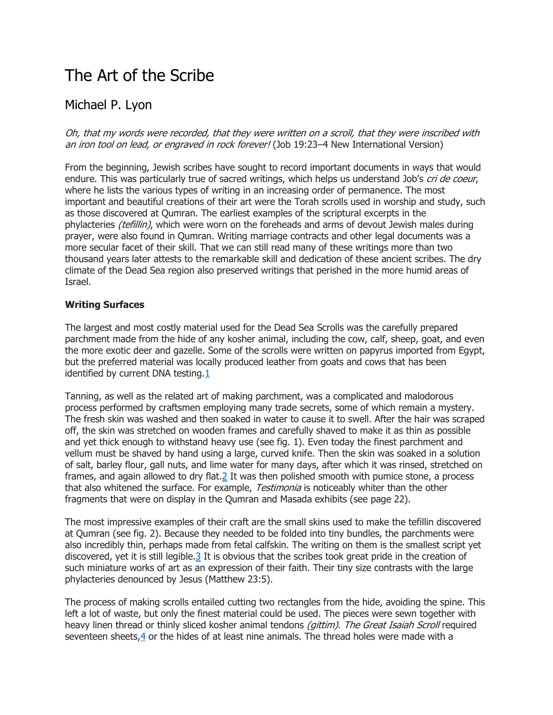## The Art of the Scribe

## Michael P. Lyon

Oh, that my words were recorded, that they were written on <sup>a</sup> scroll, that they were inscribed with an iron tool on lead, or engraved in rock forever! (Job 19:23-4 New International Version)

From the beginning, Jewish scribes have sought to record important documents in ways that would endure. This was particularly true of sacred writings, which helps us understand Job's cri de coeur, where he lists the various types of writing in an increasing order of permanence. The most important and beautiful creations of their art were the Torah scrolls used in worship and study, such as those discovered at Qumran. The earliest examples of the scriptural excerpts in the phylacteries *(tefillin)*, which were worn on the foreheads and arms of devout Jewish males during prayer, were also found in Qumran. Writing marriage contracts and other legal documents was a more secular facet of their skill. That we can still read many of these writings more than two thousand years later attests to the remarkable skill and dedication of these ancient scribes. The dry climate of the Dead Sea region also preserved writings that perished in the more humid areas of Israel.

#### **Writing Surfaces**

The largest and most costly material used for the Dead Sea Scrolls was the carefully prepared parchment made from the hide of any kosher animal, including the cow, calf, sheep, goat, and even the more exotic deer and gazelle. Some of the scrolls were written on papyrus imported from Egypt, but the preferred material was locally produced leather from goats and cows that has been identified by current DNA testing[.1](https://publications.mi.byu.edu/fullscreen/?pub=1139&index=24#_edn1)

Tanning, as well as the related art of making parchment, was a complicated and malodorous process performed by craftsmen employing many trade secrets, some of which remain a mystery. The fresh skin was washed and then soaked in water to cause it to swell. After the hair was scraped off, the skin was stretched on wooden frames and carefully shaved to make it as thin as possible and yet thick enough to withstand heavy use (see fig. 1). Even today the finest parchment and vellum must be shaved by hand using a large, curved knife. Then the skin was soaked in a solution of salt, barley flour, gall nuts, and lime water for many days, after which it was rinsed, stretched on frames, and again allowed to dry flat[.2](https://publications.mi.byu.edu/fullscreen/?pub=1139&index=24#_edn2) It was then polished smooth with pumice stone, a process that also whitened the surface. For example, Testimonia is noticeably whiter than the other fragments that were on display in the Qumran and Masada exhibits (see page 22).

The most impressive examples of their craft are the small skins used to make the tefillin discovered at Qumran (see fig. 2). Because they needed to be folded into tiny bundles, the parchments were also incredibly thin, perhaps made from fetal calfskin. The writing on them is the smallest script yet discovered, yet it is still legible[.3](https://publications.mi.byu.edu/fullscreen/?pub=1139&index=24#_edn3) It is obvious that the scribes took great pride in the creation of such miniature works of art as an expression of their faith. Their tiny size contrasts with the large phylacteries denounced by Jesus (Matthew 23:5).

The process of making scrolls entailed cutting two rectangles from the hide, avoiding the spine. This left a lot of waste, but only the finest material could be used. The pieces were sewn together with heavy linen thread or thinly sliced kosher animal tendons (gittim). The Great Isaiah Scroll required seventeen sheets[,4](https://publications.mi.byu.edu/fullscreen/?pub=1139&index=24#_edn4) or the hides of at least nine animals. The thread holes were made with a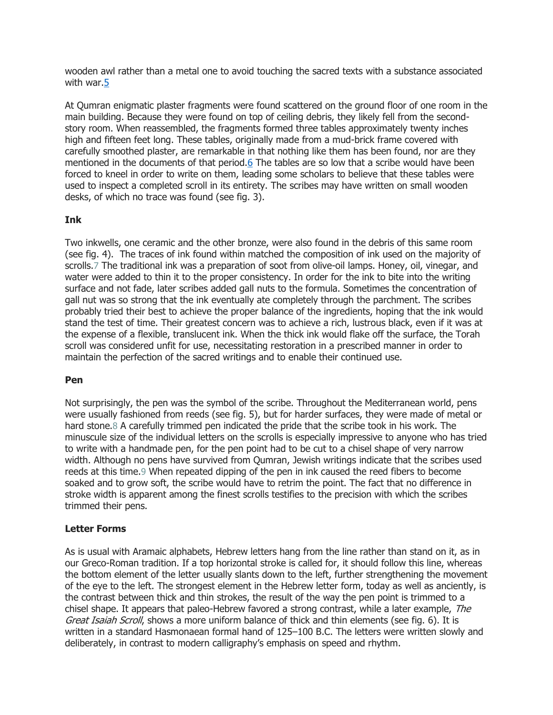wooden awl rather than a metal one to avoid touching the sacred texts with a substance associated with war[.5](https://publications.mi.byu.edu/fullscreen/?pub=1139&index=24#_edn5)

At Qumran enigmatic plaster fragments were found scattered on the ground floor of one room in the main building. Because they were found on top of ceiling debris, they likely fell from the secondstory room. When reassembled, the fragments formed three tables approximately twenty inches high and fifteen feet long. These tables, originally made from a mud-brick frame covered with carefully smoothed plaster, are remarkable in that nothing like them has been found, nor are they mentioned in the documents of that period[.6](https://publications.mi.byu.edu/fullscreen/?pub=1139&index=24#_edn6) The tables are so low that a scribe would have been forced to kneel in order to write on them, leading some scholars to believe that these tables were used to inspect a completed scroll in its entirety. The scribes may have written on small wooden desks, of which no trace was found (see fig. 3).

#### **Ink**

Two inkwells, one ceramic and the other bronze, were also found in the debris of this same room (see fig. 4). The traces of ink found within matched the composition of ink used on the majority of scrolls[.7](https://publications.mi.byu.edu/fullscreen/?pub=1139&index=24#_edn7) The traditional ink was a preparation of soot from olive-oil lamps. Honey, oil, vinegar, and water were added to thin it to the proper consistency. In order for the ink to bite into the writing surface and not fade, later scribes added gall nuts to the formula. Sometimes the concentration of gall nut was so strong that the ink eventually ate completely through the parchment. The scribes probably tried their best to achieve the proper balance of the ingredients, hoping that the ink would stand the test of time. Their greatest concern was to achieve a rich, lustrous black, even if it was at the expense of a flexible, translucent ink. When the thick ink would flake off the surface, the Torah scroll was considered unfit for use, necessitating restoration in a prescribed manner in order to maintain the perfection of the sacred writings and to enable their continued use.

#### **Pen**

Not surprisingly, the pen was the symbol of the scribe. Throughout the Mediterranean world, pens were usually fashioned from reeds (see fig. 5), but for harder surfaces, they were made of metal or hard stone[.8](https://publications.mi.byu.edu/fullscreen/?pub=1139&index=24#_edn8) A carefully trimmed pen indicated the pride that the scribe took in his work. The minuscule size of the individual letters on the scrolls is especially impressive to anyone who has tried to write with a handmade pen, for the pen point had to be cut to a chisel shape of very narrow width. Although no pens have survived from Qumran, Jewish writings indicate that the scribes used reeds at this time[.9](https://publications.mi.byu.edu/fullscreen/?pub=1139&index=24#_edn9) When repeated dipping of the pen in ink caused the reed fibers to become soaked and to grow soft, the scribe would have to retrim the point. The fact that no difference in stroke width is apparent among the finest scrolls testifies to the precision with which the scribes trimmed their pens.

#### **Letter Forms**

As is usual with Aramaic alphabets, Hebrew letters hang from the line rather than stand on it, as in our Greco-Roman tradition. If a top horizontal stroke is called for, it should follow this line, whereas the bottom element of the letter usually slants down to the left, further strengthening the movement of the eye to the left. The strongest element in the Hebrew letter form, today as well as anciently, is the contrast between thick and thin strokes, the result of the way the pen point is trimmed to a chisel shape. It appears that paleo-Hebrew favored a strong contrast, while a later example, The Great Isaiah Scroll, shows a more uniform balance of thick and thin elements (see fig. 6). It is written in a standard Hasmonaean formal hand of 125–100 B.C. The letters were written slowly and deliberately, in contrast to modern calligraphy's emphasis on speed and rhythm.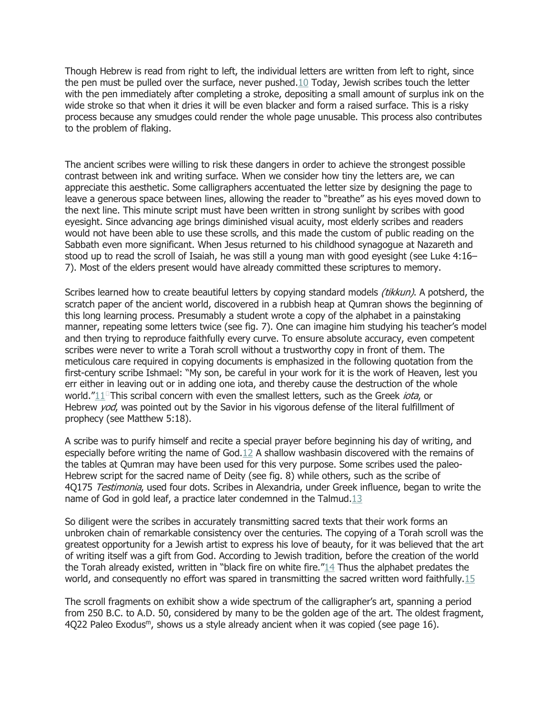Though Hebrew is read from right to left, the individual letters are written from left to right, since the pen must be pulled over the surface, never pushed[.10](https://publications.mi.byu.edu/fullscreen/?pub=1139&index=24#_edn10) Today, Jewish scribes touch the letter with the pen immediately after completing a stroke, depositing a small amount of surplus ink on the wide stroke so that when it dries it will be even blacker and form a raised surface. This is a risky process because any smudges could render the whole page unusable. This process also contributes to the problem of flaking.

The ancient scribes were willing to risk these dangers in order to achieve the strongest possible contrast between ink and writing surface. When we consider how tiny the letters are, we can appreciate this aesthetic. Some calligraphers accentuated the letter size by designing the page to leave a generous space between lines, allowing the reader to "breathe" as his eyes moved down to the next line. This minute script must have been written in strong sunlight by scribes with good eyesight. Since advancing age brings diminished visual acuity, most elderly scribes and readers would not have been able to use these scrolls, and this made the custom of public reading on the Sabbath even more significant. When Jesus returned to his childhood synagogue at Nazareth and stood up to read the scroll of Isaiah, he was still a young man with good eyesight (see Luke 4:16– 7). Most of the elders present would have already committed these scriptures to memory.

Scribes learned how to create beautiful letters by copying standard models *(tikkun)*. A potsherd, the scratch paper of the ancient world, discovered in a rubbish heap at Qumran shows the beginning of this long learning process. Presumably a student wrote a copy of the alphabet in a painstaking manner, repeating some letters twice (see fig. 7). One can imagine him studying his teacher's model and then trying to reproduce faithfully every curve. To ensure absolute accuracy, even competent scribes were never to write a Torah scroll without a trustworthy copy in front of them. The meticulous care required in copying documents is emphasized in the following quotation from the first-century scribe Ishmael: "My son, be careful in your work for it is the work of Heaven, lest you err either in leaving out or in adding one iota, and thereby cause the destruction of the whole world.["11](https://publications.mi.byu.edu/fullscreen/?pub=1139&index=24#_edn11)<sup> $\text{u}$ </sup>This scribal concern with even the smallest letters, such as the Greek *iota*, or Hebrew yod, was pointed out by the Savior in his vigorous defense of the literal fulfillment of prophecy (see Matthew 5:18).

A scribe was to purify himself and recite a special prayer before beginning his day of writing, and especially before writing the name of God[.12](https://publications.mi.byu.edu/fullscreen/?pub=1139&index=24#_edn12) A shallow washbasin discovered with the remains of the tables at Qumran may have been used for this very purpose. Some scribes used the paleo-Hebrew script for the sacred name of Deity (see fig. 8) while others, such as the scribe of 4Q175 Testimonia, used four dots. Scribes in Alexandria, under Greek influence, began to write the name of God in gold leaf, a practice later condemned in the Talmud[.13](https://publications.mi.byu.edu/fullscreen/?pub=1139&index=24#_edn13)

So diligent were the scribes in accurately transmitting sacred texts that their work forms an unbroken chain of remarkable consistency over the centuries. The copying of a Torah scroll was the greatest opportunity for a Jewish artist to express his love of beauty, for it was believed that the art of writing itself was a gift from God. According to Jewish tradition, before the creation of the world the Torah already existed, written in "black fire on white fire." $14$  Thus the alphabet predates the world, and consequently no effort was spared in transmitting the sacred written word faithfully[.15](https://publications.mi.byu.edu/fullscreen/?pub=1139&index=24#_edn15)

The scroll fragments on exhibit show a wide spectrum of the calligrapher's art, spanning a period from 250 B.C. to A.D. 50, considered by many to be the golden age of the art. The oldest fragment, 4Q22 Paleo Exodusm, shows us a style already ancient when it was copied (see page 16).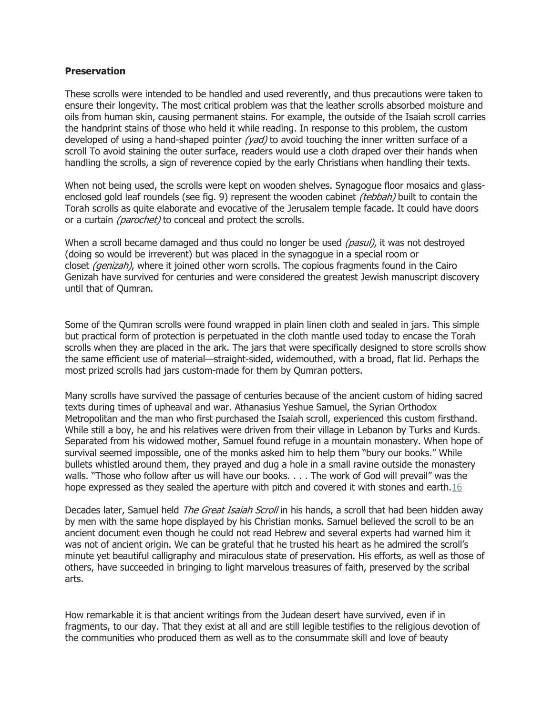#### **Preservation**

These scrolls were intended to be handled and used reverently, and thus precautions were taken to ensure their longevity. The most critical problem was that the leather scrolls absorbed moisture and oils from human skin, causing permanent stains. For example, the outside of the Isaiah scroll carries the handprint stains of those who held it while reading. In response to this problem, the custom developed of using a hand-shaped pointer  $(yad)$  to avoid touching the inner written surface of a scroll To avoid staining the outer surface, readers would use a cloth draped over their hands when handling the scrolls, a sign of reverence copied by the early Christians when handling their texts.

When not being used, the scrolls were kept on wooden shelves. Synagogue floor mosaics and glassenclosed gold leaf roundels (see fig. 9) represent the wooden cabinet *(tebbah)* built to contain the Torah scrolls as quite elaborate and evocative of the Jerusalem temple facade. It could have doors or a curtain *(parochet)* to conceal and protect the scrolls.

When a scroll became damaged and thus could no longer be used *(pasul)*, it was not destroyed (doing so would be irreverent) but was placed in the synagogue in a special room or closet *(genizah)*, where it joined other worn scrolls. The copious fragments found in the Cairo Genizah have survived for centuries and were considered the greatest Jewish manuscript discovery until that of Qumran.

Some of the Qumran scrolls were found wrapped in plain linen cloth and sealed in jars. This simple but practical form of protection is perpetuated in the cloth mantle used today to encase the Torah scrolls when they are placed in the ark. The jars that were specifically designed to store scrolls show the same efficient use of material—straight-sided, widemouthed, with a broad, flat lid. Perhaps the most prized scrolls had jars custom-made for them by Qumran potters.

Many scrolls have survived the passage of centuries because of the ancient custom of hiding sacred texts during times of upheaval and war. Athanasius Yeshue Samuel, the Syrian Orthodox Metropolitan and the man who first purchased the Isaiah scroll, experienced this custom firsthand. While still a boy, he and his relatives were driven from their village in Lebanon by Turks and Kurds. Separated from his widowed mother, Samuel found refuge in a mountain monastery. When hope of survival seemed impossible, one of the monks asked him to help them "bury our books." While bullets whistled around them, they prayed and dug a hole in a small ravine outside the monastery walls. "Those who follow after us will have our books. . . . The work of God will prevail" was the hope expressed as they sealed the aperture with pitch and covered it with stones and earth. $16$ 

Decades later, Samuel held *The Great Isaiah Scroll* in his hands, a scroll that had been hidden away by men with the same hope displayed by his Christian monks. Samuel believed the scroll to be an ancient document even though he could not read Hebrew and several experts had warned him it was not of ancient origin. We can be grateful that he trusted his heart as he admired the scroll's minute yet beautiful calligraphy and miraculous state of preservation. His efforts, as well as those of others, have succeeded in bringing to light marvelous treasures of faith, preserved by the scribal arts.

How remarkable it is that ancient writings from the Judean desert have survived, even if in fragments, to our day. That they exist at all and are still legible testifies to the religious devotion of the communities who produced them as well as to the consummate skill and love of beauty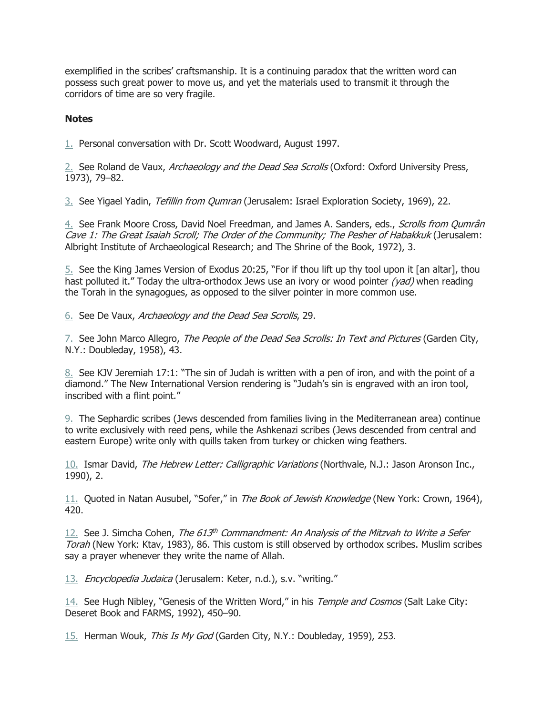exemplified in the scribes' craftsmanship. It is a continuing paradox that the written word can possess such great power to move us, and yet the materials used to transmit it through the corridors of time are so very fragile.

#### **Notes**

[1.](https://publications.mi.byu.edu/fullscreen/?pub=1139&index=24#_ednref1) Personal conversation with Dr. Scott Woodward, August 1997.

[2.](https://publications.mi.byu.edu/fullscreen/?pub=1139&index=24#_ednref2) See Roland de Vaux, *Archaeology and the Dead Sea Scrolls* (Oxford: Oxford University Press, 1973), 79–82.

[3.](https://publications.mi.byu.edu/fullscreen/?pub=1139&index=24#_ednref3) See Yigael Yadin, Tefillin from Qumran (Jerusalem: Israel Exploration Society, 1969), 22.

[4.](https://publications.mi.byu.edu/fullscreen/?pub=1139&index=24#_ednref4) See Frank Moore Cross, David Noel Freedman, and James A. Sanders, eds., Scrolls from Qumrân Cave 1: The Great Isaiah Scroll; The Order of the Community; The Pesher of Habakkuk (Jerusalem: Albright Institute of Archaeological Research; and The Shrine of the Book, 1972), 3.

[5.](https://publications.mi.byu.edu/fullscreen/?pub=1139&index=24#_ednref5) See the King James Version of Exodus 20:25, "For if thou lift up thy tool upon it [an altar], thou hast polluted it." Today the ultra-orthodox Jews use an ivory or wood pointer  $(\nu ad)$  when reading the Torah in the synagogues, as opposed to the silver pointer in more common use.

[6.](https://publications.mi.byu.edu/fullscreen/?pub=1139&index=24#_ednref6) See De Vaux, Archaeology and the Dead Sea Scrolls, 29.

[7.](https://publications.mi.byu.edu/fullscreen/?pub=1139&index=24#_ednref7) See John Marco Allegro, The People of the Dead Sea Scrolls: In Text and Pictures (Garden City, N.Y.: Doubleday, 1958), 43.

[8.](https://publications.mi.byu.edu/fullscreen/?pub=1139&index=24#_ednref8) See KJV Jeremiah 17:1: "The sin of Judah is written with a pen of iron, and with the point of a diamond." The New International Version rendering is "Judah's sin is engraved with an iron tool, inscribed with a flint point."

[9.](https://publications.mi.byu.edu/fullscreen/?pub=1139&index=24#_ednref9) The Sephardic scribes (Jews descended from families living in the Mediterranean area) continue to write exclusively with reed pens, while the Ashkenazi scribes (Jews descended from central and eastern Europe) write only with quills taken from turkey or chicken wing feathers.

[10.](https://publications.mi.byu.edu/fullscreen/?pub=1139&index=24#_ednref10) Ismar David, The Hebrew Letter: Calligraphic Variations (Northvale, N.J.: Jason Aronson Inc., 1990), 2.

[11.](https://publications.mi.byu.edu/fullscreen/?pub=1139&index=24#_ednref11) Quoted in Natan Ausubel, "Sofer," in The Book of Jewish Knowledge (New York: Crown, 1964), 420.

[12.](https://publications.mi.byu.edu/fullscreen/?pub=1139&index=24#_ednref12) See J. Simcha Cohen, The  $613<sup>th</sup>$  Commandment: An Analysis of the Mitzvah to Write a Sefer Torah (New York: Ktav, 1983), 86. This custom is still observed by orthodox scribes. Muslim scribes say a prayer whenever they write the name of Allah.

[13.](https://publications.mi.byu.edu/fullscreen/?pub=1139&index=24#_ednref13) Encyclopedia Judaica (Jerusalem: Keter, n.d.), s.v. "writing."

[14.](https://publications.mi.byu.edu/fullscreen/?pub=1139&index=24#_ednref14) See Hugh Nibley, "Genesis of the Written Word," in his Temple and Cosmos (Salt Lake City: Deseret Book and FARMS, 1992), 450–90.

[15.](https://publications.mi.byu.edu/fullscreen/?pub=1139&index=24#_ednref15) Herman Wouk, This Is My God (Garden City, N.Y.: Doubleday, 1959), 253.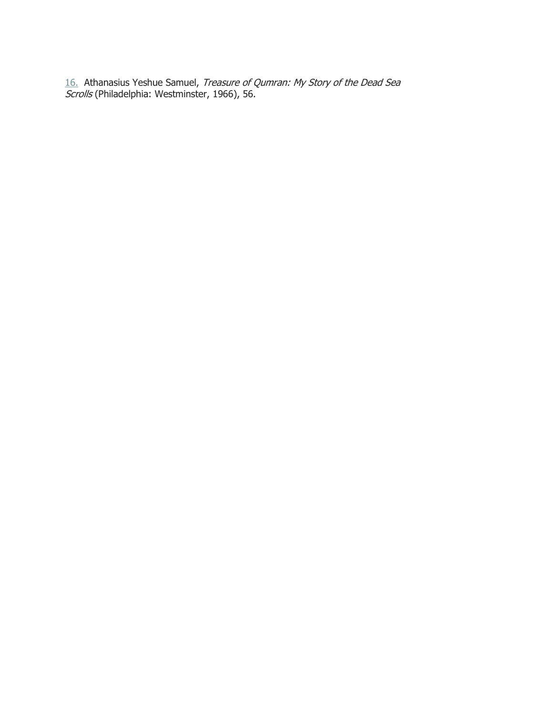[16.](https://publications.mi.byu.edu/fullscreen/?pub=1139&index=24#_ednref16) Athanasius Yeshue Samuel, Treasure of Qumran: My Story of the Dead Sea Scrolls (Philadelphia: Westminster, 1966), 56.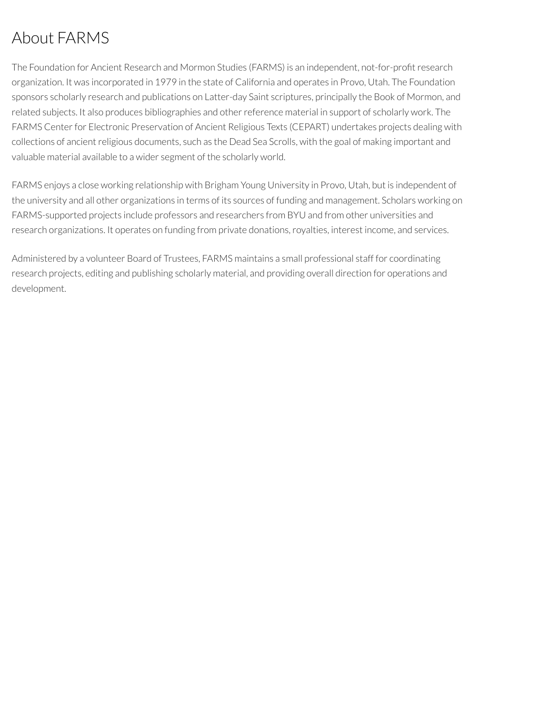## About FARMS

The Foundation for Ancient Research and Mormon Studies (FARMS) is an independent, not-for-profit research organization. It was incorporated in 1979 in the state of California and operates in Provo, Utah. The Foundation sponsors scholarly research and publications on Latter-day Saint scriptures, principally the Book of Mormon, and related subjects. It also produces bibliographies and other reference material in support of scholarly work. The FARMS Center for Electronic Preservation of Ancient Religious Texts (CEPART) undertakes projects dealing with collections of ancient religious documents, such as the Dead Sea Scrolls, with the goal of making important and valuable material available to a wider segment of the scholarly world.

FARMS enjoys a close working relationship with Brigham Young University in Provo, Utah, but is independent of the university and all other organizations in terms of its sources of funding and management. Scholars working on FARMS-supported projects include professors and researchers from BYU and from other universities and research organizations. It operates on funding from private donations,royalties, interest income, and services.

Administered by a volunteer Board of Trustees, FARMS maintains a small professional staff for coordinating research projects, editing and publishing scholarly material, and providing overall direction for operations and development.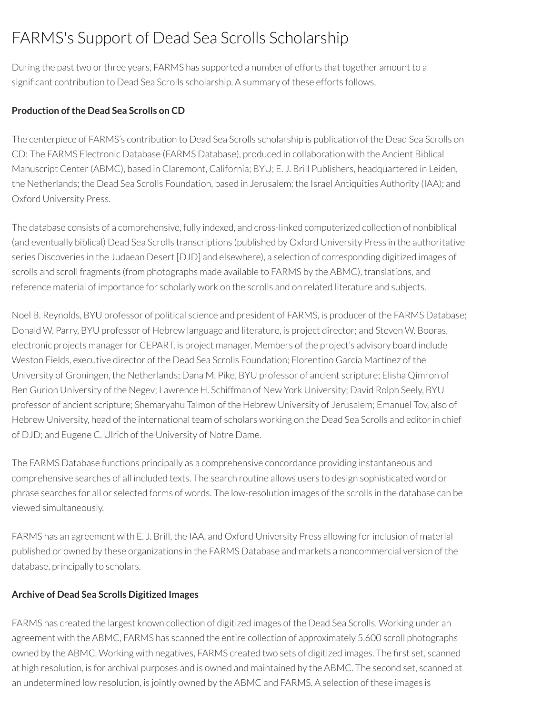## FARMS's Support of Dead Sea Scrolls Scholarship

During the past two or three years, FARMS has supported a number of efforts that together amount to a significant contribution to Dead Sea Scrolls scholarship. A summary of these efforts follows.

### **Production ofthe Dead Sea Scrolls on CD**

The centerpiece of FARMS's contribution to Dead Sea Scrolls scholarship is publication of the Dead Sea Scrolls on CD: The FARMS Electronic Database (FARMS Database), produced in collaboration with the Ancient Biblical Manuscript Center(ABMC), based in Claremont, California; BYU; E. J. Brill Publishers, headquartered in Leiden, the Netherlands; the Dead Sea Scrolls Foundation, based in Jerusalem; the Israel Antiquities Authority (IAA); and Oxford University Press.

The database consists of a comprehensive, fully indexed, and cross-linked computerized collection of nonbiblical (and eventually biblical) Dead Sea Scrolls transcriptions (published by Oxford University Press in the authoritative series Discoveries in the Judaean Desert [DJD] and elsewhere), a selection of corresponding digitized images of scrolls and scroll fragments (from photographs made available to FARMS by the ABMC), translations, and reference material of importance for scholarly work on the scrolls and on related literature and subjects.

Noel B. Reynolds, BYU professor of political science and president of FARMS, is producer of the FARMS Database; Donald W. Parry, BYU professor of Hebrew language and literature, is project director; and Steven W. Booras, electronic projects manager for CEPART, is project manager. Members of the project's advisory board include Weston Fields, executive director of the Dead Sea Scrolls Foundation; Florentino García Martínez of the University of Groningen, the Netherlands; Dana M. Pike, BYU professor of ancient scripture; Elisha Qimron of Ben Gurion University of the Negev; Lawrence H. Schiffman of New York University; David Rolph Seely, BYU professor of ancient scripture; Shemaryahu Talmon of the Hebrew University of Jerusalem; Emanuel Tov, also of Hebrew University, head of the international team of scholars working on the Dead Sea Scrolls and editorin chief of DJD; and Eugene C. Ulrich of the University of Notre Dame.

The FARMS Database functions principally as a comprehensive concordance providing instantaneous and comprehensive searches of all included texts. The search routine allows users to design sophisticated word or phrase searches for all or selected forms of words. The low-resolution images of the scrolls in the database can be viewed simultaneously.

FARMS has an agreement with E. J. Brill, the IAA, and Oxford University Press allowing for inclusion of material published or owned by these organizations in the FARMS Database and markets a noncommercial version of the database, principally to scholars.

### **Archive of Dead Sea Scrolls Digitized Images**

FARMS has created the largest known collection of digitized images of the Dead Sea Scrolls. Working under an agreement with the ABMC, FARMS has scanned the entire collection of approximately 5,600 scroll photographs owned by the ABMC. Working with negatives, FARMS created two sets of digitized images. The first set, scanned at high resolution, is for archival purposes and is owned and maintained by the ABMC. The second set, scanned at an undetermined low resolution, is jointly owned by the ABMC and FARMS. A selection of these images is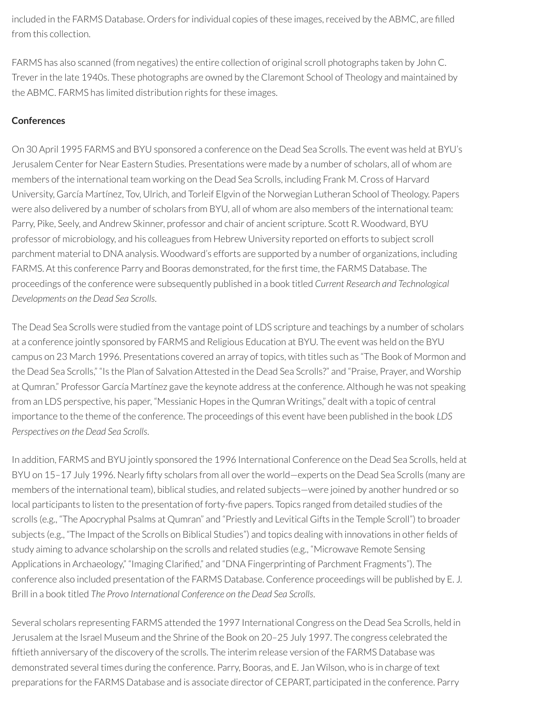included in the FARMS Database. Orders for individual copies of these images, received by the ABMC, are filled from this collection.

FARMS has also scanned (from negatives) the entire collection of original scroll photographs taken by John C. Treverin the late 1940s. These photographs are owned by the Claremont School of Theology and maintained by the ABMC. FARMS has limited distribution rights for these images.

### **Conferences**

On 30 April 1995 FARMS and BYU sponsored a conference on the Dead Sea Scrolls. The event was held at BYU's Jerusalem Centerfor Near Eastern Studies. Presentations were made by a number of scholars, all of whom are members of the international team working on the Dead Sea Scrolls, including Frank M. Cross of Harvard University, García Martínez, Tov, Ulrich, and Torleif Elgvin of the Norwegian Lutheran School of Theology. Papers were also delivered by a number of scholars from BYU, all of whom are also members of the international team: Parry, Pike, Seely, and Andrew Skinner, professor and chair of ancient scripture. Scott R. Woodward, BYU professor of microbiology, and his colleagues from Hebrew University reported on efforts to subject scroll parchment material to DNA analysis. Woodward's efforts are supported by a number of organizations, including FARMS. At this conference Parry and Booras demonstrated, for the first time, the FARMS Database. The proceedings of the conference were subsequently published in a book titled *Current Research and Technological Developments on the Dead Sea Scrolls*.

The Dead Sea Scrolls were studied from the vantage point of LDS scripture and teachings by a number of scholars at a conference jointly sponsored by FARMS and Religious Education at BYU. The event was held on the BYU campus on 23 March 1996. Presentations covered an array of topics, with titles such as "The Book of Mormon and the Dead Sea Scrolls," "Is the Plan of Salvation Attested in the Dead Sea Scrolls?" and "Praise, Prayer, and Worship at Qumran." Professor García Martínez gave the keynote address at the conference. Although he was not speaking from an LDS perspective, his paper, "Messianic Hopes in the Qumran Writings," dealt with a topic of central importance to the theme of the conference. The proceedings of this event have been published in the book *LDS Perspectives on the Dead Sea Scrolls*.

In addition, FARMS and BYU jointly sponsored the 1996 International Conference on the Dead Sea Scrolls, held at BYU on 15-17 July 1996. Nearly fifty scholars from all over the world-experts on the Dead Sea Scrolls (many are members of the international team), biblical studies, and related subjects—were joined by another hundred or so local participants to listen to the presentation of forty-five papers. Topics ranged from detailed studies of the scrolls (e.g., "The Apocryphal Psalms at Qumran" and "Priestly and Levitical Gifts in the Temple Scroll") to broader subjects (e.g., "The Impact of the Scrolls on Biblical Studies") and topics dealing with innovations in other fields of study aiming to advance scholarship on the scrolls and related studies (e.g., "Microwave Remote Sensing Applications in Archaeology," "Imaging Clarified," and "DNA Fingerprinting of Parchment Fragments"). The conference also included presentation of the FARMS Database. Conference proceedings will be published by E. J. Brill in a book titled *The Provo International Conference on the Dead Sea Scrolls*.

Several scholars representing FARMS attended the 1997 International Congress on the Dead Sea Scrolls, held in Jerusalem at the Israel Museum and the Shrine of the Book on 20–25 July 1997. The congress celebrated the ftieth anniversary of the discovery of the scrolls. The interim release version of the FARMS Database was demonstrated several times during the conference. Parry, Booras, and E. Jan Wilson, who is in charge of text preparations for the FARMS Database and is associate director of CEPART, participated in the conference. Parry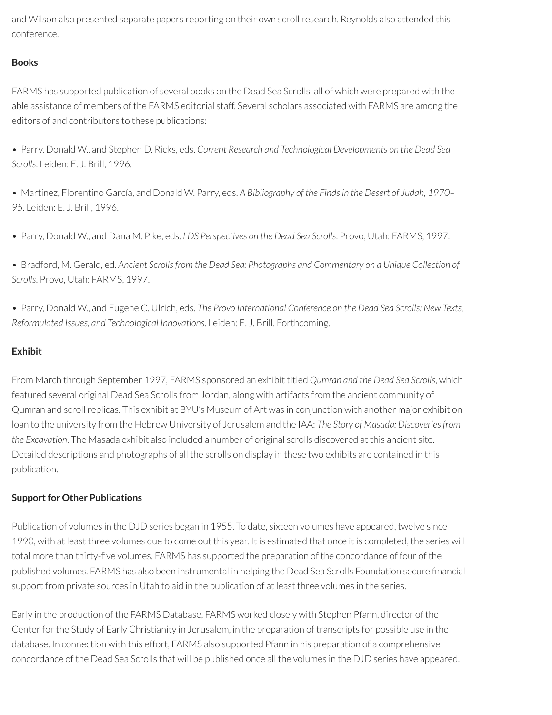and Wilson also presented separate papers reporting on their own scroll research. Reynolds also attended this conference.

### **Books**

FARMS has supported publication of several books on the Dead Sea Scrolls, all of which were prepared with the able assistance of members of the FARMS editorial staff. Several scholars associated with FARMS are among the editors of and contributors to these publications:

• Parry, Donald W., and Stephen D. Ricks, eds. *Current Research and Technological Developments on the Dead Sea Scrolls*. Leiden: E. J. Brill, 1996.

• Martínez, Florentino García, and Donald W. Parry, eds. *A Bibliography of the Finds in the Desert of Judah, 1970– 95*. Leiden: E. J. Brill, 1996.

• Parry, Donald W., and Dana M. Pike, eds. *LDS Perspectives on the Dead Sea Scrolls*. Provo, Utah: FARMS, 1997.

• Bradford, M. Gerald, ed. *Ancient Scrollsfrom the Dead Sea: Photographs and Commentary on a Unique Collection of Scrolls*. Provo, Utah: FARMS, 1997.

• Parry, Donald W., and Eugene C. Ulrich, eds. *The Provo International Conference on the Dead Sea Scrolls: New Texts, Reformulated Issues, and Technological Innovations*. Leiden: E. J. Brill. Forthcoming.

### **Exhibit**

From March through September 1997, FARMS sponsored an exhibit titled *Qumran and the Dead Sea Scrolls*, which featured several original Dead Sea Scrolls from Jordan, along with artifacts from the ancient community of Qumran and scrollreplicas. This exhibit at BYU's Museum of Art was in conjunction with another major exhibit on loan to the university from the Hebrew University of Jerusalem and the IAA: *The Story of Masada: Discoveriesfrom the Excavation*. The Masada exhibit also included a number of original scrolls discovered at this ancient site. Detailed descriptions and photographs of all the scrolls on display in these two exhibits are contained in this publication.

#### **Support for Other Publications**

Publication of volumes in the DJD series began in 1955. To date, sixteen volumes have appeared, twelve since 1990, with at least three volumes due to come out this year. It is estimated that once it is completed, the series will total more than thirty-five volumes. FARMS has supported the preparation of the concordance of four of the published volumes. FARMS has also been instrumental in helping the Dead Sea Scrolls Foundation secure financial support from private sources in Utah to aid in the publication of at least three volumes in the series.

Early in the production of the FARMS Database, FARMS worked closely with Stephen Pfann, director of the Center for the Study of Early Christianity in Jerusalem, in the preparation of transcripts for possible use in the database. In connection with this effort, FARMS also supported Pfann in his preparation of a comprehensive concordance of the Dead Sea Scrolls that will be published once all the volumes in the DJD series have appeared.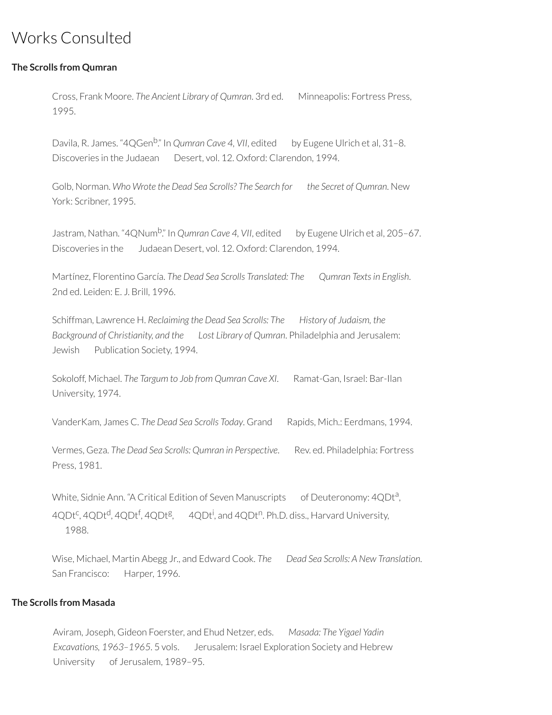## Works Consulted

#### **The Scrolls from Qumran**

Cross, Frank Moore. *The Ancient Library of Qumran*. 3rd ed. Minneapolis: Fortress Press, 1995.

Davila, R. James. "4QGen<sup>b</sup>." In *Qumran Cave 4*, VII, edited by Eugene Ulrich et al, 31-8. Discoveries in the Judaean Desert, vol. 12. Oxford: Clarendon, 1994.

Golb, Norman. *Who Wrote the Dead Sea Scrolls? The Search for the Secret of Qumran*. New York: Scribner, 1995.

Jastram, Nathan. "4QNum<sup>b</sup> ." In *Qumran Cave 4, VII*, edited by Eugene Ulrich et al, 205–67. Discoveries in the Judaean Desert, vol. 12. Oxford: Clarendon, 1994.

Martínez, Florentino García. *The Dead Sea Scrolls Translated: The Qumran Textsin English*. 2nd ed. Leiden: E. J. Brill, 1996.

Schiffman, Lawrence H. *Reclaiming the Dead Sea Scrolls: The History of Judaism, the Background of Christianity, and the Lost Library of Qumran*. Philadelphia and Jerusalem: Jewish Publication Society, 1994.

Sokoloff, Michael. *The Targum to Job from Qumran Cave XI*. Ramat-Gan, Israel: Bar-Ilan University, 1974.

VanderKam, James C. *The Dead Sea Scrolls Today*. Grand Rapids, Mich.: Eerdmans, 1994.

Vermes, Geza. *The Dead Sea Scrolls: Qumran in Perspective*. Rev. ed. Philadelphia: Fortress Press, 1981.

White, Sidnie Ann. "A Critical Edition of Seven Manuscripts of Deuteronomy: 4QDt<sup>a</sup>, 4QDt<sup>c</sup>, 4QDt<sup>d</sup>, 4QDt<sup>f</sup>, 4QDt<sup>g</sup>, 4QDt<sup>i</sup>, and 4QDt<sup>n</sup>. Ph.D. diss., Harvard University, 1988.

Wise, Michael, Martin Abegg Jr., and Edward Cook. *The Dead Sea Scrolls: A New Translation*. San Francisco: Harper, 1996.

#### **The Scrolls from Masada**

Aviram, Joseph, Gideon Foerster, and Ehud Netzer, eds. *Masada: The Yigael Yadin Excavations, 1963–1965*. 5 vols. Jerusalem: Israel Exploration Society and Hebrew University of Jerusalem, 1989–95.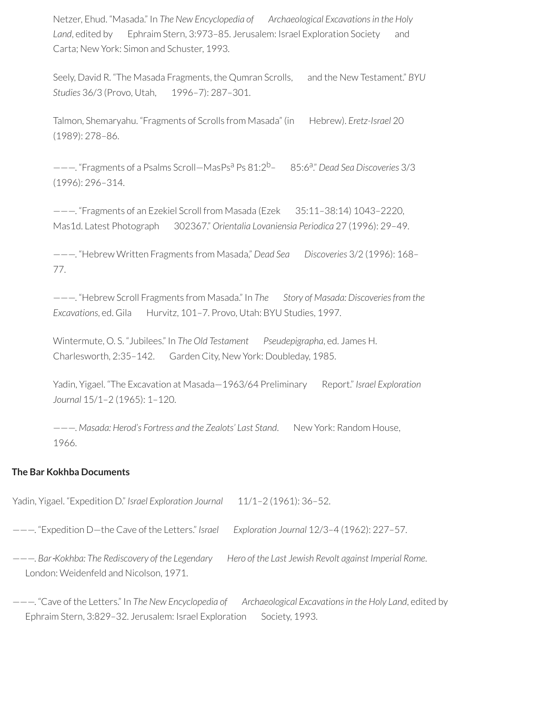Netzer, Ehud. "Masada." In *The New Encyclopedia of Archaeological Excavationsin the Holy Land*, edited by Ephraim Stern, 3:973–85. Jerusalem: Israel Exploration Society and Carta; New York: Simon and Schuster, 1993.

Seely, David R. "The Masada Fragments, the Qumran Scrolls, and the New Testament." *BYU Studies* 36/3 (Provo, Utah, 1996–7): 287–301.

Talmon, Shemaryahu. "Fragments of Scrolls from Masada" (in Hebrew). *Eretz-Israel* 20 (1989): 278–86.

---. "Fragments of a Psalms Scroll–MasPs<sup>a</sup> Ps 81:2<sup>1</sup> <sup>b</sup>– 85:6 a ." *Dead Sea Discoveries* 3/3 (1996): 296–314.

———. "Fragments of an Ezekiel Scroll from Masada (Ezek 35:11–38:14) 1043–2220, Mas1d. Latest Photograph 302367." *Orientalia Lovaniensia Periodica* 27 (1996): 29–49.

———. "Hebrew Written Fragments from Masada," *Dead Sea Discoveries* 3/2 (1996): 168– 77.

———. "Hebrew Scroll Fragments from Masada." In *The Story of Masada: Discoveries from the Excavations*, ed. Gila Hurvitz, 101–7. Provo, Utah: BYU Studies, 1997.

Wintermute, O. S. "Jubilees." In *The Old Testament Pseudepigrapha*, ed. James H. Charlesworth, 2:35–142. Garden City, New York: Doubleday, 1985.

Yadin, Yigael. "The Excavation at Masada—1963/64 Preliminary Report." *Israel Exploration Journal* 15/1–2 (1965): 1–120.

———. *Masada: Herod's Fortress and the Zealots' Last Stand*. New York: Random House, 1966.

#### **The Bar Kokhba Documents**

Yadin, Yigael. "Expedition D." *Israel Exploration Journal* 11/1–2 (1961): 36–52.

———. "Expedition D—the Cave of the Letters." *Israel Exploration Journal* 12/3–4 (1962): 227–57.

———. *Bar*‑*Kokhba: The Rediscovery of the Legendary Hero of the Last Jewish Revolt against Imperial Rome*. London: Weidenfeld and Nicolson, 1971.

———. "Cave of the Letters." In *The New Encyclopedia of Archaeological Excavationsin the Holy Land*, edited by Ephraim Stern, 3:829-32. Jerusalem: Israel Exploration Society, 1993.